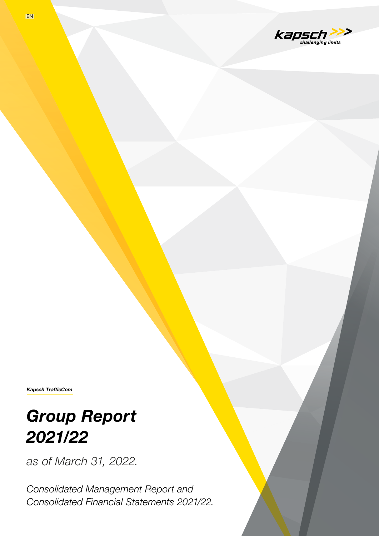

*Kapsch TrafficCom*

# *Group Report 2021/22*

*as of March 31, 2022.*

*Consolidated Management Report and Consolidated Financial Statements 2021/22.*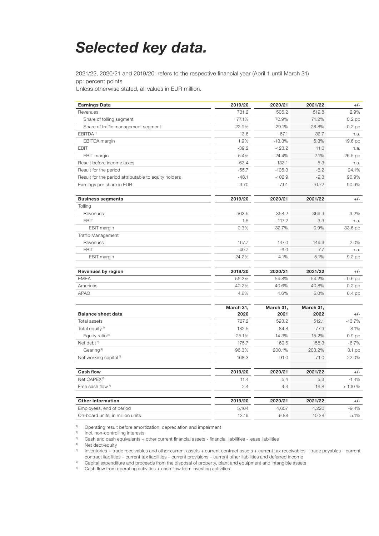# *Selected key data.*

2021/22, 2020/21 and 2019/20: refers to the respective financial year (April 1 until March 31) pp: percent points

Unless otherwise stated, all values in EUR million.

| <b>Earnings Data</b>                                 | 2019/20           | 2020/21           | 2021/22           | +/-       |
|------------------------------------------------------|-------------------|-------------------|-------------------|-----------|
| Revenues                                             | 731.2             | 505.2             | 519.8             | 2.9%      |
| Share of tolling segment                             | 77.1%             | 70.9%             | 71.2%             | $0.2$ pp  |
| Share of traffic management segment                  | 22.9%             | 29.1%             | 28.8%             | $-0.2$ pp |
| EBITDA <sup>1)</sup>                                 | 13.6              | $-67.1$           | 32.7              | n.a.      |
| EBITDA margin                                        | 1.9%              | $-13.3%$          | 6.3%              | 19.6 pp   |
| <b>EBIT</b>                                          | $-39.2$           | $-123.2$          | 11.0              | n.a.      |
| EBIT margin                                          | $-5.4%$           | $-24.4%$          | 2.1%              | 26.5 pp   |
| Result before income taxes                           | $-63.4$           | $-133.1$          | 5.3               | n.a.      |
| Result for the period                                | $-55.7$           | $-105.3$          | $-6.2$            | 94.1%     |
| Result for the period attributable to equity holders | $-48.1$           | $-102.9$          | $-9.3$            | 90.9%     |
| Earnings per share in EUR                            | $-3.70$           | $-7.91$           | $-0.72$           | 90.9%     |
| <b>Business segments</b>                             | 2019/20           | 2020/21           | 2021/22           | $+/-$     |
| Tolling                                              |                   |                   |                   |           |
| Revenues                                             | 563.5             | 358.2             | 369.9             | 3.2%      |
| <b>EBIT</b>                                          | 1.5               | $-117.2$          | 3.3               | n.a.      |
| EBIT margin                                          | 0.3%              | $-32.7%$          | 0.9%              | 33.6 pp   |
| <b>Traffic Management</b>                            |                   |                   |                   |           |
| Revenues                                             | 167.7             | 147.0             | 149.9             | 2.0%      |
| <b>EBIT</b>                                          | $-40.7$           | $-6.0$            | 7.7               | n.a.      |
| EBIT margin                                          | $-24.2%$          | $-4.1%$           | 5.1%              | 9.2 pp    |
| <b>Revenues by region</b>                            | 2019/20           | 2020/21           | 2021/22           | $+/-$     |
| <b>EMEA</b>                                          | 55.2%             | 54.8%             | 54.2%             | $-0.6$ pp |
| Americas                                             | 40.2%             | 40.6%             | 40.8%             | $0.2$ pp  |
| <b>APAC</b>                                          | 4.6%              | 4.6%              | 5.0%              | $0.4$ pp  |
| <b>Balance sheet data</b>                            | March 31,<br>2020 | March 31,<br>2021 | March 31,<br>2022 | +/-       |
| Total assets                                         | 727.2             | 593.2             | 512.1             | $-13.7%$  |
| Total equity <sup>2)</sup>                           | 182.5             | 84.8              | 77.9              | $-8.1%$   |
| Equity ratio <sup>2)</sup>                           | 25.1%             | 14.3%             | 15.2%             | $0.9$ pp  |
| Net debt <sup>3)</sup>                               | 175.7             | 169.6             | 158.3             | $-6.7%$   |
| Gearing <sup>4)</sup>                                | 96.3%             | 200.1%            | 203.2%            | 3.1 pp    |
| Net working capital <sup>5)</sup>                    | 168.3             | 91.0              | 71.0              | $-22.0%$  |
| <b>Cash flow</b>                                     | 2019/20           | 2020/21           | 2021/22           | $+/-$     |
| Net CAPEX <sup>6)</sup>                              | 11.4              | 5.4               | 5.3               | $-1.4%$   |
| Free cash flow <sup>7)</sup>                         | 2.4               | 4.3               | 16.8              | >100%     |
| <b>Other information</b>                             | 2019/20           | 2020/21           | 2021/22           | $+/-$     |
| Employees, end of period                             | 5,104             | 4,657             | 4,220             | $-9.4%$   |

On-board units, in million units 13.19 9.88 10.38 5.1%

1) Operating result before amortization, depreciation and impairment

<sup>2)</sup> Incl. non-controlling interests

<sup>3)</sup> Cash and cash equivalents + other current financial assets - financial liabilities - lease liabilities

4) Net debt/equity

<sup>6)</sup> Capital expenditure and proceeds from the disposal of property, plant and equipment and intangible assets

 $7$  Cash flow from operating activities + cash flow from investing activities

<sup>5)</sup> Inventories + trade receivables and other current assets + current contract assets + current tax receivables – trade payables – current contract liabilities – current tax liabilities – current provisions – current other liabilities and deferred income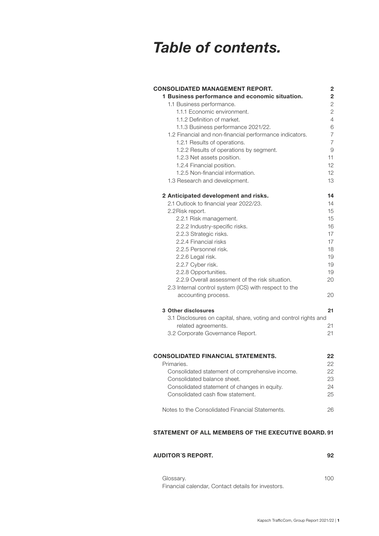# *Table of contents.*

| <b>CONSOLIDATED MANAGEMENT REPORT.</b>                           | $\overline{2}$      |
|------------------------------------------------------------------|---------------------|
| 1 Business performance and economic situation.                   | $\overline{2}$      |
| 1.1 Business performance.                                        | $\overline{2}$      |
| 1.1.1 Economic environment.                                      | $\overline{2}$      |
| 1.1.2 Definition of market.                                      | $\overline{4}$      |
| 1.1.3 Business performance 2021/22.                              | 6                   |
| 1.2 Financial and non-financial performance indicators.          | $\overline{7}$      |
| 1.2.1 Results of operations.                                     | $\overline{7}$      |
| 1.2.2 Results of operations by segment.                          | $\mathcal{G}% _{0}$ |
| 1.2.3 Net assets position.                                       | 11                  |
| 1.2.4 Financial position.                                        | 12                  |
| 1.2.5 Non-financial information.                                 | 12                  |
| 1.3 Research and development.                                    | 13                  |
| 2 Anticipated development and risks.                             | 14                  |
| 2.1 Outlook to financial year 2022/23.                           | 14                  |
| 2.2 Risk report.                                                 | 15                  |
| 2.2.1 Risk management.                                           | 15                  |
| 2.2.2 Industry-specific risks.                                   | 16                  |
| 2.2.3 Strategic risks.                                           | 17                  |
| 2.2.4 Financial risks                                            | 17                  |
| 2.2.5 Personnel risk.                                            | 18                  |
| 2.2.6 Legal risk.                                                | 19                  |
| 2.2.7 Cyber risk.                                                | 19                  |
| 2.2.8 Opportunities.                                             | 19                  |
| 2.2.9 Overall assessment of the risk situation.                  | 20                  |
| 2.3 Internal control system (ICS) with respect to the            |                     |
| accounting process.                                              | 20                  |
| 3 Other disclosures                                              | 21                  |
| 3.1 Disclosures on capital, share, voting and control rights and |                     |
| related agreements.                                              | 21                  |
| 3.2 Corporate Governance Report.                                 | 21                  |
| <b>CONSOLIDATED FINANCIAL STATEMENTS.</b>                        | 22                  |
| Primaries.                                                       | 22                  |
| Consolidated statement of comprehensive income.                  | 22                  |
| Consolidated balance sheet.                                      | 23.                 |
| Consolidated statement of changes in equity.                     | 24                  |
| Consolidated cash flow statement.                                | 25                  |
| Notes to the Consolidated Financial Statements.                  | 26                  |
|                                                                  |                     |

# STATEMENT OF ALL MEMBERS OF THE EXECUTIVE BOARD. 91

| <b>AUDITOR´S REPORT.</b> |  |
|--------------------------|--|
|                          |  |

Glossary. 100 Financial calendar, Contact details for investors.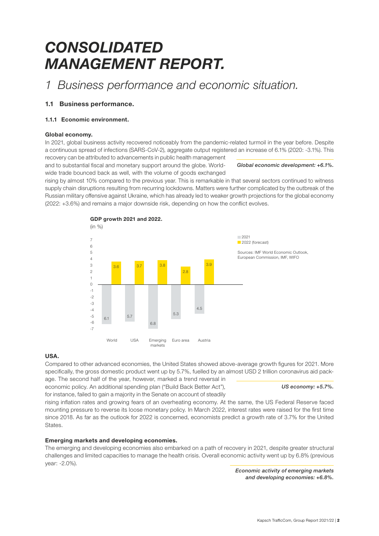# *CONSOLIDATED MANAGEMENT REPORT.*

# *1 Business performance and economic situation.*

## 1.1 Business performance.

#### 1.1.1 Economic environment.

#### Global economy.

In 2021, global business activity recovered noticeably from the pandemic-related turmoil in the year before. Despite a continuous spread of infections (SARS-CoV-2), aggregate output registered an increase of 6.1% (2020: -3.1%). This recovery can be attributed to advancements in public health management

and to substantial fiscal and monetary support around the globe. Worldwide trade bounced back as well, with the volume of goods exchanged

#### *Global economic development: +6.1%.*

rising by almost 10% compared to the previous year. This is remarkable in that several sectors continued to witness supply chain disruptions resulting from recurring lockdowns. Matters were further complicated by the outbreak of the Russian military offensive against Ukraine, which has already led to weaker growth projections for the global economy (2022: +3.6%) and remains a major downside risk, depending on how the conflict evolves.



#### USA.

Compared to other advanced economies, the United States showed above-average growth figures for 2021. More specifically, the gross domestic product went up by 5.7%, fuelled by an almost USD 2 trillion coronavirus aid pack-

age. The second half of the year, however, marked a trend reversal in economic policy. An additional spending plan ("Build Back Better Act"), for instance, failed to gain a majority in the Senate on account of steadily

*US economy: +5.7%.*

rising inflation rates and growing fears of an overheating economy. At the same, the US Federal Reserve faced mounting pressure to reverse its loose monetary policy. In March 2022, interest rates were raised for the first time since 2018. As far as the outlook for 2022 is concerned, economists predict a growth rate of 3.7% for the United States.

#### Emerging markets and developing economies.

The emerging and developing economies also embarked on a path of recovery in 2021, despite greater structural challenges and limited capacities to manage the health crisis. Overall economic activity went up by 6.8% (previous year: -2.0%).

> *Economic activity of emerging markets and developing economies: +6.8%.*

#### Kapsch TrafficCom, Group Report 2021/22 | 2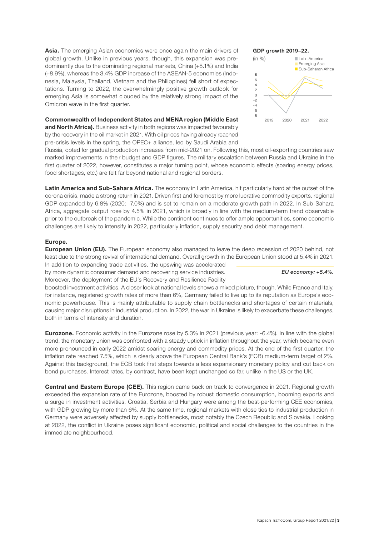Asia. The emerging Asian economies were once again the main drivers of global growth. Unlike in previous years, though, this expansion was predominantly due to the dominating regional markets, China (+8.1%) and India (+8.9%), whereas the 3.4% GDP increase of the ASEAN-5 economies (Indonesia, Malaysia, Thailand, Vietnam and the Philippines) fell short of expectations. Turning to 2022, the overwhelmingly positive growth outlook for emerging Asia is somewhat clouded by the relatively strong impact of the Omicron wave in the first quarter.

#### Commonwealth of Independent States and MENA region (Middle East

and North Africa). Business activity in both regions was impacted favourably by the recovery in the oil market in 2021. With oil prices having already reached pre-crisis levels in the spring, the OPEC+ alliance, led by Saudi Arabia and





Russia, opted for gradual production increases from mid-2021 on. Following this, most oil-exporting countries saw marked improvements in their budget and GDP figures. The military escalation between Russia and Ukraine in the first quarter of 2022, however, constitutes a major turning point, whose economic effects (soaring energy prices, food shortages, etc.) are felt far beyond national and regional borders.

Latin America and Sub-Sahara Africa. The economy in Latin America, hit particularly hard at the outset of the corona crisis, made a strong return in 2021. Driven first and foremost by more lucrative commodity exports, regional GDP expanded by 6.8% (2020: -7.0%) and is set to remain on a moderate growth path in 2022. In Sub-Sahara Africa, aggregate output rose by 4.5% in 2021, which is broadly in line with the medium-term trend observable prior to the outbreak of the pandemic. While the continent continues to offer ample opportunities, some economic challenges are likely to intensify in 2022, particularly inflation, supply security and debt management.

#### Europe.

**European Union (EU).** The European economy also managed to leave the deep recession of 2020 behind, not least due to the strong revival of international demand. Overall growth in the European Union stood at 5.4% in 2021. In addition to expanding trade activities, the upswing was accelerated

*EU economy: +5.4%.*

by more dynamic consumer demand and recovering service industries. Moreover, the deployment of the EU's Recovery and Resilience Facility

boosted investment activities. A closer look at national levels shows a mixed picture, though. While France and Italy, for instance, registered growth rates of more than 6%, Germany failed to live up to its reputation as Europe's economic powerhouse. This is mainly attributable to supply chain bottlenecks and shortages of certain materials, causing major disruptions in industrial production. In 2022, the war in Ukraine is likely to exacerbate these challenges, both in terms of intensity and duration.

Eurozone. Economic activity in the Eurozone rose by 5.3% in 2021 (previous year: -6.4%). In line with the global trend, the monetary union was confronted with a steady uptick in inflation throughout the year, which became even more pronounced in early 2022 amidst soaring energy and commodity prices. At the end of the first quarter, the inflation rate reached 7.5%, which is clearly above the European Central Bank's (ECB) medium-term target of 2%. Against this background, the ECB took first steps towards a less expansionary monetary policy and cut back on bond purchases. Interest rates, by contrast, have been kept unchanged so far, unlike in the US or the UK.

**Central and Eastern Europe (CEE).** This region came back on track to convergence in 2021. Regional growth exceeded the expansion rate of the Eurozone, boosted by robust domestic consumption, booming exports and a surge in investment activities. Croatia, Serbia and Hungary were among the best-performing CEE economies, with GDP growing by more than 6%. At the same time, regional markets with close ties to industrial production in Germany were adversely affected by supply bottlenecks, most notably the Czech Republic and Slovakia. Looking at 2022, the conflict in Ukraine poses significant economic, political and social challenges to the countries in the immediate neighbourhood.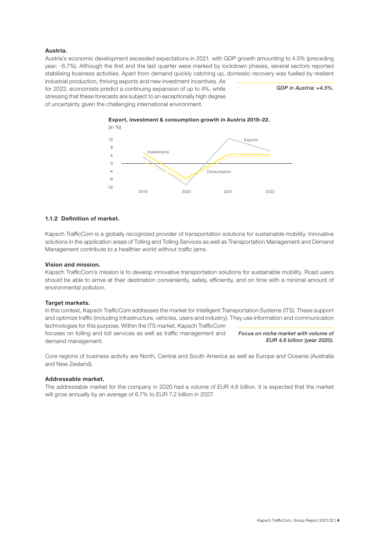#### Austria.

Austria's economic development exceeded expectations in 2021, with GDP growth amounting to 4.5% (preceding year: -6.7%). Although the first and the last quarter were marked by lockdown phases, several sectors reported stabilising business activities. Apart from demand quickly catching up, domestic recovery was fuelled by resilient

industrial production, thriving exports and new investment incentives. As for 2022, economists predict a continuing expansion of up to 4%, while stressing that these forecasts are subject to an exceptionally high degree of uncertainty given the challenging international environment.

*GDP in Austria: +4.5%.*



### Export, investment & consumption growth in Austria 2019–22.

#### 1.1.2 Definition of market.

Kapsch TrafficCom is a globally recognized provider of transportation solutions for sustainable mobility. Innovative solutions in the application areas of Tolling and Tolling Services as well as Transportation Management and Demand Management contribute to a healthier world without traffic jams.

#### Vision and mission.

Kapsch TrafficCom's mission is to develop innovative transportation solutions for sustainable mobility. Road users should be able to arrive at their destination conveniently, safely, efficiently, and on time with a minimal amount of environmental pollution.

#### Target markets.

In this context, Kapsch TrafficCom addresses the market for Intelligent Transportation Systems (ITS). These support and optimize traffic (including infrastructure, vehicles, users and industry). They use information and communication technologies for this purpose. Within the ITS market, Kapsch TrafficCom

focuses on tolling and toll services as well as traffic management and demand management.

*Focus on niche market with volume of EUR 4.6 billion (year 2020).*

Core regions of business activity are North, Central and South America as well as Europe and Oceania (Australia and New Zealand).

#### Addressable market.

The addressable market for the company in 2020 had a volume of EUR 4.6 billion. It is expected that the market will grow annually by an average of 6.7% to EUR 7.2 billion in 2027.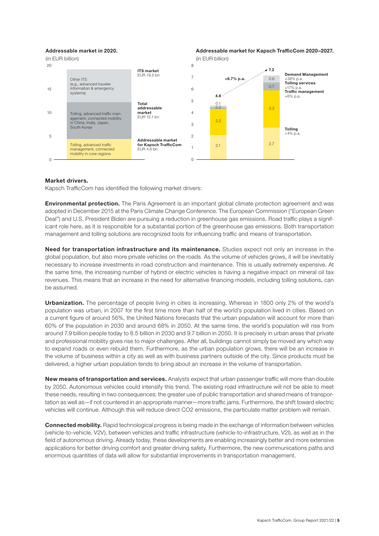#### Addressable market in 2020.

Addressable market for Kapsch TrafficCom 2020–2027.



#### Market drivers.

Kapsch TrafficCom has identified the following market drivers:

**Environmental protection.** The Paris Agreement is an important global climate protection agreement and was adopted in December 2015 at the Paris Climate Change Conference. The European Commission ("European Green Deal") and U.S. President Biden are pursuing a reduction in greenhouse gas emissions. Road traffic plays a significant role here, as it is responsible for a substantial portion of the greenhouse gas emissions. Both transportation management and tolling solutions are recognized tools for influencing traffic and means of transportation.

Need for transportation infrastructure and its maintenance. Studies expect not only an increase in the global population, but also more private vehicles on the roads. As the volume of vehicles grows, it will be inevitably necessary to increase investments in road construction and maintenance. This is usually extremely expensive. At the same time, the increasing number of hybrid or electric vehicles is having a negative impact on mineral oil tax revenues. This means that an increase in the need for alternative financing models, including tolling solutions, can be assumed.

Urbanization. The percentage of people living in cities is increasing. Whereas in 1800 only 2% of the world's population was urban, in 2007 for the first time more than half of the world's population lived in cities. Based on a current figure of around 56%, the United Nations forecasts that the urban population will account for more than 60% of the population in 2030 and around 68% in 2050. At the same time, the world's population will rise from around 7.9 billion people today to 8.5 billion in 2030 and 9.7 billion in 2050. It is precisely in urban areas that private and professional mobility gives rise to major challenges. After all, buildings cannot simply be moved any which way to expand roads or even rebuild them. Furthermore, as the urban population grows, there will be an increase in the volume of business within a city as well as with business partners outside of the city. Since products must be delivered, a higher urban population tends to bring about an increase in the volume of transportation.

New means of transportation and services. Analysts expect that urban passenger traffic will more than double by 2050. Autonomous vehicles could intensify this trend. The existing road infrastructure will not be able to meet these needs, resulting in two consequences: the greater use of public transportation and shared means of transportation as well as—if not countered in an appropriate manner—more traffic jams. Furthermore, the shift toward electric vehicles will continue. Although this will reduce direct CO2 emissions, the particulate matter problem will remain.

**Connected mobility.** Rapid technological progress is being made in the exchange of information between vehicles (vehicle-to-vehicle, V2V), between vehicles and traffic infrastructure (vehicle-to-infrastructure, V2I), as well as in the field of autonomous driving. Already today, these developments are enabling increasingly better and more extensive applications for better driving comfort and greater driving safety. Furthermore, the new communications paths and enormous quantities of data will allow for substantial improvements in transportation management.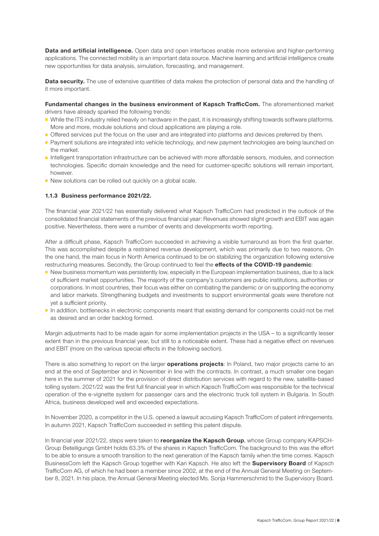Data and artificial intelligence. Open data and open interfaces enable more extensive and higher-performing applications. The connected mobility is an important data source. Machine learning and artificial intelligence create new opportunities for data analysis, simulation, forecasting, and management.

**Data security.** The use of extensive quantities of data makes the protection of personal data and the handling of it more important.

Fundamental changes in the business environment of Kapsch TrafficCom. The aforementioned market drivers have already sparked the following trends:

- While the ITS industry relied heavily on hardware in the past, it is increasingly shifting towards software platforms. More and more, module solutions and cloud applications are playing a role.
- Offered services put the focus on the user and are integrated into platforms and devices preferred by them.
- Payment solutions are integrated into vehicle technology, and new payment technologies are being launched on the market.
- Intelligent transportation infrastructure can be achieved with more affordable sensors, modules, and connection technologies. Specific domain knowledge and the need for customer-specific solutions will remain important, however.
- New solutions can be rolled out quickly on a global scale.

#### 1.1.3 Business performance 2021/22.

The financial year 2021/22 has essentially delivered what Kapsch TrafficCom had predicted in the outlook of the consolidated financial statements of the previous financial year: Revenues showed slight growth and EBIT was again positive. Nevertheless, there were a number of events and developments worth reporting.

After a difficult phase, Kapsch TrafficCom succeeded in achieving a visible turnaround as from the first quarter. This was accomplished despite a restrained revenue development, which was primarily due to two reasons. On the one hand, the main focus in North America continued to be on stabilizing the organization following extensive restructuring measures. Secondly, the Group continued to feel the **effects of the COVID-19 pandemic**:

- New business momentum was persistently low, especially in the European implementation business, due to a lack of sufficient market opportunities. The majority of the company's customers are public institutions, authorities or corporations. In most countries, their focus was either on combating the pandemic or on supporting the economy and labor markets. Strengthening budgets and investments to support environmental goals were therefore not yet a sufficient priority.
- In addition, bottlenecks in electronic components meant that existing demand for components could not be met as desired and an order backlog formed.

Margin adjustments had to be made again for some implementation projects in the USA – to a significantly lesser extent than in the previous financial year, but still to a noticeable extent. These had a negative effect on revenues and EBIT (more on the various special effects in the following section).

There is also something to report on the larger **operations projects**: In Poland, two major projects came to an end at the end of September and in November in line with the contracts. In contrast, a much smaller one began here in the summer of 2021 for the provision of direct distribution services with regard to the new, satellite-based tolling system. 2021/22 was the first full financial year in which Kapsch TrafficCom was responsible for the technical operation of the e-vignette system for passenger cars and the electronic truck toll system in Bulgaria. In South Africa, business developed well and exceeded expectations.

In November 2020, a competitor in the U.S. opened a lawsuit accusing Kapsch TrafficCom of patent infringements. In autumn 2021, Kapsch TrafficCom succeeded in settling this patent dispute.

In financial year 2021/22, steps were taken to reorganize the Kapsch Group, whose Group company KAPSCH-Group Beteiligungs GmbH holds 63.3% of the shares in Kapsch TrafficCom. The background to this was the effort to be able to ensure a smooth transition to the next generation of the Kapsch family when the time comes. Kapsch BusinessCom left the Kapsch Group together with Kari Kapsch. He also left the **Supervisory Board** of Kapsch TrafficCom AG, of which he had been a member since 2002, at the end of the Annual General Meeting on September 8, 2021. In his place, the Annual General Meeting elected Ms. Sonja Hammerschmid to the Supervisory Board.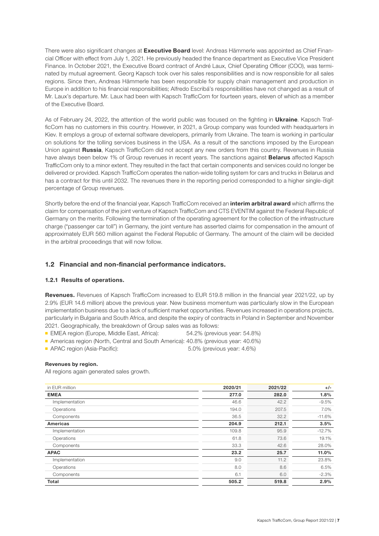There were also significant changes at Executive Board level: Andreas Hämmerle was appointed as Chief Financial Officer with effect from July 1, 2021. He previously headed the finance department as Executive Vice President Finance. In October 2021, the Executive Board contract of André Laux, Chief Operating Officer (COO), was terminated by mutual agreement. Georg Kapsch took over his sales responsibilities and is now responsible for all sales regions. Since then, Andreas Hämmerle has been responsible for supply chain management and production in Europe in addition to his financial responsibilities; Alfredo Escribá's responsibilities have not changed as a result of Mr. Laux's departure. Mr. Laux had been with Kapsch TrafficCom for fourteen years, eleven of which as a member of the Executive Board.

As of February 24, 2022, the attention of the world public was focused on the fighting in **Ukraine**. Kapsch TrafficCom has no customers in this country. However, in 2021, a Group company was founded with headquarters in Kiev. It employs a group of external software developers, primarily from Ukraine. The team is working in particular on solutions for the tolling services business in the USA. As a result of the sanctions imposed by the European Union against Russia, Kapsch TrafficCom did not accept any new orders from this country. Revenues in Russia have always been below 1% of Group revenues in recent years. The sanctions against **Belarus** affected Kapsch TrafficCom only to a minor extent. They resulted in the fact that certain components and services could no longer be delivered or provided. Kapsch TrafficCom operates the nation-wide tolling system for cars and trucks in Belarus and has a contract for this until 2032. The revenues there in the reporting period corresponded to a higher single-digit percentage of Group revenues.

Shortly before the end of the financial year, Kapsch TrafficCom received an *interim arbitral award* which affirms the claim for compensation of the joint venture of Kapsch TrafficCom and CTS EVENTIM against the Federal Republic of Germany on the merits. Following the termination of the operating agreement for the collection of the infrastructure charge ("passenger car toll") in Germany, the joint venture has asserted claims for compensation in the amount of approximately EUR 560 million against the Federal Republic of Germany. The amount of the claim will be decided in the arbitral proceedings that will now follow.

## 1.2 Financial and non-financial performance indicators.

#### 1.2.1 Results of operations.

Revenues. Revenues of Kapsch TrafficCom increased to EUR 519.8 million in the financial year 2021/22, up by 2.9% (EUR 14.6 million) above the previous year. New business momentum was particularly slow in the European implementation business due to a lack of sufficient market opportunities. Revenues increased in operations projects, particularly in Bulgaria and South Africa, and despite the expiry of contracts in Poland in September and November 2021. Geographically, the breakdown of Group sales was as follows:

- EMEA region (Europe, Middle East, Africa): 54.2% (previous year: 54.8%)
- Americas region (North, Central and South America): 40.8% (previous year: 40.6%)
- APAC region (Asia-Pacific): 5.0% (previous year: 4.6%)

#### Revenues by region.

All regions again generated sales growth.

| in EUR million  | 2020/21 | 2021/22 | $+/-$    |
|-----------------|---------|---------|----------|
| <b>EMEA</b>     | 277.0   | 282.0   | 1.8%     |
| Implementation  | 46.6    | 42.2    | $-9.5%$  |
| Operations      | 194.0   | 207.5   | 7.0%     |
| Components      | 36.5    | 32.2    | $-11.6%$ |
| <b>Americas</b> | 204.9   | 212.1   | 3.5%     |
| Implementation  | 109.8   | 95.9    | $-12.7%$ |
| Operations      | 61.8    | 73.6    | 19.1%    |
| Components      | 33.3    | 42.6    | 28.0%    |
| <b>APAC</b>     | 23.2    | 25.7    | 11.0%    |
| Implementation  | 9.0     | 11.2    | 23.8%    |
| Operations      | 8.0     | 8.6     | 6.5%     |
| Components      | 6.1     | 6.0     | $-2.3%$  |
| <b>Total</b>    | 505.2   | 519.8   | 2.9%     |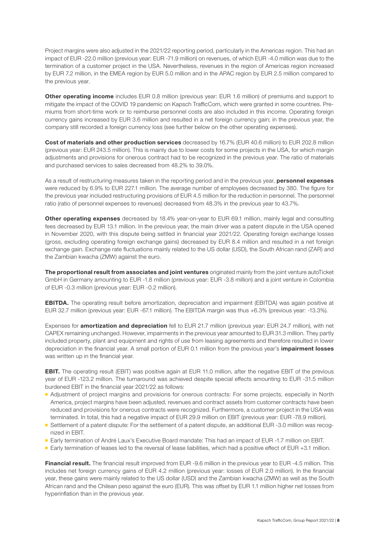Project margins were also adjusted in the 2021/22 reporting period, particularly in the Americas region. This had an impact of EUR -22.0 million (previous year: EUR -71.9 million) on revenues, of which EUR -4.0 million was due to the termination of a customer project in the USA. Nevertheless, revenues in the region of Americas region increased by EUR 7.2 million, in the EMEA region by EUR 5.0 million and in the APAC region by EUR 2.5 million compared to the previous year.

Other operating income includes EUR 0.8 million (previous year: EUR 1.6 million) of premiums and support to mitigate the impact of the COVID 19 pandemic on Kapsch TrafficCom, which were granted in some countries. Premiums from short-time work or to reimburse personnel costs are also included in this income. Operating foreign currency gains increased by EUR 3.6 million and resulted in a net foreign currency gain; in the previous year, the company still recorded a foreign currency loss (see further below on the other operating expenses).

Cost of materials and other production services decreased by 16.7% (EUR 40.6 million) to EUR 202.8 million (previous year: EUR 243.5 million). This is mainly due to lower costs for some projects in the USA, for which margin adjustments and provisions for onerous contract had to be recognized in the previous year. The ratio of materials and purchased services to sales decreased from 48.2% to 39.0%.

As a result of restructuring measures taken in the reporting period and in the previous year, **personnel expenses** were reduced by 6.9% to EUR 227.1 million. The average number of employees decreased by 380. The figure for the previous year included restructuring provisions of EUR 4.5 million for the reduction in personnel. The personnel ratio (ratio of personnel expenses to revenues) decreased from 48.3% in the previous year to 43.7%.

Other operating expenses decreased by 18.4% year-on-year to EUR 69.1 million, mainly legal and consulting fees decreased by EUR 13.1 million. In the previous year, the main driver was a patent dispute in the USA opened in November 2020, with this dispute being settled in financial year 2021/22. Operating foreign exchange losses (gross, excluding operating foreign exchange gains) decreased by EUR 8.4 million and resulted in a net foreign exchange gain. Exchange rate fluctuations mainly related to the US dollar (USD), the South African rand (ZAR) and the Zambian kwacha (ZMW) against the euro.

The proportional result from associates and joint ventures originated mainly from the joint venture autoTicket GmbH in Germany amounting to EUR -1.8 million (previous year: EUR -3.8 million) and a joint venture in Colombia of EUR -0.3 million (previous year: EUR -0.2 million).

EBITDA. The operating result before amortization, depreciation and impairment (EBITDA) was again positive at EUR 32.7 million (previous year: EUR -67.1 million). The EBITDA margin was thus +6.3% (previous year: -13.3%).

Expenses for **amortization and depreciation** fell to EUR 21.7 million (previous year: EUR 24.7 million), with net CAPEX remaining unchanged. However, impairments in the previous year amounted to EUR 31.3 million. They partly included property, plant and equipment and rights of use from leasing agreements and therefore resulted in lower depreciation in the financial year. A small portion of EUR 0.1 million from the previous year's impairment losses was written up in the financial year.

EBIT. The operating result (EBIT) was positive again at EUR 11.0 million, after the negative EBIT of the previous year of EUR -123.2 million. The turnaround was achieved despite special effects amounting to EUR -31.5 million burdened EBIT in the financial year 2021/22 as follows:

- Adjustment of project margins and provisions for onerous contracts: For some projects, especially in North America, project margins have been adjusted, revenues and contract assets from customer contracts have been reduced and provisions for onerous contracts were recognized. Furthermore, a customer project in the USA was terminated. In total, this had a negative impact of EUR 29.9 million on EBIT (previous year: EUR -78.9 million).
- Settlement of a patent dispute: For the settlement of a patent dispute, an additional EUR -3.0 million was recognized in EBIT.
- Early termination of André Laux's Executive Board mandate: This had an impact of EUR -1.7 million on EBIT.
- Early termination of leases led to the reversal of lease liabilities, which had a positive effect of EUR +3.1 million.

Financial result. The financial result improved from EUR -9.6 million in the previous year to EUR -4.5 million. This includes net foreign currency gains of EUR 4.2 million (previous year: losses of EUR 2.0 million). In the financial year, these gains were mainly related to the US dollar (USD) and the Zambian kwacha (ZMW) as well as the South African rand and the Chilean peso against the euro (EUR). This was offset by EUR 1.1 million higher net losses from hyperinflation than in the previous year.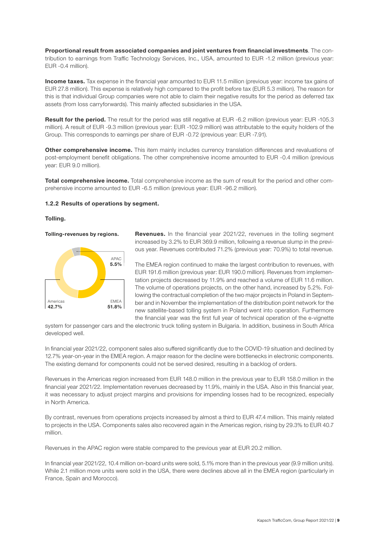Proportional result from associated companies and joint ventures from financial investments. The contribution to earnings from Traffic Technology Services, Inc., USA, amounted to EUR -1.2 million (previous year: EUR -0.4 million).

Income taxes. Tax expense in the financial year amounted to EUR 11.5 million (previous year: income tax gains of EUR 27.8 million). This expense is relatively high compared to the profit before tax (EUR 5.3 million). The reason for this is that individual Group companies were not able to claim their negative results for the period as deferred tax assets (from loss carryforwards). This mainly affected subsidiaries in the USA.

Result for the period. The result for the period was still negative at EUR -6.2 million (previous year: EUR -105.3 million). A result of EUR -9.3 million (previous year: EUR -102.9 million) was attributable to the equity holders of the Group. This corresponds to earnings per share of EUR -0.72 (previous year: EUR -7.91).

Other comprehensive income. This item mainly includes currency translation differences and revaluations of post-employment benefit obligations. The other comprehensive income amounted to EUR -0.4 million (previous year: EUR 9.0 million).

Total comprehensive income. Total comprehensive income as the sum of result for the period and other comprehensive income amounted to EUR -6.5 million (previous year: EUR -96.2 million).

#### 1.2.2 Results of operations by segment.

#### Tolling.

#### Tolling-revenues by regions.



Revenues. In the financial year 2021/22, revenues in the tolling segment increased by 3.2% to EUR 369.9 million, following a revenue slump in the previous year. Revenues contributed 71.2% (previous year: 70.9%) to total revenue.

The EMEA region continued to make the largest contribution to revenues, with EUR 191.6 million (previous year: EUR 190.0 million). Revenues from implementation projects decreased by 11.9% and reached a volume of EUR 11.6 million. The volume of operations projects, on the other hand, increased by 5.2%. Following the contractual completion of the two major projects in Poland in September and in November the implementation of the distribution point network for the new satellite-based tolling system in Poland went into operation. Furthermore the financial year was the first full year of technical operation of the e-vignette

system for passenger cars and the electronic truck tolling system in Bulgaria. In addition, business in South Africa developed well.

In financial year 2021/22, component sales also suffered significantly due to the COVID-19 situation and declined by 12.7% year-on-year in the EMEA region. A major reason for the decline were bottlenecks in electronic components. The existing demand for components could not be served desired, resulting in a backlog of orders.

Revenues in the Americas region increased from EUR 148.0 million in the previous year to EUR 158.0 million in the financial year 2021/22. Implementation revenues decreased by 11.9%, mainly in the USA. Also in this financial year, it was necessary to adjust project margins and provisions for impending losses had to be recognized, especially in North America.

By contrast, revenues from operations projects increased by almost a third to EUR 47.4 million. This mainly related to projects in the USA. Components sales also recovered again in the Americas region, rising by 29.3% to EUR 40.7 million.

Revenues in the APAC region were stable compared to the previous year at EUR 20.2 million.

In financial year 2021/22, 10.4 million on-board units were sold, 5.1% more than in the previous year (9.9 million units). While 2.1 million more units were sold in the USA, there were declines above all in the EMEA region (particularly in France, Spain and Morocco).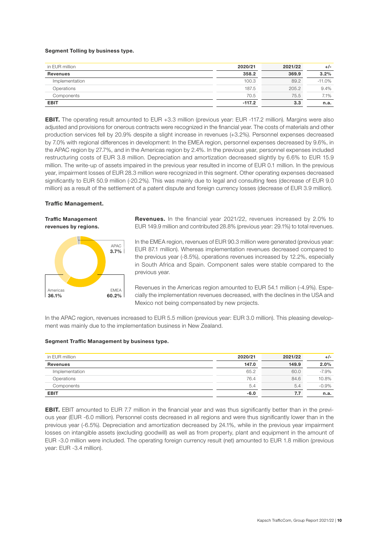#### Segment Tolling by business type.

| in EUR million  | 2020/21  | 2021/22 | $+/-$    |
|-----------------|----------|---------|----------|
|                 |          |         |          |
| <b>Revenues</b> | 358.2    | 369.9   | 3.2%     |
| Implementation  | 100.3    | 89.2    | $-11.0%$ |
| Operations      | 187.5    | 205.2   | 9.4%     |
| Components      | 70.5     | 75.5    | 7.1%     |
| <b>EBIT</b>     | $-117.2$ | 3.3     | n.a.     |

EBIT. The operating result amounted to EUR +3.3 million (previous year: EUR -117.2 million). Margins were also adjusted and provisions for onerous contracts were recognized in the financial year. The costs of materials and other production services fell by 20.9% despite a slight increase in revenues (+3.2%). Personnel expenses decreased by 7.0% with regional differences in development: In the EMEA region, personnel expenses decreased by 9.6%, in the APAC region by 27.7%, and in the Americas region by 2.4%. In the previous year, personnel expenses included restructuring costs of EUR 3.8 million. Depreciation and amortization decreased slightly by 6.6% to EUR 15.9 million. The write-up of assets impaired in the previous year resulted in income of EUR 0.1 million. In the previous year, impairment losses of EUR 28.3 million were recognized in this segment. Other operating expenses decreased significantly to EUR 50.9 million (-20.2%). This was mainly due to legal and consulting fees (decrease of EUR 9.0 million) as a result of the settlement of a patent dispute and foreign currency losses (decrease of EUR 3.9 million).

#### Traffic Management.

Traffic Management revenues by regions.



Revenues. In the financial year 2021/22, revenues increased by 2.0% to EUR 149.9 million and contributed 28.8% (previous year: 29.1%) to total revenues.

In the EMEA region, revenues of EUR 90.3 million were generated (previous year: EUR 87.1 million). Whereas implementation revenues decreased compared to the previous year (-8.5%), operations revenues increased by 12.2%, especially in South Africa and Spain. Component sales were stable compared to the previous year.

Revenues in the Americas region amounted to EUR 54.1 million (-4.9%). Especially the implementation revenues decreased, with the declines in the USA and Mexico not being compensated by new projects.

In the APAC region, revenues increased to EUR 5.5 million (previous year: EUR 3.0 million). This pleasing development was mainly due to the implementation business in New Zealand.

#### Segment Traffic Management by business type.

| in EUR million  | 2020/21 | 2021/22 | $+/-$   |
|-----------------|---------|---------|---------|
| <b>Revenues</b> | 147.0   | 149.9   | $2.0\%$ |
| Implementation  | 65.2    | 60.0    | $-7.9%$ |
| Operations      | 76.4    | 84.6    | 10.8%   |
| Components      | 5.4     | 5.4     | $-0.9%$ |
| <b>EBIT</b>     | $-6.0$  | 7.7     | n.a.    |

**EBIT.** EBIT amounted to EUR 7.7 million in the financial year and was thus significantly better than in the previous year (EUR -6.0 million). Personnel costs decreased in all regions and were thus significantly lower than in the previous year (-6.5%). Depreciation and amortization decreased by 24.1%, while in the previous year impairment losses on intangible assets (excluding goodwill) as well as from property, plant and equipment in the amount of EUR -3.0 million were included. The operating foreign currency result (net) amounted to EUR 1.8 million (previous year: EUR -3.4 million).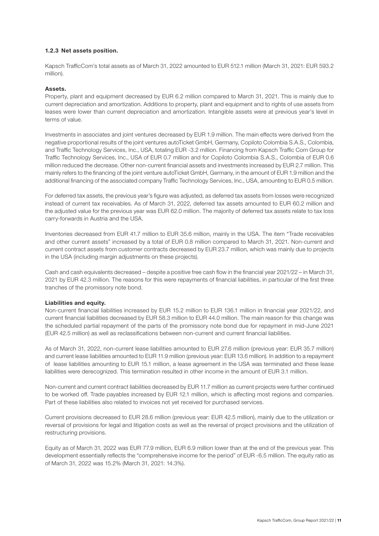#### 1.2.3 Net assets position.

Kapsch TrafficCom's total assets as of March 31, 2022 amounted to EUR 512.1 million (March 31, 2021: EUR 593.2 million).

#### Assets.

Property, plant and equipment decreased by EUR 6.2 million compared to March 31, 2021. This is mainly due to current depreciation and amortization. Additions to property, plant and equipment and to rights of use assets from leases were lower than current depreciation and amortization. Intangible assets were at previous year's level in terms of value.

Investments in associates and joint ventures decreased by EUR 1.9 million. The main effects were derived from the negative proportional results of the joint ventures autoTicket GmbH, Germany, Copiloto Colombia S.A.S., Colombia, and Traffic Technology Services, Inc., USA, totaling EUR -3.2 million. Financing from Kapsch Traffic Com Group for Traffic Technology Services, Inc., USA of EUR 0.7 million and for Copiloto Colombia S.A.S., Colombia of EUR 0.6 million reduced the decrease. Other non-current financial assets and investments increased by EUR 2.7 million. This mainly refers to the financing of the joint venture autoTicket GmbH, Germany, in the amount of EUR 1.9 million and the additional financing of the associated company Traffic Technology Services, Inc., USA, amounting to EUR 0.5 million.

For deferred tax assets, the previous year's figure was adjusted, as deferred tax assets from losses were recognized instead of current tax receivables. As of March 31, 2022, deferred tax assets amounted to EUR 60.2 million and the adjusted value for the previous year was EUR 62.0 million. The majority of deferred tax assets relate to tax loss carry-forwards in Austria and the USA.

Inventories decreased from EUR 41.7 million to EUR 35.6 million, mainly in the USA. The item "Trade receivables and other current assets" increased by a total of EUR 0.8 million compared to March 31, 2021. Non-current and current contract assets from customer contracts decreased by EUR 23.7 million, which was mainly due to projects in the USA (including margin adjustments on these projects).

Cash and cash equivalents decreased – despite a positive free cash flow in the financial year 2021/22 – in March 31, 2021 by EUR 42.3 million. The reasons for this were repayments of financial liabilities, in particular of the first three tranches of the promissory note bond.

#### Liabilities and equity.

Non-current financial liabilities increased by EUR 15.2 million to EUR 136.1 million in financial year 2021/22, and current financial liabilities decreased by EUR 58.3 million to EUR 44.0 million. The main reason for this change was the scheduled partial repayment of the parts of the promissory note bond due for repayment in mid-June 2021 (EUR 42.5 million) as well as reclassifications between non-current and current financial liabilities.

As of March 31, 2022, non-current lease liabilities amounted to EUR 27.6 million (previous year: EUR 35.7 million) and current lease liabilities amounted to EUR 11.9 million (previous year: EUR 13.6 million). In addition to a repayment of lease liabilities amounting to EUR 15.1 million, a lease agreement in the USA was terminated and these lease liabilities were derecognized. This termination resulted in other income in the amount of EUR 3.1 million.

Non-current and current contract liabilities decreased by EUR 11.7 million as current projects were further continued to be worked off. Trade payables increased by EUR 12.1 million, which is affecting most regions and companies. Part of these liabilities also related to invoices not yet received for purchased services.

Current provisions decreased to EUR 28.6 million (previous year: EUR 42.5 million), mainly due to the utilization or reversal of provisions for legal and litigation costs as well as the reversal of project provisions and the utilization of restructuring provisions.

Equity as of March 31, 2022 was EUR 77.9 million, EUR 6.9 million lower than at the end of the previous year. This development essentially reflects the "comprehensive income for the period" of EUR -6.5 million. The equity ratio as of March 31, 2022 was 15.2% (March 31, 2021: 14.3%).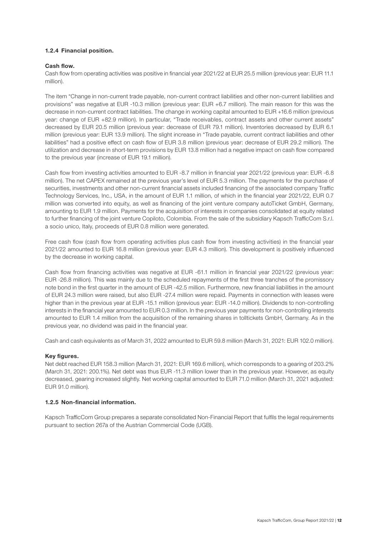#### 1.2.4 Financial position.

#### Cash flow.

Cash flow from operating activities was positive in financial year 2021/22 at EUR 25.5 million (previous year: EUR 11.1 million).

The item "Change in non-current trade payable, non-current contract liabilities and other non-current liabilities and provisions" was negative at EUR -10.3 million (previous year: EUR +6.7 million). The main reason for this was the decrease in non-current contract liabilities. The change in working capital amounted to EUR +16.6 million (previous year: change of EUR +82.9 million). In particular, "Trade receivables, contract assets and other current assets" decreased by EUR 20.5 million (previous year: decrease of EUR 79.1 million). Inventories decreased by EUR 6.1 million (previous year: EUR 13.9 million). The slight increase in "Trade payable, current contract liabilities and other liabilities" had a positive effect on cash flow of EUR 3.8 million (previous year: decrease of EUR 29.2 million). The utilization and decrease in short-term provisions by EUR 13.8 million had a negative impact on cash flow compared to the previous year (increase of EUR 19.1 million).

Cash flow from investing activities amounted to EUR -8.7 million in financial year 2021/22 (previous year: EUR -6.8 million). The net CAPEX remained at the previous year's level of EUR 5.3 million. The payments for the purchase of securities, investments and other non-current financial assets included financing of the associated company Traffic Technology Services, Inc., USA, in the amount of EUR 1.1 million, of which in the financial year 2021/22, EUR 0.7 million was converted into equity, as well as financing of the joint venture company autoTicket GmbH, Germany, amounting to EUR 1.9 million. Payments for the acquisition of interests in companies consolidated at equity related to further financing of the joint venture Copiloto, Colombia. From the sale of the subsidiary Kapsch TrafficCom S.r.l. a socio unico, Italy, proceeds of EUR 0.8 million were generated.

Free cash flow (cash flow from operating activities plus cash flow from investing activities) in the financial year 2021/22 amounted to EUR 16.8 million (previous year: EUR 4.3 million). This development is positively influenced by the decrease in working capital.

Cash flow from financing activities was negative at EUR -61.1 million in financial year 2021/22 (previous year: EUR -26.8 million). This was mainly due to the scheduled repayments of the first three tranches of the promissory note bond in the first quarter in the amount of EUR -42.5 million. Furthermore, new financial liabilities in the amount of EUR 24.3 million were raised, but also EUR -27.4 million were repaid. Payments in connection with leases were higher than in the previous year at EUR -15.1 million (previous year: EUR -14.0 million). Dividends to non-controlling interests in the financial year amounted to EUR 0.3 million. In the previous year payments for non-controlling interests amounted to EUR 1.4 million from the acquisition of the remaining shares in tolltickets GmbH, Germany. As in the previous year, no dividend was paid in the financial year.

Cash and cash equivalents as of March 31, 2022 amounted to EUR 59.8 million (March 31, 2021: EUR 102.0 million).

#### Key figures.

Net debt reached EUR 158.3 million (March 31, 2021: EUR 169.6 million), which corresponds to a gearing of 203.2% (March 31, 2021: 200.1%). Net debt was thus EUR -11.3 million lower than in the previous year. However, as equity decreased, gearing increased slightly. Net working capital amounted to EUR 71.0 million (March 31, 2021 adjusted: EUR 91.0 million).

#### 1.2.5 Non-financial information.

Kapsch TrafficCom Group prepares a separate consolidated Non-Financial Report that fulfils the legal requirements pursuant to section 267a of the Austrian Commercial Code (UGB).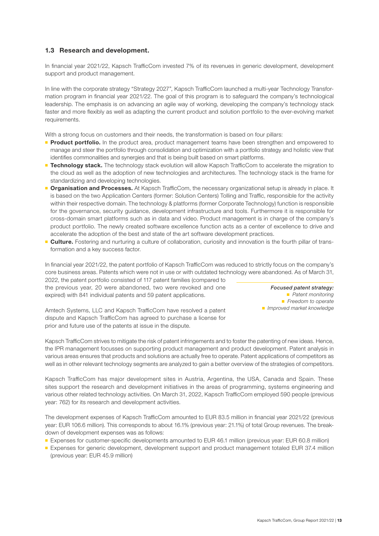## 1.3 Research and development.

In financial year 2021/22, Kapsch TrafficCom invested 7% of its revenues in generic development, development support and product management.

In line with the corporate strategy "Strategy 2027", Kapsch TrafficCom launched a multi-year Technology Transformation program in financial year 2021/22. The goal of this program is to safeguard the company's technological leadership. The emphasis is on advancing an agile way of working, developing the company's technology stack faster and more flexibly as well as adapting the current product and solution portfolio to the ever-evolving market requirements.

With a strong focus on customers and their needs, the transformation is based on four pillars:

- **Product portfolio.** In the product area, product management teams have been strengthen and empowered to manage and steer the portfolio through consolidation and optimization with a portfolio strategy and holistic view that identifies commonalities and synergies and that is being built based on smart platforms.
- **Exercise stack.** The technology stack evolution will allow Kapsch TrafficCom to accelerate the migration to the cloud as well as the adoption of new technologies and architectures. The technology stack is the frame for standardizing and developing technologies.
- **Drganisation and Processes.** At Kapsch TrafficCom, the necessary organizational setup is already in place. It is based on the two Application Centers (former: Solution Centers) Tolling and Traffic, responsible for the activity within their respective domain. The technology & platforms (former Corporate Technology) function is responsible for the governance, security guidance, development infrastructure and tools. Furthermore it is responsible for cross-domain smart platforms such as in data and video. Product management is in charge of the company's product portfolio. The newly created software excellence function acts as a center of excellence to drive and accelerate the adoption of the best and state of the art software development practices.
- **Culture.** Fostering and nurturing a culture of collaboration, curiosity and innovation is the fourth pillar of transformation and a key success factor.

In financial year 2021/22, the patent portfolio of Kapsch TrafficCom was reduced to strictly focus on the company's core business areas. Patents which were not in use or with outdated technology were abandoned. As of March 31,

2022, the patent portfolio consisted of 117 patent families (compared to the previous year, 20 were abandoned, two were revoked and one expired) with 841 individual patents and 59 patent applications.

*Focused patent strategy: Patent monitoring Freedom to operate Improved market knowledge*

Amtech Systems, LLC and Kapsch TrafficCom have resolved a patent dispute and Kapsch TrafficCom has agreed to purchase a license for prior and future use of the patents at issue in the dispute.

Kapsch TrafficCom strives to mitigate the risk of patent infringements and to foster the patenting of new ideas. Hence, the IPR management focusses on supporting product management and product development. Patent analysis in various areas ensures that products and solutions are actually free to operate. Patent applications of competitors as well as in other relevant technology segments are analyzed to gain a better overview of the strategies of competitors.

Kapsch TrafficCom has major development sites in Austria, Argentina, the USA, Canada and Spain. These sites support the research and development initiatives in the areas of programming, systems engineering and various other related technology activities. On March 31, 2022, Kapsch TrafficCom employed 590 people (previous year: 762) for its research and development activities.

The development expenses of Kapsch TrafficCom amounted to EUR 83.5 million in financial year 2021/22 (previous year: EUR 106.6 million). This corresponds to about 16.1% (previous year: 21.1%) of total Group revenues. The breakdown of development expenses was as follows:

- Expenses for customer-specific developments amounted to EUR 46.1 million (previous year: EUR 60.8 million)
- Expenses for generic development, development support and product management totaled EUR 37.4 million (previous year: EUR 45.9 million)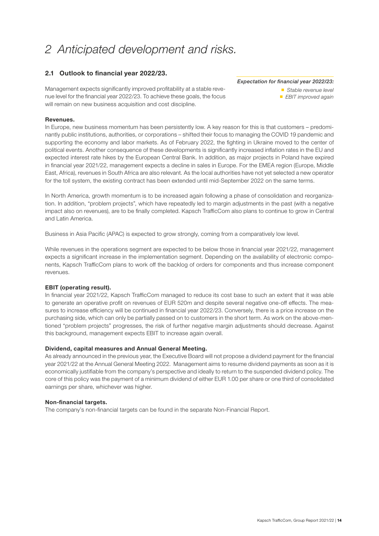# *2 Anticipated development and risks.*

# 2.1 Outlook to financial year 2022/23.

Management expects significantly improved profitability at a stable revenue level for the financial year 2022/23. To achieve these goals, the focus will remain on new business acquisition and cost discipline.

#### Revenues.

In Europe, new business momentum has been persistently low. A key reason for this is that customers – predominantly public institutions, authorities, or corporations – shifted their focus to managing the COVID 19 pandemic and supporting the economy and labor markets. As of February 2022, the fighting in Ukraine moved to the center of political events. Another consequence of these developments is significantly increased inflation rates in the EU and expected interest rate hikes by the European Central Bank. In addition, as major projects in Poland have expired in financial year 2021/22, management expects a decline in sales in Europe. For the EMEA region (Europe, Middle East, Africa), revenues in South Africa are also relevant. As the local authorities have not yet selected a new operator for the toll system, the existing contract has been extended until mid-September 2022 on the same terms.

In North America, growth momentum is to be increased again following a phase of consolidation and reorganization. In addition, "problem projects", which have repeatedly led to margin adjustments in the past (with a negative impact also on revenues), are to be finally completed. Kapsch TrafficCom also plans to continue to grow in Central and Latin America.

Business in Asia Pacific (APAC) is expected to grow strongly, coming from a comparatively low level.

While revenues in the operations segment are expected to be below those in financial year 2021/22, management expects a significant increase in the implementation segment. Depending on the availability of electronic components, Kapsch TrafficCom plans to work off the backlog of orders for components and thus increase component revenues.

#### EBIT (operating result).

In financial year 2021/22, Kapsch TrafficCom managed to reduce its cost base to such an extent that it was able to generate an operative profit on revenues of EUR 520m and despite several negative one-off effects. The measures to increase efficiency will be continued in financial year 2022/23. Conversely, there is a price increase on the purchasing side, which can only be partially passed on to customers in the short term. As work on the above-mentioned "problem projects" progresses, the risk of further negative margin adjustments should decrease. Against this background, management expects EBIT to increase again overall.

#### Dividend, capital measures and Annual General Meeting.

As already announced in the previous year, the Executive Board will not propose a dividend payment for the financial year 2021/22 at the Annual General Meeting 2022. Management aims to resume dividend payments as soon as it is economically justifiable from the company's perspective and ideally to return to the suspended dividend policy. The core of this policy was the payment of a minimum dividend of either EUR 1.00 per share or one third of consolidated earnings per share, whichever was higher.

#### Non-financial targets.

The company's non-financial targets can be found in the separate Non-Financial Report.

#### *Expectation for financial year 2022/23:*

 *Stable revenue level EBIT improved again*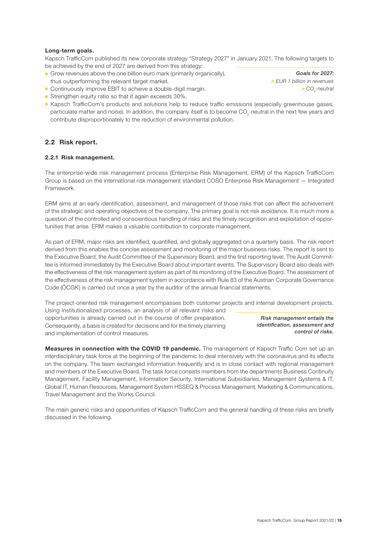#### Long-term goals.

Kapsch TrafficCom published its new corporate strategy "Strategy 2027" in January 2021. The following targets to be achieved by the end of 2027 are derived from this strategy:

- Grow revenues above the one billion euro mark (primarily organically), thus outperforming the relevant target market.
- Continuously improve EBIT to achieve a double-digit margin.
- Strengthen equity ratio so that it again exceeds 30%.
- Kapsch TrafficCom's products and solutions help to reduce traffic emissions (especially greenhouse gases, particulate matter and noise). In addition, the company itself is to become CO<sub>2</sub>-neutral in the next few years and contribute disproportionately to the reduction of environmental pollution.

#### 2.2 Risk report.

#### 2.2.1 Risk management.

The enterprise-wide risk management process (Enterprise Risk Management, ERM) of the Kapsch TrafficCom Group is based on the international risk management standard COSO Enterprise Risk Management — Integrated Framework.

ERM aims at an early identification, assessment, and management of those risks that can affect the achievement of the strategic and operating objectives of the company. The primary goal is not risk avoidance. It is much more a question of the controlled and conscientious handling of risks and the timely recognition and exploitation of opportunities that arise. ERM makes a valuable contribution to corporate management.

As part of ERM, major risks are identified, quantified, and globally aggregated on a quarterly basis. The risk report derived from this enables the concise assessment and monitoring of the major business risks. The report is sent to the Executive Board, the Audit Committee of the Supervisory Board, and the first reporting level. The Audit Committee is informed immediately by the Executive Board about important events. The Supervisory Board also deals with the effectiveness of the risk management system as part of its monitoring of the Executive Board. The assessment of the effectiveness of the risk management system in accordance with Rule 83 of the Austrian Corporate Governance Code (ÖCGK) is carried out once a year by the auditor of the annual financial statements.

The project-oriented risk management encompasses both customer projects and internal development projects. Using institutionalized processes, an analysis of all relevant risks and

opportunities is already carried out in the course of offer preparation. Consequently, a basis is created for decisions and for the timely planning and implementation of control measures.

*Risk management entails the identification, assessment and control of risks.*

Measures in connection with the COVID 19 pandemic. The management of Kapsch Traffic Com set up an interdisciplinary task force at the beginning of the pandemic to deal intensively with the coronavirus and its effects on the company. The team exchanged information frequently and is in close contact with regional management and members of the Executive Board. The task force consists members from the departments Business Continuity Management, Facility Management, Information Security, International Subsidiaries, Management Systems & IT, Global IT, Human Resources, Management System HSSEQ & Process Management, Marketing & Communications, Travel Management and the Works Council.

The main generic risks and opportunities of Kapsch TrafficCom and the general handling of these risks are briefly discussed in the following.

*Goals for 2027: EUR 1 billion in revenues CO2 -neutral*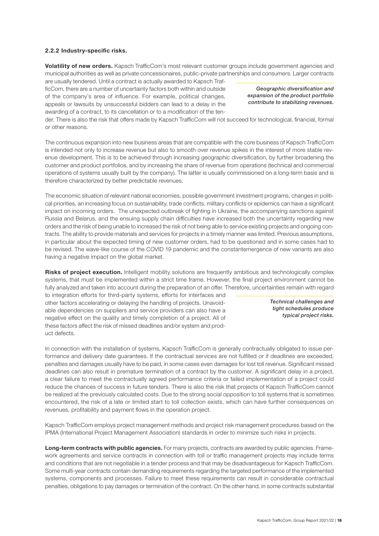#### 2.2.2 Industry-specific risks.

Volatility of new orders. Kapsch TrafficCom's most relevant customer groups include government agencies and municipal authorities as well as private concessionaires, public-private partnerships and consumers. Larger contracts

are usually tendered. Until a contract is actually awarded to Kapsch TrafficCom, there are a number of uncertainty factors both within and outside of the company's area of influence. For example, political changes, appeals or lawsuits by unsuccessful bidders can lead to a delay in the awarding of a contract, to its cancellation or to a modification of the ten-

*Geographic diversification and expansion of the product portfolio contribute to stabilizing revenues.*

der. There is also the risk that offers made by Kapsch TrafficCom will not succeed for technological, financial, formal or other reasons.

The continuous expansion into new business areas that are compatible with the core business of Kapsch TrafficCom is intended not only to increase revenue but also to smooth over revenue spikes in the interest of more stable revenue development. This is to be achieved through increasing geographic diversification, by further broadening the customer and product portfolios, and by increasing the share of revenue from operations (technical and commercial operations of systems usually built by the company). The latter is usually commissioned on a long-term basis and is therefore characterized by better predictable revenues.

The economic situation of relevant national economies, possible government investment programs, changes in political priorities, an increasing focus on sustainability, trade conflicts, military conflicts or epidemics can have a significant impact on incoming orders. The unexpected outbreak of fighting in Ukraine, the accompanying sanctions against Russia and Belarus, and the ensuing supply chain difficulties have increased both the uncertainty regarding new orders and the risk of being unable to increased the risk of not being able to service existing projects and ongoing contracts. The ability to provide materials and services for projects in a timely manner was limited. Previous assumptions, in particular about the expected timing of new customer orders, had to be questioned and in some cases had to be revised. The wave-like course of the COVID 19 pandemic and the constantemergence of new variants are also having a negative impact on the global market.

Risks of project execution. Intelligent mobility solutions are frequently ambitious and technologically complex systems, that must be implemented within a strict time frame. However, the final project environment cannot be fully analyzed and taken into account during the preparation of an offer. Therefore, uncertainties remain with regard

to integration efforts for third-party systems, efforts for interfaces and other factors accelerating or delaying the handling of projects. Unavoidable dependencies on suppliers and service providers can also have a negative effect on the quality and timely completion of a project. All of these factors affect the risk of missed deadlines and/or system and product defects.

*Technical challenges and tight schedules produce typical project risks.*

In connection with the installation of systems, Kapsch TrafficCom is generally contractually obligated to issue performance and delivery date guarantees. If the contractual services are not fulfilled or if deadlines are exceeded, penalties and damages usually have to be paid, in some cases even damages for lost toll revenue. Significant missed deadlines can also result in premature termination of a contract by the customer. A significant delay in a project, a clear failure to meet the contractually agreed performance criteria or failed implementation of a project could reduce the chances of success in future tenders. There is also the risk that projects of Kapsch TrafficCom cannot be realized at the previously calculated costs. Due to the strong social opposition to toll systems that is sometimes encountered, the risk of a late or limited start to toll collection exists, which can have further consequences on revenues, profitability and payment flows in the operation project.

Kapsch TrafficCom employs project management methods and project risk management procedures based on the IPMA (International Project Management Association) standards in order to minimize such risks in projects.

Long-term contracts with public agencies. For many projects, contracts are awarded by public agencies. Framework agreements and service contracts in connection with toll or traffic management projects may include terms and conditions that are not negotiable in a tender process and that may be disadvantageous for Kapsch TrafficCom. Some multi-year contracts contain demanding requirements regarding the targeted performance of the implemented systems, components and processes. Failure to meet these requirements can result in considerable contractual penalties, obligations to pay damages or termination of the contract. On the other hand, in some contracts substantial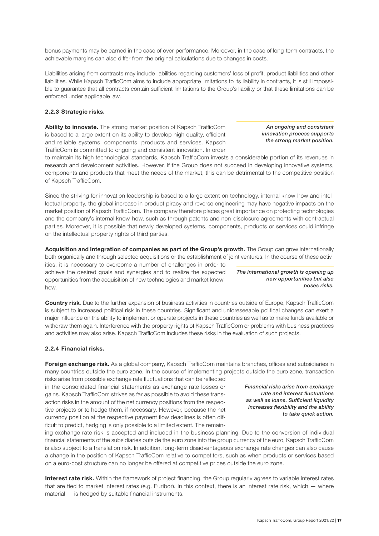bonus payments may be earned in the case of over-performance. Moreover, in the case of long-term contracts, the achievable margins can also differ from the original calculations due to changes in costs.

Liabilities arising from contracts may include liabilities regarding customers' loss of profit, product liabilities and other liabilities. While Kapsch TrafficCom aims to include appropriate limitations to its liability in contracts, it is still impossible to guarantee that all contracts contain sufficient limitations to the Group's liability or that these limitations can be enforced under applicable law.

#### 2.2.3 Strategic risks.

Ability to innovate. The strong market position of Kapsch TrafficCom is based to a large extent on its ability to develop high quality, efficient and reliable systems, components, products and services. Kapsch TrafficCom is committed to ongoing and consistent innovation. In order

*An ongoing and consistent innovation process supports the strong market position.* 

to maintain its high technological standards, Kapsch TrafficCom invests a considerable portion of its revenues in research and development activities. However, if the Group does not succeed in developing innovative systems, components and products that meet the needs of the market, this can be detrimental to the competitive position of Kapsch TrafficCom.

Since the striving for innovation leadership is based to a large extent on technology, internal know-how and intellectual property, the global increase in product piracy and reverse engineering may have negative impacts on the market position of Kapsch TrafficCom. The company therefore places great importance on protecting technologies and the company's internal know-how, such as through patents and non-disclosure agreements with contractual parties. Moreover, it is possible that newly developed systems, components, products or services could infringe on the intellectual property rights of third parties.

Acquisition and integration of companies as part of the Group's growth. The Group can grow internationally both organically and through selected acquisitions or the establishment of joint ventures. In the course of these activ-

ities, it is necessary to overcome a number of challenges in order to achieve the desired goals and synergies and to realize the expected opportunities from the acquisition of new technologies and market knowhow.

#### *The international growth is opening up new opportunities but also poses risks.*

Country risk. Due to the further expansion of business activities in countries outside of Europe, Kapsch TrafficCom is subject to increased political risk in these countries. Significant and unforeseeable political changes can exert a major influence on the ability to implement or operate projects in these countries as well as to make funds available or withdraw them again. Interference with the property rights of Kapsch TrafficCom or problems with business practices and activities may also arise. Kapsch TrafficCom includes these risks in the evaluation of such projects.

#### 2.2.4 Financial risks.

Foreign exchange risk. As a global company, Kapsch TrafficCom maintains branches, offices and subsidiaries in many countries outside the euro zone. In the course of implementing projects outside the euro zone, transaction

risks arise from possible exchange rate fluctuations that can be reflected in the consolidated financial statements as exchange rate losses or gains. Kapsch TrafficCom strives as far as possible to avoid these transaction risks in the amount of the net currency positions from the respective projects or to hedge them, if necessary. However, because the net currency position at the respective payment flow deadlines is often difficult to predict, hedging is only possible to a limited extent. The remain-

*Financial risks arise from exchange rate and interest fluctuations as well as loans. Sufficient liquidity increases flexibility and the ability to take quick action.*

ing exchange rate risk is accepted and included in the business planning. Due to the conversion of individual financial statements of the subsidiaries outside the euro zone into the group currency of the euro, Kapsch TrafficCom is also subject to a translation risk. In addition, long-term disadvantageous exchange rate changes can also cause a change in the position of Kapsch TrafficCom relative to competitors, such as when products or services based on a euro-cost structure can no longer be offered at competitive prices outside the euro zone.

Interest rate risk. Within the framework of project financing, the Group regularly agrees to variable interest rates that are tied to market interest rates (e.g. Euribor). In this context, there is an interest rate risk, which — where material — is hedged by suitable financial instruments.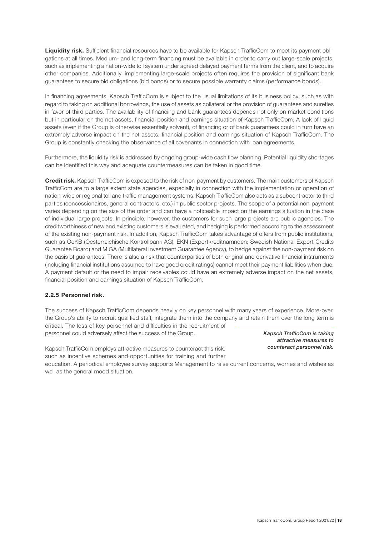Liquidity risk. Sufficient financial resources have to be available for Kapsch TrafficCom to meet its payment obligations at all times. Medium- and long-term financing must be available in order to carry out large-scale projects, such as implementing a nation-wide toll system under agreed delayed payment terms from the client, and to acquire other companies. Additionally, implementing large-scale projects often requires the provision of significant bank guarantees to secure bid obligations (bid bonds) or to secure possible warranty claims (performance bonds).

In financing agreements, Kapsch TrafficCom is subject to the usual limitations of its business policy, such as with regard to taking on additional borrowings, the use of assets as collateral or the provision of guarantees and sureties in favor of third parties. The availability of financing and bank guarantees depends not only on market conditions but in particular on the net assets, financial position and earnings situation of Kapsch TrafficCom. A lack of liquid assets (even if the Group is otherwise essentially solvent), of financing or of bank guarantees could in turn have an extremely adverse impact on the net assets, financial position and earnings situation of Kapsch TrafficCom. The Group is constantly checking the observance of all covenants in connection with loan agreements.

Furthermore, the liquidity risk is addressed by ongoing group-wide cash flow planning. Potential liquidity shortages can be identified this way and adequate countermeasures can be taken in good time.

Credit risk. Kapsch TrafficCom is exposed to the risk of non-payment by customers. The main customers of Kapsch TrafficCom are to a large extent state agencies, especially in connection with the implementation or operation of nation-wide or regional toll and traffic management systems. Kapsch TrafficCom also acts as a subcontractor to third parties (concessionaires, general contractors, etc.) in public sector projects. The scope of a potential non-payment varies depending on the size of the order and can have a noticeable impact on the earnings situation in the case of individual large projects. In principle, however, the customers for such large projects are public agencies. The creditworthiness of new and existing customers is evaluated, and hedging is performed according to the assessment of the existing non-payment risk. In addition, Kapsch TrafficCom takes advantage of offers from public institutions, such as OeKB (Oesterreichische Kontrollbank AG), EKN (Exportkreditnämnden; Swedish National Export Credits Guarantee Board) and MIGA (Multilateral Investment Guarantee Agency), to hedge against the non-payment risk on the basis of guarantees. There is also a risk that counterparties of both original and derivative financial instruments (including financial institutions assumed to have good credit ratings) cannot meet their payment liabilities when due. A payment default or the need to impair receivables could have an extremely adverse impact on the net assets, financial position and earnings situation of Kapsch TrafficCom.

### 2.2.5 Personnel risk.

The success of Kapsch TrafficCom depends heavily on key personnel with many years of experience. More-over, the Group's ability to recruit qualified staff, integrate them into the company and retain them over the long term is critical. The loss of key personnel and difficulties in the recruitment of

personnel could adversely affect the success of the Group.

Kapsch TrafficCom employs attractive measures to counteract this risk, such as incentive schemes and opportunities for training and further

education. A periodical employee survey supports Management to raise current concerns, worries and wishes as well as the general mood situation.

*Kapsch TrafficCom is taking attractive measures to counteract personnel risk.*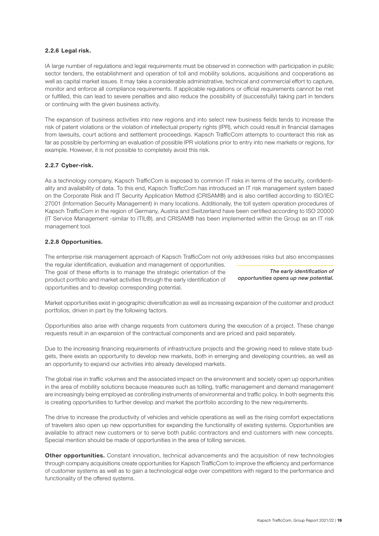#### 2.2.6 Legal risk.

IA large number of regulations and legal requirements must be observed in connection with participation in public sector tenders, the establishment and operation of toll and mobility solutions, acquisitions and cooperations as well as capital market issues. It may take a considerable administrative, technical and commercial effort to capture, monitor and enforce all compliance requirements. If applicable regulations or official requirements cannot be met or fulfilled, this can lead to severe penalties and also reduce the possibility of (successfully) taking part in tenders or continuing with the given business activity.

The expansion of business activities into new regions and into select new business fields tends to increase the risk of patent violations or the violation of intellectual property rights (IPR), which could result in financial damages from lawsuits, court actions and settlement proceedings. Kapsch TrafficCom attempts to counteract this risk as far as possible by performing an evaluation of possible IPR violations prior to entry into new markets or regions, for example. However, it is not possible to completely avoid this risk.

#### 2.2.7 Cyber-risk.

As a technology company, Kapsch TrafficCom is exposed to common IT risks in terms of the security, confidentiality and availability of data. To this end, Kapsch TrafficCom has introduced an IT risk management system based on the Corporate Risk and IT Security Application Method (CRISAM®) and is also certified according to ISO/IEC 27001 (Information Security Management) in many locations. Additionally, the toll system operation procedures of Kapsch TrafficCom in the region of Germany, Austria and Switzerland have been certified according to ISO 20000 (IT Service Management -similar to ITIL®), and CRISAM® has been implemented within the Group as an IT risk management tool.

#### 2.2.8 Opportunities.

The enterprise risk management approach of Kapsch TrafficCom not only addresses risks but also encompasses the regular identification, evaluation and management of opportunities.

The goal of these efforts is to manage the strategic orientation of the product portfolio and market activities through the early identification of opportunities and to develop corresponding potential.

*The early identification of opportunities opens up new potential.*

Market opportunities exist in geographic diversification as well as increasing expansion of the customer and product portfolios, driven in part by the following factors.

Opportunities also arise with change requests from customers during the execution of a project. These change requests result in an expansion of the contractual components and are priced and paid separately.

Due to the increasing financing requirements of infrastructure projects and the growing need to relieve state budgets, there exists an opportunity to develop new markets, both in emerging and developing countries, as well as an opportunity to expand our activities into already developed markets.

The global rise in traffic volumes and the associated impact on the environment and society open up opportunities in the area of mobility solutions because measures such as tolling, traffic management and demand management are increasingly being employed as controlling instruments of environmental and traffic policy. In both segments this is creating opportunities to further develop and market the portfolio according to the new requirements.

The drive to increase the productivity of vehicles and vehicle operations as well as the rising comfort expectations of travelers also open up new opportunities for expanding the functionality of existing systems. Opportunities are available to attract new customers or to serve both public contractors and end customers with new concepts. Special mention should be made of opportunities in the area of tolling services.

Other opportunities. Constant innovation, technical advancements and the acquisition of new technologies through company acquisitions create opportunities for Kapsch TrafficCom to improve the efficiency and performance of customer systems as well as to gain a technological edge over competitors with regard to the performance and functionality of the offered systems.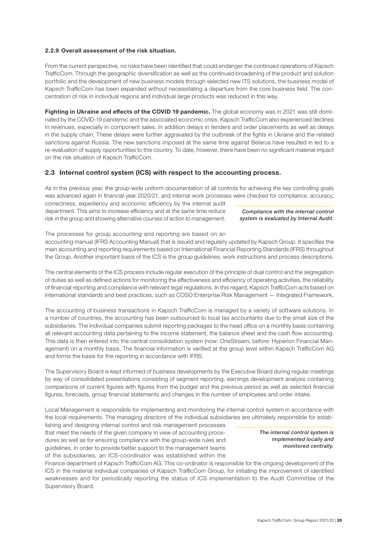#### 2.2.9 Overall assessment of the risk situation.

From the current perspective, no risks have been identified that could endanger the continued operations of Kapsch TrafficCom. Through the geographic diversification as well as the continued broadening of the product and solution portfolio and the development of new business models through selected new ITS solutions, the business model of Kapsch TrafficCom has been expanded without necessitating a departure from the core business field. The concentration of risk in individual regions and individual large products was reduced in this way.

Fighting in Ukraine and effects of the COVID 19 pandemic. The global economy was in 2021 was still dominated by the COVID-19 pandemic and the associated economic crisis. Kapsch TrafficCom also experienced declines in revenues, especially in component sales. In addition delays in tenders and order placements as well as delays in the supply chain. These delays were further aggravated by the outbreak of the fights in Ukraine and the related sanctions against Russia. The new sanctions imposed at the same time against Belarus have resulted in led to a re-evaluation of supply opportunities to this country. To date, however, there have been no significant material impact on the risk situation of Kapsch TrafficCom.

#### 2.3 Internal control system (ICS) with respect to the accounting process.

As in the previous year, the group-wide uniform documentation of all controls for achieving the key controlling goals was advanced again in financial year 2020/21, and internal work processes were checked for compliance, accuracy,

correctness, expediency and economic efficiency by the internal audit department. This aims to increase efficiency and at the same time reduce risk in the group and showing alternative courses of action to management.

*Compliance with the internal control system is evaluated by Internal Audit.* 

The processes for group accounting and reporting are based on an accounting manual (IFRS Accounting Manual) that is issued and regularly updated by Kapsch Group. It specifies the main accounting and reporting requirements based on International Financial Reporting Standards (IFRS) throughout the Group. Another important basis of the ICS is the group guidelines, work instructions and process descriptions.

The central elements of the ICS process include regular execution of the principle of dual control and the segregation of duties as well as defined actions for monitoring the effectiveness and efficiency of operating activities, the reliability of financial reporting and compliance with relevant legal regulations. In this regard, Kapsch TrafficCom acts based on international standards and best practices, such as COSO Enterprise Risk Management — Integrated Framework.

The accounting of business transactions in Kapsch TrafficCom is managed by a variety of software solutions. In a number of countries, the accounting has been outsourced to local tax accountants due to the small size of the subsidiaries. The individual companies submit reporting packages to the head office on a monthly basis containing all relevant accounting data pertaining to the income statement, the balance sheet and the cash flow accounting. This data is then entered into the central consolidation system (now: OneStream, before: Hyperion Financial Management) on a monthly basis. The financial information is verified at the group level within Kapsch TrafficCom AG and forms the basis for the reporting in accordance with IFRS.

The Supervisory Board is kept informed of business developments by the Executive Board during regular meetings by way of consolidated presentations consisting of segment reporting, earnings development analysis containing comparisons of current figures with figures from the budget and the previous period as well as selected financial figures, forecasts, group financial statements and changes in the number of employees and order intake.

Local Management is responsible for implementing and monitoring the internal control system in accordance with the local requirements. The managing directors of the individual subsidiaries are ultimately responsible for estab-

lishing and designing internal control and risk management processes that meet the needs of the given company in view of accounting procedures as well as for ensuring compliance with the group-wide rules and guidelines. In order to provide better support to the management teams of the subsidiaries, an ICS-coordinator was established within the

*The internal control system is implemented locally and monitored centrally.*

Finance department of Kapsch TrafficCom AG. This co-ordinator is responsible for the ongoing development of the ICS in the material individual companies of Kapsch TrafficCom Group, for initiating the improvement of identified weaknesses and for periodically reporting the status of ICS implementation to the Audit Committee of the Supervisory Board.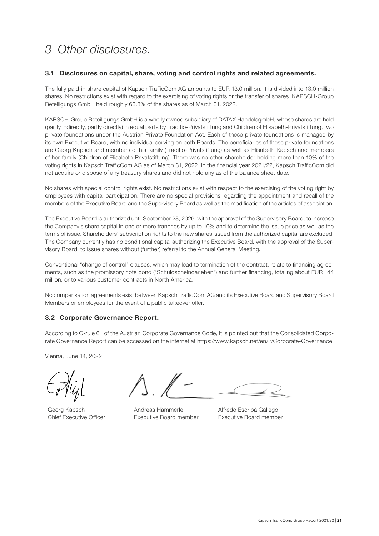# *3 Other disclosures.*

## 3.1 Disclosures on capital, share, voting and control rights and related agreements.

The fully paid-in share capital of Kapsch TrafficCom AG amounts to EUR 13.0 million. It is divided into 13.0 million shares. No restrictions exist with regard to the exercising of voting rights or the transfer of shares. KAPSCH-Group Beteiligungs GmbH held roughly 63.3% of the shares as of March 31, 2022.

KAPSCH-Group Beteiligungs GmbH is a wholly owned subsidiary of DATAX HandelsgmbH, whose shares are held (partly indirectly, partly directly) in equal parts by Traditio-Privatstiftung and Children of Elisabeth-Privatstiftung, two private foundations under the Austrian Private Foundation Act. Each of these private foundations is managed by its own Executive Board, with no individual serving on both Boards. The beneficiaries of these private foundations are Georg Kapsch and members of his family (Traditio-Privatstiftung) as well as Elisabeth Kapsch and members of her family (Children of Elisabeth-Privatstiftung). There was no other shareholder holding more than 10% of the voting rights in Kapsch TrafficCom AG as of March 31, 2022. In the financial year 2021/22, Kapsch TrafficCom did not acquire or dispose of any treasury shares and did not hold any as of the balance sheet date.

No shares with special control rights exist. No restrictions exist with respect to the exercising of the voting right by employees with capital participation. There are no special provisions regarding the appointment and recall of the members of the Executive Board and the Supervisory Board as well as the modification of the articles of association.

The Executive Board is authorized until September 28, 2026, with the approval of the Supervisory Board, to increase the Company's share capital in one or more tranches by up to 10% and to determine the issue price as well as the terms of issue. Shareholders' subscription rights to the new shares issued from the authorized capital are excluded. The Company currently has no conditional capital authorizing the Executive Board, with the approval of the Supervisory Board, to issue shares without (further) referral to the Annual General Meeting.

Conventional "change of control" clauses, which may lead to termination of the contract, relate to financing agreements, such as the promissory note bond ("Schuldscheindarlehen") and further financing, totaling about EUR 144 million, or to various customer contracts in North America.

No compensation agreements exist between Kapsch TrafficCom AG and its Executive Board and Supervisory Board Members or employees for the event of a public takeover offer.

# 3.2 Corporate Governance Report.

According to C-rule 61 of the Austrian Corporate Governance Code, it is pointed out that the Consolidated Corporate Governance Report can be accessed on the internet at https://www.kapsch.net/en/ir/Corporate-Governance.

Vienna, June 14, 2022

Georg Kapsch Chief Executive Officer

Andreas Hämmerle Executive Board member

Alfredo Escribá Gallego Executive Board member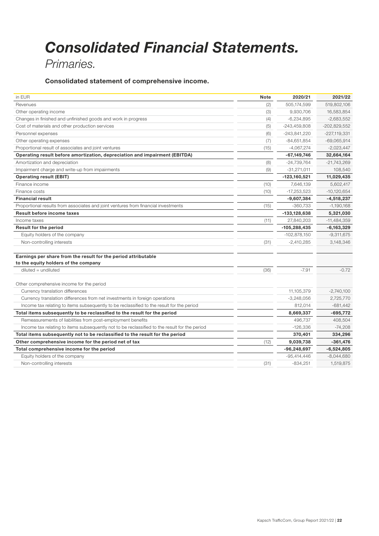# *Consolidated Financial Statements.*

*Primaries.*

# Consolidated statement of comprehensive income.

| in EUR                                                                                                 | <b>Note</b> | 2020/21        | 2021/22        |
|--------------------------------------------------------------------------------------------------------|-------------|----------------|----------------|
| Revenues                                                                                               | (2)         | 505,174,599    | 519,802,106    |
| Other operating income                                                                                 | (3)         | 9,930,706      | 16,583,854     |
| Changes in finished and unfinished goods and work in progress                                          | (4)         | $-6,234,895$   | $-2,683,552$   |
| Cost of materials and other production services                                                        | (5)         | $-243,459,808$ | $-202,829,552$ |
| Personnel expenses                                                                                     | (6)         | $-243,841,220$ | $-227,119,331$ |
| Other operating expenses                                                                               | (7)         | $-84,651,854$  | $-69,065,914$  |
| Proportional result of associates and joint ventures                                                   | (15)        | $-4,067,274$   | $-2,023,447$   |
| Operating result before amortization, depreciation and impairment (EBITDA)                             |             | -67,149,746    | 32,664,164     |
| Amortization and depreciation                                                                          | (8)         | -24,739,764    | $-21,743,269$  |
| Impairment charge and write-up from impairments                                                        | (9)         | $-31,271,011$  | 108,540        |
| <b>Operating result (EBIT)</b>                                                                         |             | -123,160,521   | 11,029,435     |
| Finance income                                                                                         | (10)        | 7,646,139      | 5,602,417      |
| Finance costs                                                                                          | (10)        | $-17,253,523$  | $-10,120,654$  |
| <b>Financial result</b>                                                                                |             | $-9,607,384$   | -4,518,237     |
| Proportional results from associates and joint ventures from financial investments                     | (15)        | $-360,733$     | $-1,190,168$   |
| <b>Result before income taxes</b>                                                                      |             | -133,128,638   | 5,321,030      |
| Income taxes                                                                                           | (11)        | 27,840,203     | $-11,484,359$  |
| <b>Result for the period</b>                                                                           |             | -105,288,435   | $-6,163,329$   |
| Equity holders of the company                                                                          |             | $-102,878,150$ | $-9,311,675$   |
| Non-controlling interests                                                                              | (31)        | $-2,410,285$   | 3,148,346      |
| Earnings per share from the result for the period attributable<br>to the equity holders of the company |             |                |                |
| $diluted = undiluted$                                                                                  | (36)        | $-7.91$        | $-0.72$        |
| Other comprehensive income for the period                                                              |             |                |                |
| Currency translation differences                                                                       |             | 11,105,379     | $-2,740,100$   |
| Currency translation differences from net investments in foreign operations                            |             | $-3,248,056$   | 2,725,770      |
| Income tax relating to items subsequently to be reclassified to the result for the period              |             | 812,014        | $-681,442$     |
| Total items subsequently to be reclassified to the result for the period                               |             | 8,669,337      | $-695,772$     |
| Remeasurements of liabilities from post-employment benefits                                            |             | 496,737        | 408,504        |
| Income tax relating to items subsequently not to be reclassified to the result for the period          |             | $-126,336$     | $-74,208$      |
| Total items subsequently not to be reclassified to the result for the period                           |             | 370,401        | 334,296        |
| Other comprehensive income for the period net of tax                                                   | (12)        | 9,039,738      | $-361,476$     |
| Total comprehensive income for the period                                                              |             | -96,248,697    | $-6,524,805$   |
| Equity holders of the company                                                                          |             | $-95,414,446$  | $-8,044,680$   |
| Non-controlling interests                                                                              | (31)        | $-834,251$     | 1,519,875      |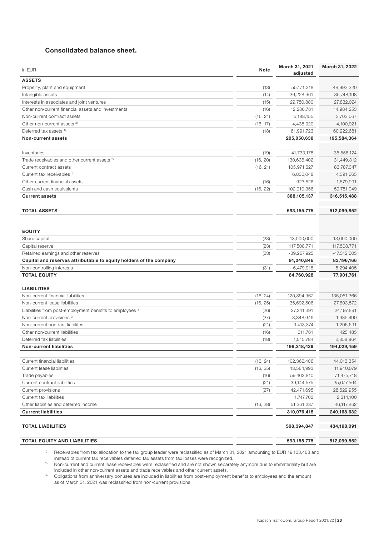#### Consolidated balance sheet.

| in EUR                                                             | <b>Note</b> | March 31, 2021<br>adjusted | March 31, 2022           |
|--------------------------------------------------------------------|-------------|----------------------------|--------------------------|
| <b>ASSETS</b>                                                      |             |                            |                          |
| Property, plant and equipment                                      | (13)        | 55,171,218                 | 48,993,220               |
| Intangible assets                                                  | (14)        | 36,228,961                 | 35,748,198               |
| Interests in associates and joint ventures                         | (15)        | 29,750,880                 | 27,832,024               |
| Other non-current financial assets and investments                 | (16)        | 12,280,781                 | 14,984,253               |
| Non-current contract assets                                        | (16, 21)    | 5,188,155                  | 3,703,067                |
| Other non-current assets <sup>2)</sup>                             | (16, 17)    | 4,438,920                  | 4,100,921                |
| Deferred tax assets <sup>1)</sup>                                  | (18)        | 61,991,723                 | 60,222,681               |
| <b>Non-current assets</b>                                          |             | 205,050,638                | 195,584,364              |
|                                                                    |             |                            |                          |
| Inventories                                                        | (19)        | 41,733,178                 | 35,556,124               |
| Trade receivables and other current assets <sup>2)</sup>           | (16, 20)    | 130,636,402                | 131,449,312              |
| Current contract assets                                            | (16, 21)    | 105,971,627                | 83,787,347               |
| Current tax receivables <sup>1)</sup>                              |             | 6,830,048                  | 4,391,665                |
| Other current financial assets                                     | (16)        | 923,526                    | 1,579,991                |
| Cash and cash equivalents                                          | (16, 22)    | 102,010,356                | 59,751,049               |
| <b>Current assets</b>                                              |             | 388,105,137                | 316,515,488              |
| <b>TOTAL ASSETS</b>                                                |             | 593, 155, 775              | 512,099,852              |
|                                                                    |             |                            |                          |
| <b>EQUITY</b>                                                      |             |                            |                          |
| Share capital                                                      | (23)        | 13,000,000                 | 13,000,000               |
| Capital reserve                                                    | (23)        | 117,508,771                | 117,508,771              |
| Retained earnings and other reserves                               | (23)        | -39,267,925                | -47,312,605              |
| Capital and reserves attributable to equity holders of the company |             | 91,240,846                 | 83,196,166               |
| Non-controlling interests                                          | (31)        | $-6,479,918$               | $-5,294,405$             |
| <b>TOTAL EQUITY</b>                                                |             | 84,760,928                 | 77,901,761               |
|                                                                    |             |                            |                          |
| <b>LIABILITIES</b>                                                 |             |                            |                          |
| Non-current financial liabilities                                  | (16, 24)    | 120,894,967                | 136,051,366              |
| Non-current lease liabilities                                      | (16, 25)    | 35,692,506                 | 27,603,572               |
| Liabilities from post-employment benefits to employees 3)          | (26)        | 27,341,391                 | 24,197,891               |
| Non-current provisions <sup>3)</sup>                               | (27)        | 3,348,646                  | 1,685,490                |
| Non-current contract liabilites                                    | (21)        | 9,413,374                  | 1,206,691                |
| Other non-current liabilities                                      | (16)        | 611,761                    | 425,485                  |
| Deferred tax liabilities                                           | (18)        | 1,015,784                  | 2,858,964                |
| <b>Non-current liabilities</b>                                     |             | 198,318,429                | 194,029,459              |
| Current financial liabilities                                      | (16, 24)    | 102,362,406                | 44,013,354               |
| Current lease liabilities                                          | (16, 25)    |                            |                          |
| Trade payables                                                     | (16)        | 13,584,993<br>59,403,810   | 11,940,079<br>71,475,718 |
|                                                                    |             |                            |                          |
| Current contract liabilities                                       | (21)        | 39,144,575                 | 35,677,564<br>28,629,955 |
| Current provisions<br>Current tax liabilities                      | (27)        | 42,471,695                 |                          |
| Other liabilities and deferred income                              | (16, 28)    | 1,747,702<br>51,361,237    | 2,314,100<br>46,117,862  |
| <b>Current liabilities</b>                                         |             | 310,076,418                | 240,168,632              |
|                                                                    |             |                            |                          |
| <b>TOTAL LIABILITIES</b>                                           |             | 508,394,847                | 434,198,091              |
| <b>TOTAL EQUITY AND LIABILITIES</b>                                |             | 593, 155, 775              | 512,099,852              |

<sup>1)</sup> Receivables from tax allocation to the tax group leader were reclassified as of March 31, 2021 amounting to EUR 19,103,488 and

instead of current tax receivables deferred tax assets from tax losses were recognized.<br>2) Non-current and current lease receivables were reclassified and are not shown separately anymore due to immateriality but are inclu

<sup>3)</sup> Obligations from anniversary bonuses are included in liabilities from post-employment benefits to employees and the amount as of March 31, 2021 was reclassified from non-current provisions.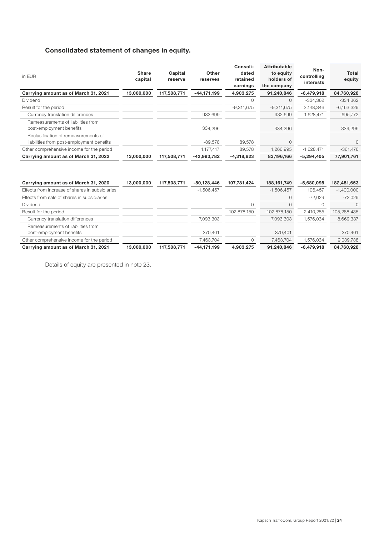# Consolidated statement of changes in equity.

| in EUR                                                         | Share<br>capital | Capital<br>reserve | Other<br>reserves | Consoli-<br>dated<br>retained<br>earnings | <b>Attributable</b><br>to equity<br>holders of<br>the company | Non-<br>controlling<br>interests | <b>Total</b><br>equity |
|----------------------------------------------------------------|------------------|--------------------|-------------------|-------------------------------------------|---------------------------------------------------------------|----------------------------------|------------------------|
| Carrying amount as of March 31, 2021                           | 13,000,000       | 117.508.771        | -44.171.199       | 4,903,275                                 | 91.240.846                                                    | $-6,479,918$                     | 84,760,928             |
| Dividend                                                       |                  |                    |                   |                                           | $\Omega$                                                      | $-334.362$                       | $-334.362$             |
| Result for the period                                          |                  |                    |                   | $-9.311.675$                              | $-9.311.675$                                                  | 3.148.346                        | $-6,163,329$           |
| Currency translation differences                               |                  |                    | 932,699           |                                           | 932.699                                                       | $-1.628.471$                     | $-695.772$             |
| Remeasurements of liabilities from<br>post-employment benefits |                  |                    | 334.296           |                                           | 334.296                                                       |                                  | 334,296                |
| Reclasification of remeasurements of                           |                  |                    |                   |                                           |                                                               |                                  |                        |
| liabilities from post-employment benefits                      |                  |                    | $-89.578$         | 89.578                                    | 0                                                             |                                  | $\Omega$               |
| Other comprehensive income for the period                      |                  |                    | 1,177,417         | 89,578                                    | 1,266,995                                                     | $-1,628,471$                     | $-361,476$             |
| Carrying amount as of March 31, 2022                           | 13.000.000       | 117,508,771        | $-42,993,782$     | $-4,318,823$                              | 83,196,166                                                    | $-5,294,405$                     | 77,901,761             |

| Carrying amount as of March 31, 2020                           | 13.000.000 | 117.508.771 | $-50,128,446$ | 107,781,424    | 188, 161, 749  | $-5,680,095$ | 182,481,653    |
|----------------------------------------------------------------|------------|-------------|---------------|----------------|----------------|--------------|----------------|
| Effects from increase of shares in subsidiaries                |            |             | $-1.506.457$  |                | $-1.506.457$   | 106.457      | $-1,400,000$   |
| Effects from sale of shares in subsidiaries                    |            |             |               |                |                | $-72.029$    | $-72.029$      |
| <b>Dividend</b>                                                |            |             |               |                |                |              | 0              |
| Result for the period                                          |            |             |               | $-102.878.150$ | $-102.878.150$ | $-2.410.285$ | $-105,288,435$ |
| Currency translation differences                               |            |             | 7.093.303     |                | 7.093.303      | 1.576.034    | 8,669,337      |
| Remeasurements of liabilities from<br>post-employment benefits |            |             | 370.401       |                | 370.401        |              | 370.401        |
| Other comprehensive income for the period                      |            |             | 7.463.704     |                | 7.463.704      | 1.576.034    | 9,039,738      |
| Carrying amount as of March 31, 2021                           | 13.000.000 | 117.508.771 | -44,171,199   | 4.903.275      | 91.240.846     | $-6.479.918$ | 84,760,928     |

Details of equity are presented in note 23.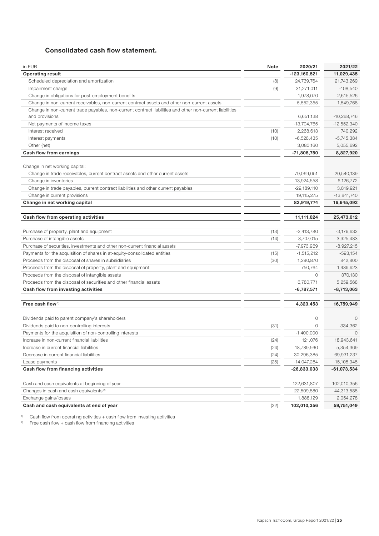# Consolidated cash flow statement.

| in EUR                                                                                                   | Note | 2020/21       | 2021/22       |
|----------------------------------------------------------------------------------------------------------|------|---------------|---------------|
| <b>Operating result</b>                                                                                  |      | -123,160,521  | 11,029,435    |
| Scheduled depreciation and amortization                                                                  | (8)  | 24,739,764    | 21,743,269    |
| Impairment charge                                                                                        | (9)  | 31,271,011    | $-108,540$    |
| Change in obligations for post-employment benefits                                                       |      | $-1,978,070$  | $-2,615,526$  |
| Change in non-current receivables, non-current contract assets and other non-current assets              |      | 5,552,355     | 1,549,768     |
| Change in non-current trade payables, non-current contract liabilities and other non-current liabilities |      |               |               |
| and provisions                                                                                           |      | 6,651,138     | $-10,268,746$ |
| Net payments of income taxes                                                                             |      | $-13,704,765$ | $-12,552,340$ |
| Interest received                                                                                        | (10) | 2,268,613     | 740,292       |
| Interest payments                                                                                        | (10) | $-6,528,435$  | $-5,745,384$  |
| Other (net)                                                                                              |      | 3,080,160     | 5,055,692     |
| <b>Cash flow from earnings</b>                                                                           |      | -71,808,750   | 8,827,920     |
| Change in net working capital:                                                                           |      |               |               |
| Change in trade receivables, current contract assets and other current assets                            |      | 79,069,051    | 20,540,139    |
| Change in inventories                                                                                    |      | 13,924,558    | 6,126,772     |
| Change in trade payables, current contract liabilities and other current payables                        |      | $-29,189,110$ | 3,819,921     |
| Change in current provisions                                                                             |      | 19,115,275    | $-13,841,740$ |
| Change in net working capital                                                                            |      | 82,919,774    | 16,645,092    |
|                                                                                                          |      |               |               |
| Cash flow from operating activities                                                                      |      | 11,111,024    | 25,473,012    |
| Purchase of property, plant and equipment                                                                | (13) | $-2,413,780$  | $-3,179,632$  |
| Purchase of intangible assets                                                                            | (14) | $-3,707,015$  | $-3,925,483$  |
| Purchase of securities, investments and other non-current financial assets                               |      | $-7,973,969$  | $-8,927,215$  |
| Payments for the acquisition of shares in at-equity-consolidated entities                                | (15) | $-1,515,212$  | $-593,154$    |
| Proceeds from the disposal of shares in subsidiaries                                                     | (30) | 1,290,870     | 842,800       |
| Proceeds from the disposal of property, plant and equipment                                              |      | 750,764       | 1,439,923     |
| Proceeds from the disposal of intangible assets                                                          |      | 0             | 370,130       |
| Proceeds from the disposal of securities and other financial assets                                      |      | 6,780,771     | 5,259,568     |
| Cash flow from investing activities                                                                      |      | -6,787,571    | $-8,713,063$  |
|                                                                                                          |      |               |               |
| Free cash flow <sup>1)</sup>                                                                             |      | 4,323,453     | 16,759,949    |
| Dividends paid to parent company's shareholders                                                          |      | $\circ$       | $\circ$       |
| Dividends paid to non-controlling interests                                                              | (31) | $\circ$       | $-334,362$    |
| Payments for the acquisition of non-controlling interests                                                |      | $-1,400,000$  | $\Omega$      |
| Increase in non-current financial liabilities                                                            | (24) | 121.076       | 18,943,641    |
| Increase in current financial liabilities                                                                | (24) | 18,789,560    | 5,354,369     |
| Decrease in current financial liabilities                                                                | (24) | $-30,296,385$ | $-69,931,237$ |
| Lease payments                                                                                           | (25) | $-14,047,284$ | $-15,105,945$ |
| Cash flow from financing activities                                                                      |      | $-26,833,033$ | -61,073,534   |
|                                                                                                          |      |               |               |
| Cash and cash equivalents at beginning of year                                                           |      | 122,631,807   | 102,010,356   |
| Changes in cash and cash equivalents <sup>2)</sup>                                                       |      | $-22,509,580$ | $-44,313,585$ |
| Exchange gains/losses                                                                                    |      | 1,888,129     | 2,054,278     |
| Cash and cash equivalents at end of year                                                                 | (22) | 102,010,356   | 59,751,049    |

<sup>1)</sup> Cash flow from operating activities  $+$  cash flow from investing activities

 $2^2$  Free cash flow + cash flow from financing activities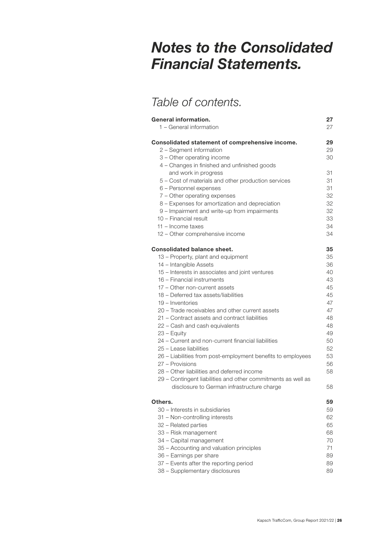# *Notes to the Consolidated Financial Statements.*

# *Table of contents.*

| <b>General information.</b>                                  | 27 |
|--------------------------------------------------------------|----|
| 1 - General information                                      | 27 |
| Consolidated statement of comprehensive income.              | 29 |
| 2 - Segment information                                      | 29 |
| 3 - Other operating income                                   | 30 |
| 4 - Changes in finished and unfinished goods                 |    |
| and work in progress                                         | 31 |
| 5 - Cost of materials and other production services          | 31 |
| 6 - Personnel expenses                                       | 31 |
| 7 - Other operating expenses                                 | 32 |
| 8 - Expenses for amortization and depreciation               | 32 |
| 9 - Impairment and write-up from impairments                 | 32 |
| 10 - Financial result                                        | 33 |
| 11 - Income taxes                                            | 34 |
| 12 - Other comprehensive income                              | 34 |
| <b>Consolidated balance sheet.</b>                           | 35 |
| 13 - Property, plant and equipment                           | 35 |
| 14 - Intangible Assets                                       | 36 |
| 15 - Interests in associates and joint ventures              | 40 |
| 16 - Financial instruments                                   | 43 |
| 17 - Other non-current assets                                | 45 |
| 18 - Deferred tax assets/liabilities                         | 45 |
| 19 - Inventories                                             | 47 |
| 20 – Trade receivables and other current assets              | 47 |
| 21 – Contract assets and contract liabilities                | 48 |
| 22 - Cash and cash equivalents                               | 48 |
| 23 - Equity                                                  | 49 |
| 24 - Current and non-current financial liabilities           | 50 |
| 25 – Lease liabilities                                       | 52 |
| 26 - Liabilities from post-employment benefits to employees  | 53 |
| 27 - Provisions                                              | 56 |
| 28 - Other liabilities and deferred income                   | 58 |
| 29 - Contingent liabilities and other commitments as well as |    |
| disclosure to German infrastructure charge                   | 58 |
| Others.                                                      | 59 |
| 30 – Interests in subsidiaries                               | 59 |
| 31 - Non-controlling interests                               | 62 |
| 32 – Related parties                                         | 65 |
| 33 - Risk management                                         | 68 |
| 34 - Capital management                                      | 70 |
| 35 - Accounting and valuation principles                     | 71 |
| 36 - Earnings per share                                      | 89 |
| 37 - Events after the reporting period                       | 89 |

38 – Supplementary disclosures 89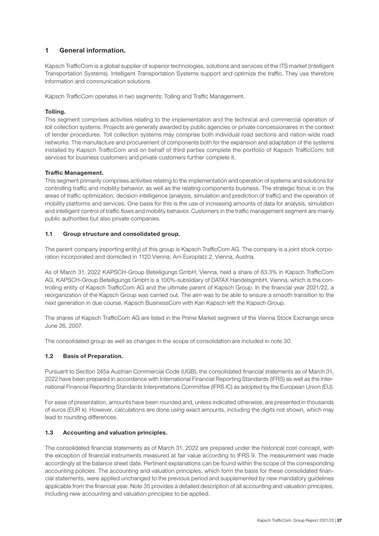# 1 General information.

Kapsch TrafficCom is a global supplier of superior technologies, solutions and services of the ITS market (Intelligent Transportation Systems). Intelligent Transportation Systems support and optimize the traffic. They use therefore information and communication solutions.

Kapsch TrafficCom operates in two segments: Tolling and Traffic Management.

#### Tolling.

This segment comprises activities relating to the implementation and the technical and commercial operation of toll collection systems. Projects are generally awarded by public agencies or private concessionaires in the context of tender procedures. Toll collection systems may comprise both individual road sections and nation-wide road networks. The manufacture and procurement of components both for the expansion and adaptation of the systems installed by Kapsch TrafficCom and on behalf of third parties complete the portfolio of Kapsch TrafficCom; toll services for business customers and private customers further complete it.

#### Traffic Management.

This segment primarily comprises activities relating to the implementation and operation of systems and solutions for controlling traffic and mobility behavior, as well as the relating components business. The strategic focus is on the areas of traffic optimization, decision intelligence (analysis, simulation and prediction of traffic) and the operation of mobility platforms and services. One basis for this is the use of increasing amounts of data for analysis, simulation and intelligent control of traffic flows and mobility behavior. Customers in the traffic management segment are mainly public authorities but also private companies.

#### 1.1 Group structure and consolidated group.

The parent company (reporting entity) of this group is Kapsch TrafficCom AG. The company is a joint stock corporation incorporated and domiciled in 1120 Vienna, Am Europlatz 2, Vienna, Austria.

As of March 31, 2022 KAPSCH-Group Beteiligungs GmbH, Vienna, held a share of 63.3% in Kapsch TrafficCom AG. KAPSCH-Group Beteiligungs GmbH is a 100%-subsidiary of DATAX HandelsgmbH, Vienna, which is the controlling entity of Kapsch TrafficCom AG and the ultimate parent of Kapsch Group. In the financial year 2021/22, a reorganization of the Kapsch Group was carried out. The aim was to be able to ensure a smooth transition to the next generation in due course. Kapsch BusinessCom with Kari Kapsch left the Kapsch Group.

The shares of Kapsch TrafficCom AG are listed in the Prime Market segment of the Vienna Stock Exchange since June 26, 2007.

The consolidated group as well as changes in the scope of consolidation are included in note 30.

#### 1.2 Basis of Preparation.

Pursuant to Section 245a Austrian Commercial Code (UGB), the consolidated financial statements as of March 31, 2022 have been prepared in accordance with International Financial Reporting Standards (IFRS) as well as the International Financial Reporting Standards Interpretations Committee (IFRS IC) as adopted by the European Union (EU).

For ease of presentation, amounts have been rounded and, unless indicated otherwise, are presented in thousands of euros (EUR k). However, calculations are done using exact amounts, including the digits not shown, which may lead to rounding differences.

#### 1.3 Accounting and valuation principles.

The consolidated financial statements as of March 31, 2022 are prepared under the historical cost concept, with the exception of financial instruments measured at fair value according to IFRS 9. The measurement was made accordingly at the balance sheet date. Pertinent explanations can be found within the scope of the corresponding accounting policies. The accounting and valuation principles, which form the basis for these consolidated financial statements, were applied unchanged to the previous period and supplemented by new mandatory guidelines applicable from the financial year. Note 35 provides a detailed description of all accounting and valuation principles, including new accounting and valuation principles to be applied.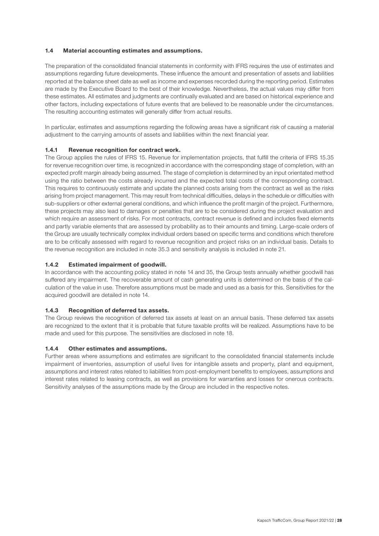#### 1.4 Material accounting estimates and assumptions.

The preparation of the consolidated financial statements in conformity with IFRS requires the use of estimates and assumptions regarding future developments. These influence the amount and presentation of assets and liabilities reported at the balance sheet date as well as income and expenses recorded during the reporting period. Estimates are made by the Executive Board to the best of their knowledge. Nevertheless, the actual values may differ from these estimates. All estimates and judgments are continually evaluated and are based on historical experience and other factors, including expectations of future events that are believed to be reasonable under the circumstances. The resulting accounting estimates will generally differ from actual results.

In particular, estimates and assumptions regarding the following areas have a significant risk of causing a material adjustment to the carrying amounts of assets and liabilities within the next financial year.

#### 1.4.1 Revenue recognition for contract work.

The Group applies the rules of IFRS 15. Revenue for implementation projects, that fulfill the criteria of IFRS 15.35 for revenue recognition over time, is recognized in accordance with the corresponding stage of completion, with an expected profit margin already being assumed. The stage of completion is determined by an input orientated method using the ratio between the costs already incurred and the expected total costs of the corresponding contract. This requires to continuously estimate and update the planned costs arising from the contract as well as the risks arising from project management. This may result from technical difficulties, delays in the schedule or difficulties with sub-suppliers or other external general conditions, and which influence the profit margin of the project. Furthermore, these projects may also lead to damages or penalties that are to be considered during the project evaluation and which require an assessment of risks. For most contracts, contract revenue is defined and includes fixed elements and partly variable elements that are assessed by probability as to their amounts and timing. Large-scale orders of the Group are usually technically complex individual orders based on specific terms and conditions which therefore are to be critically assessed with regard to revenue recognition and project risks on an individual basis. Details to the revenue recognition are included in note 35.3 and sensitivity analysis is included in note 21.

#### 1.4.2 Estimated impairment of goodwill.

In accordance with the accounting policy stated in note 14 and 35, the Group tests annually whether goodwill has suffered any impairment. The recoverable amount of cash generating units is determined on the basis of the calculation of the value in use. Therefore assumptions must be made and used as a basis for this. Sensitivities for the acquired goodwill are detailed in note 14.

#### 1.4.3 Recognition of deferred tax assets.

The Group reviews the recognition of deferred tax assets at least on an annual basis. These deferred tax assets are recognized to the extent that it is probable that future taxable profits will be realized. Assumptions have to be made and used for this purpose. The sensitivities are disclosed in note 18.

#### 1.4.4 Other estimates and assumptions.

Further areas where assumptions and estimates are significant to the consolidated financial statements include impairment of inventories, assumption of useful lives for intangible assets and property, plant and equipment, assumptions and interest rates related to liabilities from post-employment benefits to employees, assumptions and interest rates related to leasing contracts, as well as provisions for warranties and losses for onerous contracts. Sensitivity analyses of the assumptions made by the Group are included in the respective notes.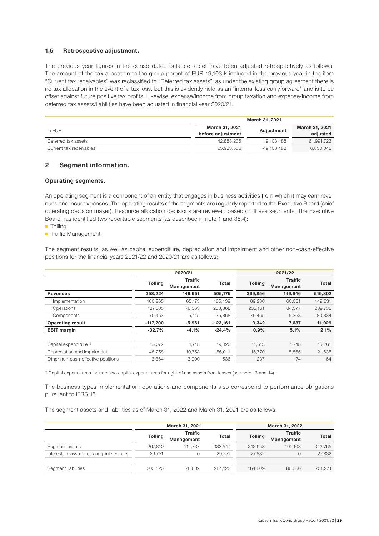#### 1.5 Retrospective adjustment.

The previous year figures in the consolidated balance sheet have been adjusted retrospectively as follows: The amount of the tax allocation to the group parent of EUR 19,103 k included in the previous year in the item "Current tax receivables" was reclassified to "Deferred tax assets", as under the existing group agreement there is no tax allocation in the event of a tax loss, but this is evidently held as an "internal loss carryforward" and is to be offset against future positive tax profits. Likewise, expense/income from group taxation and expense/income from deferred tax assets/liabilities have been adjusted in financial year 2020/21.

|                         | March 31, 2021    |               |                       |
|-------------------------|-------------------|---------------|-----------------------|
| in EUR                  | March 31, 2021    | Adjustment    | <b>March 31, 2021</b> |
|                         | before adjustment |               | adjusted              |
| Deferred tax assets     | 42.888.235        | 19.103.488    | 61.991.723            |
| Current tax receivables | 25.933.536        | $-19.103.488$ | 6.830.048             |

#### 2 Segment information.

#### Operating segments.

An operating segment is a component of an entity that engages in business activities from which it may earn revenues and incur expenses. The operating results of the segments are regularly reported to the Executive Board (chief operating decision maker). Resource allocation decisions are reviewed based on these segments. The Executive Board has identified two reportable segments (as described in note 1 and 35.4):

- Tolling
- Traffic Management

The segment results, as well as capital expenditure, depreciation and impairment and other non-cash-effective positions for the financial years 2021/22 and 2020/21 are as follows:

|                                    | 2020/21        |                                     |            |                | 2021/22                             |              |
|------------------------------------|----------------|-------------------------------------|------------|----------------|-------------------------------------|--------------|
|                                    | <b>Tolling</b> | <b>Traffic</b><br><b>Management</b> | Total      | <b>Tolling</b> | <b>Traffic</b><br><b>Management</b> | <b>Total</b> |
| <b>Revenues</b>                    | 358,224        | 146.951                             | 505,175    | 369,856        | 149.946                             | 519,802      |
| Implementation                     | 100.265        | 65.173                              | 165.439    | 89.230         | 60.001                              | 149,231      |
| Operations                         | 187.505        | 76.363                              | 263,868    | 205.161        | 84.577                              | 289.738      |
| Components                         | 70,453         | 5,415                               | 75,868     | 75,465         | 5,368                               | 80,834       |
| <b>Operating result</b>            | $-117,200$     | $-5,961$                            | $-123,161$ | 3,342          | 7,687                               | 11,029       |
| <b>EBIT margin</b>                 | $-32.7%$       | $-4.1%$                             | $-24.4%$   | 0.9%           | 5.1%                                | 2.1%         |
| Capital expenditure <sup>1)</sup>  | 15.072         | 4.748                               | 19,820     | 11,513         | 4.748                               | 16,261       |
| Depreciation and impairment        | 45,258         | 10.753                              | 56,011     | 15.770         | 5,865                               | 21,635       |
| Other non-cash-effective positions | 3,364          | $-3,900$                            | $-536$     | $-237$         | 174                                 | $-64$        |

1) Capital expenditures include also capital expenditures for right-of use assets from leases (see note 13 and 14).

The business types implementation, operations and components also correspond to performance obligations pursuant to IFRS 15.

The segment assets and liabilities as of March 31, 2022 and March 31, 2021 are as follows:

|                                            | March 31, 2021 |                              |         | March 31, 2022 |                                     |         |
|--------------------------------------------|----------------|------------------------------|---------|----------------|-------------------------------------|---------|
|                                            | <b>Tolling</b> | <b>Traffic</b><br>Management | Total   | <b>Tolling</b> | <b>Traffic</b><br><b>Management</b> | Total   |
| Segment assets                             | 267.810        | 114.737                      | 382.547 | 242.658        | 101.108                             | 343.765 |
| Interests in associates and joint ventures | 29.751         |                              | 29.751  | 27.832         | $\mathbf 0$                         | 27,832  |
| Segment liabilities                        | 205.520        | 78.602                       | 284.122 | 164.609        | 86.666                              | 251.274 |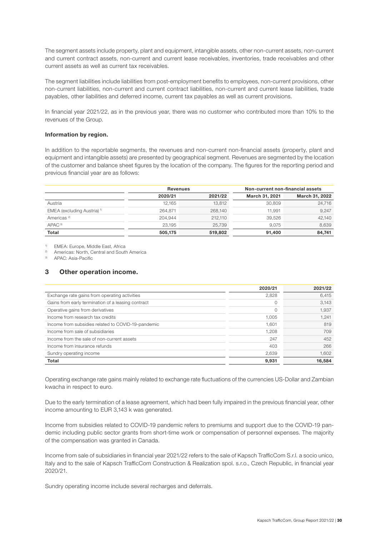The segment assets include property, plant and equipment, intangible assets, other non-current assets, non-current and current contract assets, non-current and current lease receivables, inventories, trade receivables and other current assets as well as current tax receivables.

The segment liabilities include liabilities from post-employment benefits to employees, non-current provisions, other non-current liabilities, non-current and current contract liabilities, non-current and current lease liabilities, trade payables, other liabilities and deferred income, current tax payables as well as current provisions.

In financial year 2021/22, as in the previous year, there was no customer who contributed more than 10% to the revenues of the Group.

#### Information by region.

In addition to the reportable segments, the revenues and non-current non-financial assets (property, plant and equipment and intangible assets) are presented by geographical segment. Revenues are segmented by the location of the customer and balance sheet figures by the location of the company. The figures for the reporting period and previous financial year are as follows:

|                                        | <b>Revenues</b> |         | Non-current non-financial assets |                |
|----------------------------------------|-----------------|---------|----------------------------------|----------------|
|                                        | 2020/21         | 2021/22 | <b>March 31, 2021</b>            | March 31, 2022 |
| Austria                                | 12.165          | 13.812  | 30.809                           | 24,716         |
| EMEA (excluding Austria) <sup>1)</sup> | 264.871         | 268.140 | 11.991                           | 9.247          |
| Americas <sup>2)</sup>                 | 204.944         | 212.110 | 39.526                           | 42.140         |
| APAC <sup>3)</sup>                     | 23.195          | 25.739  | 9.075                            | 8.639          |
| Total                                  | 505.175         | 519,802 | 91.400                           | 84,741         |

1) EMEA: Europe, Middle East, Africa

<sup>2)</sup> Americas: North, Central and South America

3) APAC: Asia-Pacific

## 3 Other operation income.

|                                                    | 2020/21 | 2021/22 |
|----------------------------------------------------|---------|---------|
| Exchange rate gains from operating activities      | 2,828   | 6.415   |
| Gains from early termination of a leasing contract | 0       | 3,143   |
| Operative gains from derivatives                   | 0       | 1,937   |
| Income from research tax credits                   | 1.005   | 1.241   |
| Income from subsidies related to COVID-19-pandemic | 1,601   | 819     |
| Income from sale of subsidiaries                   | 1.208   | 709     |
| Income from the sale of non-current assets         | 247     | 452     |
| Income from insurance refunds                      | 403     | 266     |
| Sundry operating income                            | 2,639   | 1,602   |
| <b>Total</b>                                       | 9,931   | 16,584  |

Operating exchange rate gains mainly related to exchange rate fluctuations of the currencies US-Dollar and Zambian kwacha in respect to euro.

Due to the early termination of a lease agreement, which had been fully impaired in the previous financial year, other income amounting to EUR 3,143 k was generated.

Income from subsidies related to COVID-19 pandemic refers to premiums and support due to the COVID-19 pandemic including public sector grants from short-time work or compensation of personnel expenses. The majority of the compensation was granted in Canada.

Income from sale of subsidiaries in financial year 2021/22 refers to the sale of Kapsch TrafficCom S.r.l. a socio unico, Italy and to the sale of Kapsch TrafficCom Construction & Realization spol. s.r.o., Czech Republic, in financial year 2020/21.

Sundry operating income include several recharges and deferrals.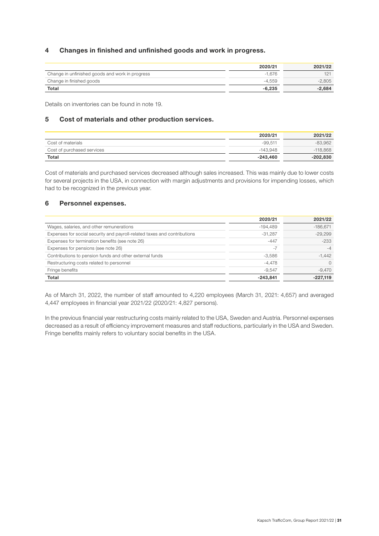## 4 Changes in finished and unfinished goods and work in progress.

|                                                 | 2020/21  | 2021/22  |
|-------------------------------------------------|----------|----------|
| Change in unfinished goods and work in progress | $-1.676$ | 121      |
| Change in finished goods                        | $-4.559$ | $-2.805$ |
| <b>Total</b>                                    | $-6.235$ | $-2.684$ |

Details on inventories can be found in note 19.

#### 5 Cost of materials and other production services.

|                            | 2020/21    | 2021/22    |
|----------------------------|------------|------------|
| Cost of materials          | $-99.511$  | $-83.962$  |
| Cost of purchased services | $-143.948$ | $-118.868$ |
| <b>Total</b>               | $-243.460$ | $-202,830$ |

Cost of materials and purchased services decreased although sales increased. This was mainly due to lower costs for several projects in the USA, in connection with margin adjustments and provisions for impending losses, which had to be recognized in the previous year.

#### 6 Personnel expenses.

|                                                                          | 2020/21    | 2021/22    |
|--------------------------------------------------------------------------|------------|------------|
| Wages, salaries, and other remunerations                                 | $-194.489$ | $-186,671$ |
| Expenses for social security and payroll-related taxes and contributions | $-31.287$  | $-29,299$  |
| Expenses for termination benefits (see note 26)                          | $-447$     | $-233$     |
| Expenses for pensions (see note 26)                                      | $-7$       | $-4$       |
| Contributions to pension funds and other external funds                  | $-3.586$   | $-1.442$   |
| Restructuring costs related to personnel                                 | $-4.478$   |            |
| Fringe benefits                                                          | $-9.547$   | $-9.470$   |
| <b>Total</b>                                                             | $-243.841$ | $-227.119$ |

As of March 31, 2022, the number of staff amounted to 4,220 employees (March 31, 2021: 4,657) and averaged 4,447 employees in financial year 2021/22 (2020/21: 4,827 persons).

In the previous financial year restructuring costs mainly related to the USA, Sweden and Austria. Personnel expenses decreased as a result of efficiency improvement measures and staff reductions, particularly in the USA and Sweden. Fringe benefits mainly refers to voluntary social benefits in the USA.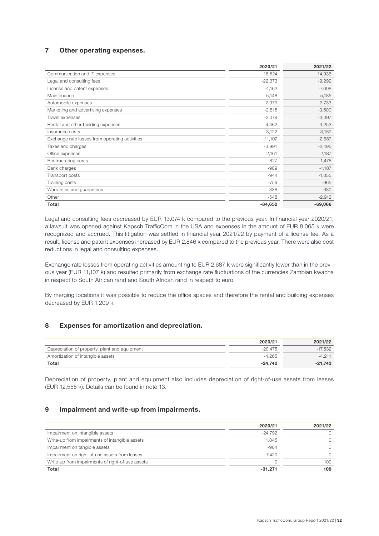## 7 Other operating expenses.

|                                                | 2020/21   | 2021/22   |
|------------------------------------------------|-----------|-----------|
| Communication and IT expenses                  | $-16,524$ | $-14,936$ |
| Legal and consulting fees                      | $-22,373$ | $-9,299$  |
| License and patent expenses                    | $-4,162$  | $-7,008$  |
| Maintenance                                    | $-5,148$  | $-5,185$  |
| Automobile expenses                            | $-2,979$  | $-3,733$  |
| Marketing and advertising expenses             | $-2,815$  | $-3,500$  |
| Travel expenses                                | $-2,079$  | $-3,397$  |
| Rental and other building expenses             | $-4,462$  | $-3,253$  |
| Insurance costs                                | $-3,122$  | $-3,159$  |
| Exchange rate losses from operating activities | $-11,107$ | $-2,687$  |
| Taxes and charges                              | $-3,991$  | $-2,495$  |
| Office expenses                                | $-2,161$  | $-2,187$  |
| Restructuring costs                            | $-827$    | $-1,478$  |
| Bank charges                                   | $-989$    | $-1,187$  |
| Transport costs                                | $-944$    | $-1,055$  |
| Training costs                                 | $-759$    | $-965$    |
| Warranties and guarantees                      | 338       | $-630$    |
| Other                                          | $-548$    | $-2,912$  |
| Total                                          | $-84,652$ | $-69,066$ |

Legal and consulting fees decreased by EUR 13,074 k compared to the previous year. In financial year 2020/21, a lawsuit was opened against Kapsch TrafficCom in the USA and expenses in the amount of EUR 8,065 k were recognized and accrued. This litigation was settled in financial year 2021/22 by payment of a license fee. As a result, license and patent expenses increased by EUR 2,846 k compared to the previous year. There were also cost reductions in legal and consulting expenses.

Exchange rate losses from operating activities amounting to EUR 2,687 k were significantly lower than in the previous year (EUR 11,107 k) and resulted primarily from exchange rate fluctuations of the currencies Zambian kwacha in respect to South African rand and South African rand in respect to euro.

By merging locations it was possible to reduce the office spaces and therefore the rental and building expenses decreased by EUR 1,209 k.

## 8 Expenses for amortization and depreciation.

|                                               | 2020/21   | 2021/22   |
|-----------------------------------------------|-----------|-----------|
| Depreciation of property, plant and equipment | $-20.475$ | $-17.532$ |
| Amortization of intangible assets             | $-4.265$  | $-4.211$  |
| <b>Total</b>                                  | $-24.740$ | $-21.743$ |

Depreciation of property, plant and equipment also includes depreciation of right-of-use assets from leases (EUR 12,555 k). Details can be found in note 13.

## 9 Impairment and write-up from impairments.

|                                                  | 2020/21   | 2021/22 |
|--------------------------------------------------|-----------|---------|
| Impairment on intangible assets                  | $-24.792$ |         |
| Write-up from impairments of intangible assets   | 1.845     |         |
| Impairment on tangible assets                    | $-904$    |         |
| Impairment on right-of-use assets from leases    | $-7.420$  |         |
| Write-up from impairments of right-of-use assets |           | 109     |
| <b>Total</b>                                     | $-31.271$ | 109     |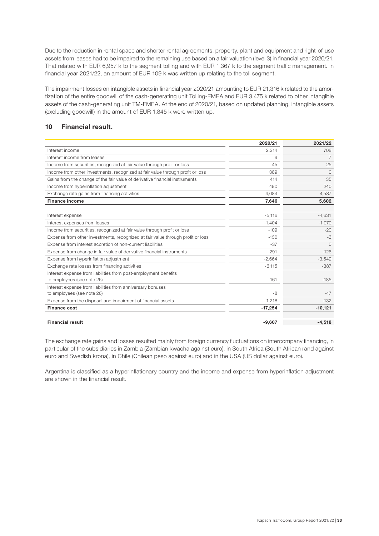Due to the reduction in rental space and shorter rental agreements, property, plant and equipment and right-of-use assets from leases had to be impaired to the remaining use based on a fair valuation (level 3) in financial year 2020/21. That related with EUR 6,957 k to the segment tolling and with EUR 1,367 k to the segment traffic management. In financial year 2021/22, an amount of EUR 109 k was written up relating to the toll segment.

The impairment losses on intangible assets in financial year 2020/21 amounting to EUR 21,316 k related to the amortization of the entire goodwill of the cash-generating unit Tolling-EMEA and EUR 3,475 k related to other intangible assets of the cash-generating unit TM-EMEA. At the end of 2020/21, based on updated planning, intangible assets (excluding goodwill) in the amount of EUR 1,845 k were written up.

# 10 Financial result.

|                                                                                 | 2020/21   | 2021/22   |
|---------------------------------------------------------------------------------|-----------|-----------|
| Interest income                                                                 | 2,214     | 708       |
| Interest income from leases                                                     | 9         |           |
| Income from securities, recognized at fair value through profit or loss         | 45        | 25        |
| Income from other investments, recognized at fair value through profit or loss  | 389       | $\bigcap$ |
| Gains from the change of the fair value of derivative financial instruments     | 414       | 35        |
| Income from hyperinflation adjustment                                           | 490       | 240       |
| Exchange rate gains from financing activities                                   | 4,084     | 4,587     |
| <b>Finance income</b>                                                           | 7.646     | 5,602     |
| Interest expense                                                                | $-5.116$  | $-4,631$  |
| Interest expenses from leases                                                   | $-1.404$  | $-1,070$  |
| Income from securities, recognized at fair value through profit or loss         | $-109$    | $-20$     |
| Expense from other investments, recognized at fair value through profit or loss | $-130$    | $-3$      |
| Expense from interest accretion of non-current liabilities                      | $-37$     | $\Omega$  |
| Expense from change in fair value of derivative financial instruments           | $-291$    | $-126$    |
| Expense from hyperinflation adjustment                                          | $-2,664$  | $-3,549$  |
| Exchange rate losses from financing activities                                  | $-6,115$  | $-387$    |
| Interest expense from liabilities from post-employment benefits                 |           |           |
| to employees (see note 26)                                                      | $-161$    | $-185$    |
| Interest expense from liabilities from anniversary bonuses                      |           |           |
| to employees (see note 26)                                                      | -8        | $-17$     |
| Expense from the disposal and impairment of financial assets                    | $-1.218$  | $-132$    |
| <b>Finance cost</b>                                                             | $-17,254$ | $-10,121$ |
| <b>Financial result</b>                                                         | $-9,607$  | $-4,518$  |

The exchange rate gains and losses resulted mainly from foreign currency fluctuations on intercompany financing, in particular of the subsidiaries in Zambia (Zambian kwacha against euro), in South Africa (South African rand against euro and Swedish krona), in Chile (Chilean peso against euro) and in the USA (US dollar against euro).

Argentina is classified as a hyperinflationary country and the income and expense from hyperinflation adjustment are shown in the financial result.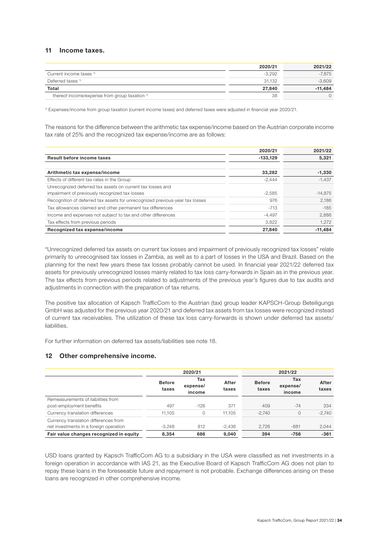#### 11 Income taxes.

|                                                          | 2020/21  | 2021/22   |
|----------------------------------------------------------|----------|-----------|
| Current income taxes <sup>1)</sup>                       | $-3.292$ | $-7.875$  |
| Deferred taxes <sup>1)</sup>                             | 31.132   | $-3.609$  |
| Total                                                    | 27.840   | $-11.484$ |
| thereof income/expense from group taxation <sup>1)</sup> | 38       |           |

1) Expenses/income from group taxation (current income taxes) and deferred taxes were adjusted in financial year 2020/21.

The reasons for the difference between the arithmetic tax expense/income based on the Austrian corporate income tax rate of 25% and the recognized tax expense/income are as follows:

|                                                                              | 2020/21    | 2021/22   |
|------------------------------------------------------------------------------|------------|-----------|
| <b>Result before income taxes</b>                                            | $-133,129$ | 5,321     |
| Arithmetic tax expense/income                                                | 33,282     | $-1,330$  |
| Effects of different tax rates in the Group                                  | $-2.444$   | $-1.437$  |
| Unrecognized deferred tax assets on current tax losses and                   |            |           |
| impairment of previously recognized tax losses                               | $-2.585$   | $-14.875$ |
| Recognition of deferred tax assets for unrecognized previous-year tax losses | 976        | 2.186     |
| Tax allowances claimed and other permanent tax differences                   | $-713$     | $-185$    |
| Income and expenses not subject to tax and other differences                 | $-4.497$   | 2.886     |
| Tax effects from previous periods                                            | 3.822      | 1,272     |
| Recognized tax expense/income                                                | 27,840     | $-11.484$ |

"Unrecognized deferred tax assets on current tax losses and impairment of previously recognized tax losses" relate primarily to unrecognised tax losses in Zambia, as well as to a part of losses in the USA and Brazil. Based on the planning for the next few years these tax losses probably cannot be used. In financial year 2021/22 deferred tax assets for previously unrecognized losses mainly related to tax loss carry-forwards in Spain as in the previous year. The tax effects from previous periods related to adjustments of the previous year's figures due to tax audits and adjustments in connection with the preparation of tax returns.

The positive tax allocation of Kapsch TrafficCom to the Austrian (tax) group leader KAPSCH-Group Beteiligungs GmbH was adjusted for the previous year 2020/21 and deferred tax assets from tax losses were recognized instead of current tax receivables. The utilization of these tax loss carry-forwards is shown under deferred tax assets/ liabilities.

For further information on deferred tax assets/liabilities see note 18.

#### 12 Other comprehensive income.

|                                         | 2020/21                |                           | 2021/22        |                        |                           |                |
|-----------------------------------------|------------------------|---------------------------|----------------|------------------------|---------------------------|----------------|
|                                         | <b>Before</b><br>taxes | Tax<br>expense/<br>income | After<br>taxes | <b>Before</b><br>taxes | Tax<br>expense/<br>income | After<br>taxes |
| Remeasurements of liabilities from      |                        |                           |                |                        |                           |                |
| post-employment benefits                | 497                    | $-126$                    | 371            | 409                    | $-74$                     | 334            |
| Currency translation differences        | 11.105                 | $\Omega$                  | 11.105         | $-2.740$               | $\Omega$                  | $-2.740$       |
| Currency translation differences from   |                        |                           |                |                        |                           |                |
| net investments in a foreign operation  | $-3,248$               | 812                       | $-2,436$       | 2,726                  | $-681$                    | 2,044          |
| Fair value changes recognized in equity | 8,354                  | 686                       | 9,040          | 394                    | $-756$                    | $-361$         |

USD loans granted by Kapsch TrafficCom AG to a subsidiary in the USA were classified as net investments in a foreign operation in accordance with IAS 21, as the Executive Board of Kapsch TrafficCom AG does not plan to repay these loans in the foreseeable future and repayment is not probable. Exchange differences arising on these loans are recognized in other comprehensive income.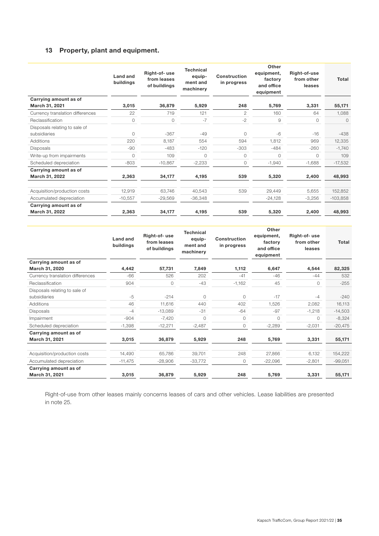# 13 Property, plant and equipment.

|                                         | Land and<br>buildings | Right-of-use<br>from leases<br>of buildings | <b>Technical</b><br>equip-<br>ment and<br>machinery | <b>Construction</b><br>in progress | Other<br>equipment,<br>factory<br>and office<br>equipment | Right-of-use<br>from other<br>leases | Total      |
|-----------------------------------------|-----------------------|---------------------------------------------|-----------------------------------------------------|------------------------------------|-----------------------------------------------------------|--------------------------------------|------------|
| Carrying amount as of<br>March 31, 2021 | 3,015                 | 36,879                                      | 5,929                                               | 248                                | 5,769                                                     | 3,331                                | 55,171     |
|                                         |                       |                                             |                                                     |                                    |                                                           |                                      |            |
| Currency translation differences        | 22                    | 719                                         | 121                                                 | $\overline{2}$                     | 160                                                       | 64                                   | 1,088      |
| Reclassification                        | 0                     | $\Omega$                                    | $-7$                                                | $-2$                               | 9                                                         | $\Omega$                             | $\Omega$   |
| Disposals relating to sale of           |                       |                                             |                                                     |                                    |                                                           |                                      |            |
| subsidiaries                            | 0                     | $-367$                                      | $-49$                                               | $\circ$                            | $-6$                                                      | $-16$                                | $-438$     |
| Additions                               | 220                   | 8,187                                       | 554                                                 | 594                                | 1,812                                                     | 969                                  | 12,335     |
| Disposals                               | -90                   | $-483$                                      | $-120$                                              | $-303$                             | $-484$                                                    | $-260$                               | $-1,740$   |
| Write-up from impairments               | $\Omega$              | 109                                         | $\Omega$                                            | $\circ$                            | $\Omega$                                                  | $\Omega$                             | 109        |
| Scheduled depreciation                  | $-803$                | $-10,867$                                   | $-2,233$                                            | $\circ$                            | $-1,940$                                                  | $-1,688$                             | $-17,532$  |
| Carrying amount as of                   |                       |                                             |                                                     |                                    |                                                           |                                      |            |
| March 31, 2022                          | 2,363                 | 34,177                                      | 4,195                                               | 539                                | 5,320                                                     | 2,400                                | 48,993     |
|                                         |                       |                                             |                                                     |                                    |                                                           |                                      |            |
| Acquisition/production costs            | 12,919                | 63,746                                      | 40,543                                              | 539                                | 29,449                                                    | 5,655                                | 152,852    |
| Accumulated depreciation                | $-10,557$             | $-29,569$                                   | $-36,348$                                           |                                    | $-24,128$                                                 | $-3,256$                             | $-103,858$ |
| Carrying amount as of                   |                       |                                             |                                                     |                                    |                                                           |                                      |            |
| March 31, 2022                          | 2,363                 | 34,177                                      | 4,195                                               | 539                                | 5,320                                                     | 2,400                                | 48,993     |

|                                  | Land and<br>buildings | Right-of-use<br>from leases<br>of buildings | <b>Technical</b><br>equip-<br>ment and<br>machinery | Construction<br>in progress | Other<br>equipment,<br>factory<br>and office<br>equipment | Right-of-use<br>from other<br>leases | Total     |
|----------------------------------|-----------------------|---------------------------------------------|-----------------------------------------------------|-----------------------------|-----------------------------------------------------------|--------------------------------------|-----------|
| Carrying amount as of            |                       |                                             |                                                     |                             |                                                           |                                      |           |
| March 31, 2020                   | 4,442                 | 57,731                                      | 7,849                                               | 1,112                       | 6,647                                                     | 4,544                                | 82,325    |
| Currency translation differences | $-66$                 | 526                                         | 202                                                 | $-41$                       | $-46$                                                     | $-44$                                | 532       |
| Reclassification                 | 904                   | $\circ$                                     | $-43$                                               | $-1,162$                    | 45                                                        | 0                                    | $-255$    |
| Disposals relating to sale of    |                       |                                             |                                                     |                             |                                                           |                                      |           |
| subsidiaries                     | $-5$                  | $-214$                                      | $\Omega$                                            | $\circ$                     | $-17$                                                     | $-4$                                 | $-240$    |
| Additions                        | 46                    | 11,616                                      | 440                                                 | 402                         | 1,526                                                     | 2,082                                | 16,113    |
| <b>Disposals</b>                 | $-4$                  | $-13,089$                                   | $-31$                                               | $-64$                       | $-97$                                                     | $-1,218$                             | $-14,503$ |
| Impairment                       | $-904$                | $-7,420$                                    | $\bigcap$                                           | $\circ$                     | $\Omega$                                                  | $\Omega$                             | $-8,324$  |
| Scheduled depreciation           | $-1,398$              | $-12,271$                                   | $-2,487$                                            | 0                           | $-2,289$                                                  | $-2,031$                             | $-20,475$ |
| Carrying amount as of            |                       |                                             |                                                     |                             |                                                           |                                      |           |
| March 31, 2021                   | 3,015                 | 36,879                                      | 5,929                                               | 248                         | 5,769                                                     | 3,331                                | 55,171    |
|                                  |                       |                                             |                                                     |                             |                                                           |                                      |           |
| Acquisition/production costs     | 14,490                | 65,786                                      | 39,701                                              | 248                         | 27,866                                                    | 6,132                                | 154,222   |
| Accumulated depreciation         | $-11,475$             | $-28,906$                                   | $-33,772$                                           | 0                           | $-22,096$                                                 | $-2,801$                             | $-99,051$ |
| Carrying amount as of            |                       |                                             |                                                     |                             |                                                           |                                      |           |
| March 31, 2021                   | 3,015                 | 36,879                                      | 5,929                                               | 248                         | 5,769                                                     | 3,331                                | 55,171    |

Right-of-use from other leases mainly concerns leases of cars and other vehicles. Lease liabilities are presented in note 25.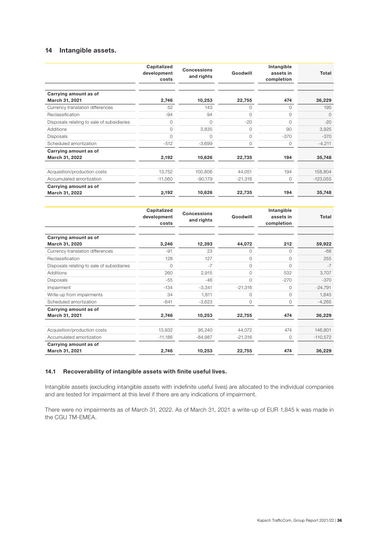# 14 Intangible assets.

|                                            | Capitalized<br>development<br>costs | <b>Concessions</b><br>and rights | Goodwill  | Intangible<br>assets in<br>completion | Total      |
|--------------------------------------------|-------------------------------------|----------------------------------|-----------|---------------------------------------|------------|
| Carrying amount as of<br>March 31, 2021    | 2,746                               | 10,253                           | 22,755    | 474                                   | 36,229     |
| Currency translation differences           | 52                                  | 143                              | $\Omega$  | $\Omega$                              | 195        |
| Reclassification                           | $-94$                               | 94                               | $\Omega$  | $\Omega$                              | $\bigcap$  |
| Disposals relating to sale of subsidiaries | $\Omega$                            | $\Omega$                         | $-20$     | $\Omega$                              | $-20$      |
| Additions                                  | $\bigcap$                           | 3,835                            | $\Omega$  | 90                                    | 3,925      |
| <b>Disposals</b>                           | $\Omega$                            | O                                | $\Omega$  | $-370$                                | $-370$     |
| Scheduled amortization                     | $-512$                              | $-3,699$                         | 0         | 0                                     | $-4,211$   |
| Carrying amount as of<br>March 31, 2022    | 2,192                               | 10,626                           | 22,735    | 194                                   | 35,748     |
| Acquisition/production costs               | 13,752                              | 100,806                          | 44.051    | 194                                   | 158,804    |
| Accumulated amortization                   | $-11,560$                           | $-90,179$                        | $-21,316$ | 0                                     | $-123,055$ |
| Carrying amount as of<br>March 31, 2022    | 2,192                               | 10,626                           | 22,735    | 194                                   | 35,748     |

|                                            | Capitalized<br>development<br>costs | <b>Concessions</b><br>and rights | Goodwill  | Intangible<br>assets in<br>completion | Total      |
|--------------------------------------------|-------------------------------------|----------------------------------|-----------|---------------------------------------|------------|
| Carrying amount as of<br>March 31, 2020    | 3,246                               | 12,393                           | 44,072    | 212                                   | 59,922     |
| Currency translation differences           | $-91$                               | 23                               | $\Omega$  | $\Omega$                              | $-68$      |
| Reclassification                           | 128                                 | 127                              | 0         | $\Omega$                              | 255        |
| Disposals relating to sale of subsidiaries | $\Omega$                            | $-7$                             | 0         | $\Omega$                              | $-7$       |
| Additions                                  | 260                                 | 2,915                            | $\Omega$  | 532                                   | 3,707      |
| <b>Disposals</b>                           | $-55$                               | $-46$                            | $\bigcap$ | $-270$                                | $-370$     |
| Impairment                                 | $-134$                              | $-3,341$                         | $-21,316$ | $\Omega$                              | $-24,791$  |
| Write-up from impairments                  | 34                                  | 1,811                            | $\Omega$  | $\Omega$                              | 1,845      |
| Scheduled amortization                     | $-641$                              | $-3,623$                         | 0         | $\circ$                               | $-4,265$   |
| Carrying amount as of<br>March 31, 2021    | 2,746                               | 10,253                           | 22,755    | 474                                   | 36,229     |
| Acquisition/production costs               | 13,932                              | 95,240                           | 44,072    | 474                                   | 146,801    |
| Accumulated amortization                   | $-11,186$                           | $-84,987$                        | $-21,316$ | 0                                     | $-110,572$ |
| Carrying amount as of<br>March 31, 2021    | 2,746                               | 10,253                           | 22,755    | 474                                   | 36,229     |

## 14.1 Recoverability of intangible assets with finite useful lives.

Intangible assets (excluding intangible assets with indefinite useful lives) are allocated to the individual companies and are tested for impairment at this level if there are any indications of impairment.

There were no impairments as of March 31, 2022. As of March 31, 2021 a write-up of EUR 1,845 k was made in the CGU TM-EMEA.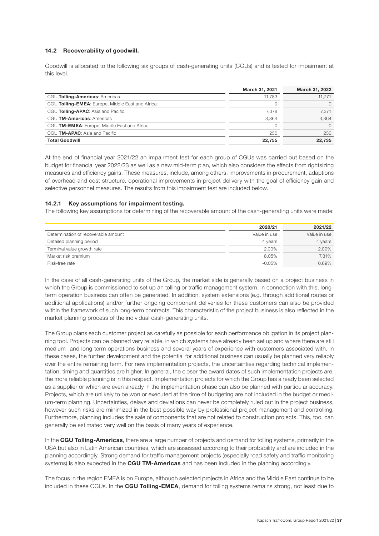## 14.2 Recoverability of goodwill.

Goodwill is allocated to the following six groups of cash-generating units (CGUs) and is tested for impairment at this level.

|                                                  | <b>March 31, 2021</b> | March 31, 2022 |
|--------------------------------------------------|-----------------------|----------------|
| CGU Tolling-Americas: Americas                   | 11.783                | 11.771         |
| CGU Tolling-EMEA: Europe, Middle East and Africa |                       |                |
| CGU Tolling-APAC: Asia and Pacific               | 7.378                 | 7.371          |
| CGU TM-Americas: Americas                        | 3.364                 | 3.364          |
| CGU TM-EMEA: Europe, Middle East and Africa      |                       |                |
| CGU TM-APAC: Asia and Pacific                    | 230                   | 230            |
| <b>Total Goodwill</b>                            | 22.755                | 22.735         |

At the end of financial year 2021/22 an impairment test for each group of CGUs was carried out based on the budget for financial year 2022/23 as well as a new mid-term plan, which also considers the effects from rightsizing measures and efficiency gains. These measures, include, among others, improvements in procurement, adaptions of overhead and cost structure, operational improvements in project delivery with the goal of efficiency gain and selective personnel measures. The results from this impairment test are included below.

#### 14.2.1 Key assumptions for impairment testing.

The following key assumptions for determining of the recoverable amount of the cash-generating units were made:

|                                     | 2020/21      | 2021/22      |
|-------------------------------------|--------------|--------------|
| Determination of recoverable amount | Value in use | Value in use |
| Detailed planning period            | 4 years      | 4 years      |
| Terminal value growth rate          | 2.00%        | 2.00%        |
| Market risk premium                 | 8.05%        | 7.31%        |
| Risk-free rate                      | $-0.05%$     | 0.69%        |

In the case of all cash-generating units of the Group, the market side is generally based on a project business in which the Group is commissioned to set up an tolling or traffic management system. In connection with this, longterm operation business can often be generated. In addition, system extensions (e.g. through additional routes or additional applications) and/or further ongoing component deliveries for these customers can also be provided within the framework of such long-term contracts. This characteristic of the project business is also reflected in the market planning process of the individual cash-generating units.

The Group plans each customer project as carefully as possible for each performance obligation in its project planning tool. Projects can be planned very reliable, in which systems have already been set up and where there are still medium- and long-term operations business and several years of experience with customers associated with. In these cases, the further development and the potential for additional business can usually be planned very reliably over the entire remaining term. For new implementation projects, the uncertainties regarding technical implementation, timing and quantities are higher. In general, the closer the award dates of such implementation projects are, the more reliable planning is in this respect. Implementation projects for which the Group has already been selected as a supplier or which are even already in the implementation phase can also be planned with particular accuracy. Projects, which are unlikely to be won or executed at the time of budgeting are not included in the budget or medium-term planning. Uncertainties, delays and deviations can never be completely ruled out in the project business, however such risks are minimized in the best possible way by professional project management and controlling. Furthermore, planning includes the sale of components that are not related to construction projects. This, too, can generally be estimated very well on the basis of many years of experience.

In the CGU Tolling-Americas, there are a large number of projects and demand for tolling systems, primarily in the USA but also in Latin American countries, which are assessed according to their probability and are included in the planning accordingly. Strong demand for traffic management projects (especially road safety and traffic monitoring systems) is also expected in the CGU TM-Americas and has been included in the planning accordingly.

The focus in the region EMEA is on Europe, although selected projects in Africa and the Middle East continue to be included in these CGUs. In the CGU Tolling-EMEA, demand for tolling systems remains strong, not least due to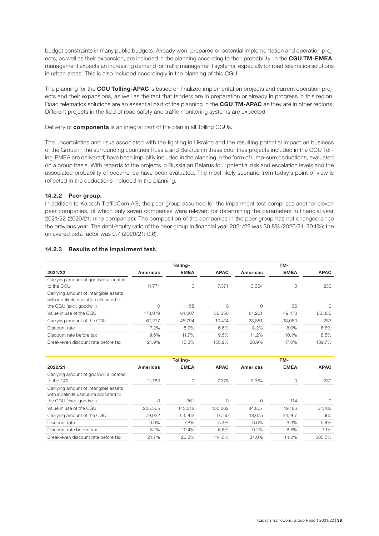budget constraints in many public budgets. Already won, prepared or potential implementation and operation projects, as well as their expansion, are included in the planning according to their probability. In the CGU TM-EMEA, management expects an increasing demand for traffic management systems, especially for road telematics solutions in urban areas. This is also included accordingly in the planning of this CGU.

The planning for the CGU Tolling-APAC is based on finalized implementation projects and current operation projects and their expansions, as well as the fact that tenders are in preparation or already in progress in this region. Road telematics solutions are an essential part of the planning in the CGU TM-APAC as they are in other regions. Different projects in the field of road safety and traffic monitoring systems are expected.

Delivery of **components** is an integral part of the plan in all Tolling CGUs.

The uncertainties and risks associated with the fighting in Ukraine and the resulting potential impact on business of the Group in the surrounding countries Russia and Belarus (in these countries projects included in the CGU Tolling-EMEA are delivered) have been implicitly included in the planning in the form of lump-sum deductions, evaluated on a group basis. With regards to the projects in Russia an Belarus four potential risk and escalation levels and the associated probability of occurrence have been evaluated. The most likely scenario from today's point of view is reflected in the deductions included in the planning.

## 14.2.2 Peer group.

In addition to Kapsch TrafficCom AG, the peer group assumed for the impairment test comprises another eleven peer companies, of which only seven companies were relevant for determining the parameters in financial year 2021/22 (2020/21: nine companies). The composition of the companies in the peer group has not changed since the previous year. The debt/equity ratio of the peer group in financial year 2021/22 was 30.8% (2020/21: 20.1%); the unlevered beta factor was 0.7 (2020/21: 0.6).

## 14.2.3 Results of the impairment test.

|                                                                                  |                 | Tolling-    |             |          | TM-         |             |
|----------------------------------------------------------------------------------|-----------------|-------------|-------------|----------|-------------|-------------|
| 2021/22                                                                          | <b>Americas</b> | <b>EMEA</b> | <b>APAC</b> | Americas | <b>EMEA</b> | <b>APAC</b> |
| Carrying amount of goodwill allocated<br>to the CGU                              | 11.771          | $\circ$     | 7.371       | 3.364    |             | 230         |
| Carrying amount of intangible assets<br>with indefinite useful life allocated to |                 |             |             |          |             |             |
| the CGU (excl. goodwill)                                                         | 0               | 158         |             | 0        | 36          | $\Omega$    |
| Value in use of the CGU                                                          | 173.079         | 61.007      | 56,350      | 61.261   | 49.478      | 86,333      |
| Carrying amount of the CGU                                                       | 67,277          | 45.794      | 10.474      | 23.881   | 38.080      | 283         |
| Discount rate                                                                    | 7.2%            | 8.9%        | 6.6%        | 8.2%     | 8.0%        | 6.6%        |
| Discount rate before tax                                                         | 9.6%            | 11.7%       | 9.5%        | 11.2%    | 10.1%       | 8.5%        |
| Break-even discount rate before tax                                              | 21.9%           | 15.3%       | 155.9%      | 28.9%    | 17.0%       | 189.7%      |

|                                                                                  |          | Tolling-    |             |                 | TM-         |             |
|----------------------------------------------------------------------------------|----------|-------------|-------------|-----------------|-------------|-------------|
| 2020/21                                                                          | Americas | <b>EMEA</b> | <b>APAC</b> | <b>Americas</b> | <b>EMEA</b> | <b>APAC</b> |
| Carrying amount of goodwill allocated<br>to the CGU                              | 11.783   |             | 7.378       | 3.364           |             | 230         |
| Carrying amount of intangible assets<br>with indefinite useful life allocated to |          |             |             |                 |             |             |
| the CGU (excl. goodwill)                                                         | $\Omega$ | 361         | $\Omega$    | $\Omega$        | 114         | $\Omega$    |
| Value in use of the CGU                                                          | 225.565  | 143.018     | 155,262     | 84.807          | 49.186      | 34.182      |
| Carrying amount of the CGU                                                       | 79,922   | 63.262      | 9.750       | 18.075          | 34.267      | 660         |
| Discount rate                                                                    | 6.0%     | 7.8%        | 5.4%        | 6.6%            | 6.6%        | 5.4%        |
| Discount rate before tax                                                         | 8.1%     | 10.4%       | 6.8%        | 9.2%            | 8.8%        | 7.1%        |
| Break-even discount rate before tax                                              | 21.7%    | 20.8%       | 114.0%      | 34.0%           | 14.2%       | 505.5%      |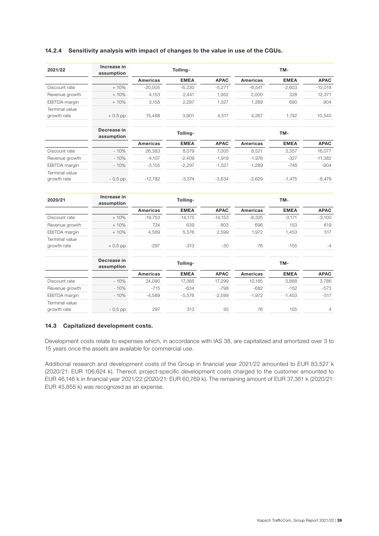## 14.2.4 Sensitivity analysis with impact of changes to the value in use of the CGUs.

| 2021/22                       | Increase in<br>assumption |                 | Tolling-    |             |                 | TM-         |             |
|-------------------------------|---------------------------|-----------------|-------------|-------------|-----------------|-------------|-------------|
|                               |                           | <b>Americas</b> | <b>EMEA</b> | <b>APAC</b> | <b>Americas</b> | <b>EMEA</b> | <b>APAC</b> |
| Discount rate                 | $+10%$                    | $-20,005$       | $-6,230$    | $-5,271$    | $-6,541$        | $-2,603$    | $-12,018$   |
| Revenue growth                | $+10%$                    | 4,153           | 2,441       | 1,952       | 2,000           | 328         | 12,371      |
| EBITDA margin                 | $+10%$                    | 3,155           | 2,297       | 1,527       | 1,289           | 690         | 904         |
| Terminal value<br>growth rate | $+0.5$ pp                 | 15,488          | 3,901       | 4,517       | 4,267           | 1.742       | 10,540      |
|                               | Decrease in<br>assumption |                 | Tolling-    |             |                 | TM-         |             |
|                               |                           | <b>Americas</b> | <b>EMEA</b> | <b>APAC</b> | <b>Americas</b> | <b>EMEA</b> | <b>APAC</b> |
| Discount rate                 | $-10%$                    | 26,383          | 8,079       | 7.005       | 8,521           | 3,357       | 16,077      |
| Revenue growth                | $-10%$                    | $-4,107$        | $-2,409$    | $-1,919$    | $-1,976$        | $-327$      | $-11,382$   |
| <b>EBITDA</b> margin          | $-10%$                    | $-3,155$        | $-2,297$    | $-1,527$    | $-1,289$        | $-748$      | $-904$      |
| Terminal value<br>growth rate | $-0.5$ pp                 | $-12,782$       | $-3,374$    | $-3,634$    | $-3,629$        | $-1,475$    | $-8,479$    |

| 2020/21                       | Increase in<br>assumption |                 | Tolling-    |             |                 | TM-         |             |
|-------------------------------|---------------------------|-----------------|-------------|-------------|-----------------|-------------|-------------|
|                               |                           | <b>Americas</b> | <b>EMEA</b> | <b>APAC</b> | <b>Americas</b> | <b>EMEA</b> | <b>APAC</b> |
| Discount rate                 | $+10%$                    | $-19.753$       | $-14.175$   | $-14.153$   | $-8.325$        | $-3.171$    | $-3.100$    |
| Revenue growth                | $+10%$                    | 724             | 639         | 803         | 696             | 153         | 619         |
| EBITDA margin                 | $+10%$                    | 4.589           | 5.576       | 2.599       | 1.972           | 1.453       | 517         |
| Terminal value<br>growth rate | $+0.5$ pp                 | $-297$          | $-313$      | $-30$       | $-76$           | $-155$      | $-4$        |
|                               |                           |                 |             |             |                 |             |             |

|                               | Decrease in<br>assumption |                 | Tolling-    |             |                 | TM-         |             |
|-------------------------------|---------------------------|-----------------|-------------|-------------|-----------------|-------------|-------------|
|                               |                           | <b>Americas</b> | <b>EMEA</b> | <b>APAC</b> | <b>Americas</b> | <b>EMEA</b> | <b>APAC</b> |
| Discount rate                 | $-10%$                    | 24.090          | 17.385      | 17.299      | 10.185          | 3.868       | 3.786       |
| Revenue growth                | $-10%$                    | $-715$          | $-634$      | $-798$      | $-682$          | $-152$      | $-573$      |
| EBITDA margin                 | $-10%$                    | $-4.589$        | $-5.576$    | $-2.599$    | $-1.972$        | $-1.453$    | $-517$      |
| Terminal value<br>growth rate | $-0.5$ pp                 | 297             | 313         | 30          | 76              | 155         | 4           |

## 14.3 Capitalized development costs.

Development costs relate to expenses which, in accordance with IAS 38, are capitalized and amortized over 3 to 15 years once the assets are available for commercial use.

Additional research and development costs of the Group in financial year 2021/22 amounted to EUR 83,527 k (2020/21: EUR 106,624 k). Thereof, project-specific development costs charged to the customer amounted to EUR 46,146 k in financial year 2021/22 (2020/21: EUR 60,769 k). The remaining amount of EUR 37,381 k (2020/21: EUR 45,855 k) was recognized as an expense.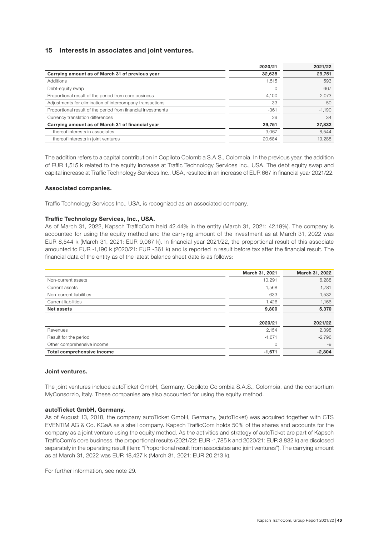## 15 Interests in associates and joint ventures.

|                                                              | 2020/21  | 2021/22  |
|--------------------------------------------------------------|----------|----------|
| Carrying amount as of March 31 of previous year              | 32,635   | 29,751   |
| Additions                                                    | 1.515    | 593      |
| Debt-equity swap                                             | C        | 667      |
| Proportional result of the period from core business         | $-4.100$ | $-2,073$ |
| Adjustments for elimination of intercompany transactions     | 33       | 50       |
| Proportional result of the period from financial investments | $-361$   | $-1.190$ |
| Currency translation differences                             | 29       | 34       |
| Carrying amount as of March 31 of financial year             | 29,751   | 27,832   |
| thereof interests in associates                              | 9,067    | 8.544    |
| thereof interests in joint ventures                          | 20.684   | 19.288   |

The addition refers to a capital contribution in Copiloto Colombia S.A.S., Colombia. In the previous year, the addition of EUR 1,515 k related to the equity increase at Traffic Technology Services Inc., USA. The debt equity swap and capital increase at Traffic Technology Services Inc., USA, resulted in an increase of EUR 667 in financial year 2021/22.

#### Associated companies.

Traffic Technology Services Inc., USA, is recognized as an associated company.

#### Traffic Technology Services, Inc., USA.

As of March 31, 2022, Kapsch TrafficCom held 42.44% in the entity (March 31, 2021: 42.19%). The company is accounted for using the equity method and the carrying amount of the investment as at March 31, 2022 was EUR 8,544 k (March 31, 2021: EUR 9,067 k). In financial year 2021/22, the proportional result of this associate amounted to EUR -1,190 k (2020/21: EUR -361 k) and is reported in result before tax after the financial result. The financial data of the entity as of the latest balance sheet date is as follows:

|                            | March 31, 2021 | March 31, 2022 |
|----------------------------|----------------|----------------|
| Non-current assets         | 10,291         | 6,288          |
| Current assets             | 1,568          | 1,781          |
| Non-current liabilities    | -633           | $-1,532$       |
| <b>Current liabilities</b> | $-1,426$       | $-1,166$       |
| Net assets                 | 9,800          | 5,370          |
|                            | 2020/21        | 2021/22        |
| Revenues                   | 2,154          | 2,398          |
| Result for the period      | $-1,671$       | $-2,796$       |
| Other comprehensive income | $\Omega$       | $-9$           |
| Total comprehensive income | $-1,671$       | $-2,804$       |

## Joint ventures.

The joint ventures include autoTicket GmbH, Germany, Copiloto Colombia S.A.S., Colombia, and the consortium MyConsorzio, Italy. These companies are also accounted for using the equity method.

#### autoTicket GmbH, Germany.

As of August 13, 2018, the company autoTicket GmbH, Germany, (autoTicket) was acquired together with CTS EVENTIM AG & Co. KGaA as a shell company. Kapsch TrafficCom holds 50% of the shares and accounts for the company as a joint venture using the equity method. As the activities and strategy of autoTicket are part of Kapsch TrafficCom's core business, the proportional results (2021/22: EUR -1,785 k and 2020/21: EUR 3,832 k) are disclosed separately in the operating result (Item: "Proportional result from associates and joint ventures"). The carrying amount as at March 31, 2022 was EUR 18,427 k (March 31, 2021: EUR 20,213 k).

For further information, see note 29.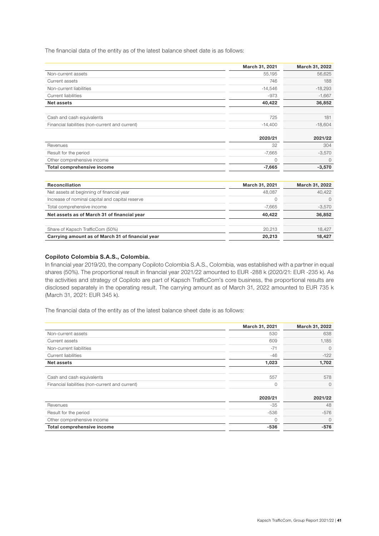The financial data of the entity as of the latest balance sheet date is as follows:

|                                                 | March 31, 2021 | March 31, 2022 |
|-------------------------------------------------|----------------|----------------|
| Non-current assets                              | 55,195         | 56,625         |
| Current assets                                  | 746            | 188            |
| Non-current liabilities                         | $-14,546$      | $-18,293$      |
| <b>Current liabilities</b>                      | $-973$         | $-1,667$       |
| <b>Net assets</b>                               | 40,422         | 36,852         |
| Cash and cash equivalents                       | 725            | 181            |
| Financial liabilities (non-current and current) | $-14,400$      | $-18,604$      |
|                                                 | 2020/21        | 2021/22        |
| Revenues                                        | 32             | 304            |
| Result for the period                           | $-7,665$       | $-3,570$       |
| Other comprehensive income                      | 0              | 0              |
| <b>Total comprehensive income</b>               | $-7,665$       | $-3,570$       |
| <b>Reconciliation</b>                           | March 31, 2021 | March 31, 2022 |
| Net assets at beginning of financial year       | 48,087         | 40,422         |
| Increase of nominal capital and capital reserve | 0              | $\Omega$       |
| Total comprehensive income                      | $-7,665$       | $-3,570$       |

| Net assets as of March 31 of financial year      | 40.422 | 36.852 |
|--------------------------------------------------|--------|--------|
|                                                  |        |        |
| Share of Kapsch TrafficCom (50%)                 | 20.213 | 18.427 |
| Carrying amount as of March 31 of financial year | 20.213 | 18.427 |

### Copiloto Colombia S.A.S., Colombia.

In financial year 2019/20, the company Copiloto Colombia S.A.S., Colombia, was established with a partner in equal shares (50%). The proportional result in financial year 2021/22 amounted to EUR -288 k (2020/21: EUR -235 k). As the activities and strategy of Copiloto are part of Kapsch TrafficCom's core business, the proportional results are disclosed separately in the operating result. The carrying amount as of March 31, 2022 amounted to EUR 735 k (March 31, 2021: EUR 345 k).

The financial data of the entity as of the latest balance sheet date is as follows:

|                                                 | March 31, 2021 | March 31, 2022 |
|-------------------------------------------------|----------------|----------------|
| Non-current assets                              | 530            | 638            |
| Current assets                                  | 609            | 1,185          |
| Non-current liabilities                         | $-71$          | $\circ$        |
| <b>Current liabilities</b>                      | $-46$          | $-122$         |
| Net assets                                      | 1,023          | 1,702          |
|                                                 |                |                |
| Cash and cash equivalents                       | 557            | 578            |
| Financial liabilities (non-current and current) | $\Omega$       | $\bigcap$      |
|                                                 | 2020/21        | 2021/22        |
| Revenues                                        | $-35$          | 48             |
| Result for the period                           | $-536$         | $-576$         |
| Other comprehensive income                      | $\mathbf 0$    | $\circ$        |
| Total comprehensive income                      | $-536$         | $-576$         |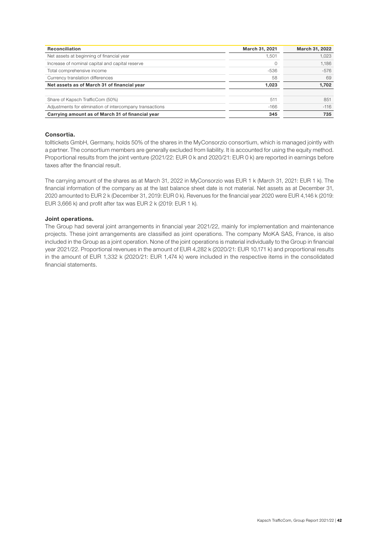| <b>Reconciliation</b>                                    | <b>March 31, 2021</b> | March 31, 2022 |
|----------------------------------------------------------|-----------------------|----------------|
| Net assets at beginning of financial year                | 1.501                 | 1.023          |
| Increase of nominal capital and capital reserve          |                       | 1.186          |
| Total comprehensive income                               | $-536$                | $-576$         |
| Currency translation differences                         | 58                    | 69             |
| Net assets as of March 31 of financial year              | 1,023                 | 1,702          |
| Share of Kapsch TrafficCom (50%)                         | 511                   | 851            |
| Adjustments for elimination of intercompany transactions | $-166$                | $-116$         |
| Carrying amount as of March 31 of financial year         | 345                   | 735            |

## Consortia.

tolltickets GmbH, Germany, holds 50% of the shares in the MyConsorzio consortium, which is managed jointly with a partner. The consortium members are generally excluded from liability. It is accounted for using the equity method. Proportional results from the joint venture (2021/22: EUR 0 k and 2020/21: EUR 0 k) are reported in earnings before taxes after the financial result.

The carrying amount of the shares as at March 31, 2022 in MyConsorzio was EUR 1 k (March 31, 2021: EUR 1 k). The financial information of the company as at the last balance sheet date is not material. Net assets as at December 31, 2020 amounted to EUR 2 k (December 31, 2019: EUR 0 k). Revenues for the financial year 2020 were EUR 4,146 k (2019: EUR 3,666 k) and profit after tax was EUR 2 k (2019: EUR 1 k).

# Joint operations.

The Group had several joint arrangements in financial year 2021/22, mainly for implementation and maintenance projects. These joint arrangements are classified as joint operations. The company MoKA SAS, France, is also included in the Group as a joint operation. None of the joint operations is material individually to the Group in financial year 2021/22. Proportional revenues in the amount of EUR 4,282 k (2020/21: EUR 10,171 k) and proportional results in the amount of EUR 1,332 k (2020/21: EUR 1,474 k) were included in the respective items in the consolidated financial statements.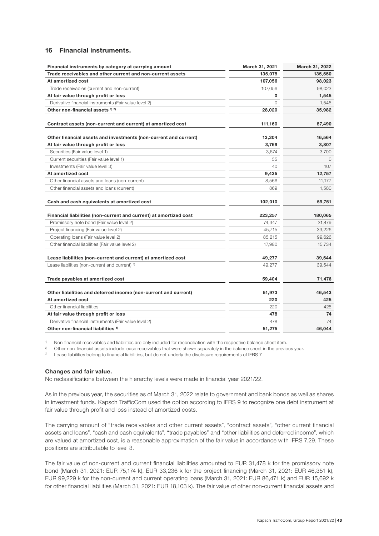# 16 Financial instruments.

| Financial instruments by category at carrying amount              | March 31, 2021 | March 31, 2022 |  |
|-------------------------------------------------------------------|----------------|----------------|--|
| Trade receivables and other current and non-current assets        | 135,075        | 135,550        |  |
| At amortized cost                                                 | 107,056        | 98,023         |  |
| Trade receivables (current and non-current)                       | 107,056        | 98,023         |  |
| At fair value through profit or loss                              | 0              | 1,545          |  |
| Derivative financial instruments (Fair value level 2)             | $\Omega$       | 1,545          |  |
| Other non-financial assets 1) 2)                                  | 28,020         | 35,982         |  |
| Contract assets (non-current and current) at amortized cost       | 111,160        | 87,490         |  |
| Other financial assets and investments (non-current and current)  | 13,204         | 16,564         |  |
| At fair value through profit or loss                              | 3,769          | 3,807          |  |
| Securities (Fair value level 1)                                   | 3,674          | 3,700          |  |
| Current securities (Fair value level 1)                           | 55             | $\Omega$       |  |
| Investments (Fair value level 3)                                  | 40             | 107            |  |
| At amortized cost                                                 | 9,435          | 12,757         |  |
| Other financial assets and loans (non-current)                    | 8,566          | 11,177         |  |
| Other financial assets and loans (current)                        | 869            | 1,580          |  |
| Cash and cash equivalents at amortized cost                       | 102,010        | 59,751         |  |
| Financial liabilities (non-current and current) at amortized cost | 223,257        | 180,065        |  |
| Promissory note bond (Fair value level 2)                         | 74,347         | 31,479         |  |
| Project financing (Fair value level 2)                            | 45,715         | 33,226         |  |
| Operating loans (Fair value level 2)                              | 85,215         | 99,626         |  |
| Other financial liabilities (Fair value level 2)                  | 17,980         | 15,734         |  |
| Lease liabilities (non-current and current) at amortized cost     | 49,277         | 39,544         |  |
| Lease liabilities (non-current and current) <sup>3)</sup>         | 49,277         | 39,544         |  |
| Trade payables at amortized cost                                  | 59,404         | 71,476         |  |
| Other liabilities and deferred income (non-current and current)   | 51,973         | 46,543         |  |
| At amortized cost                                                 | 220            | 425            |  |
| Other financial liabilities                                       | 220            | 425            |  |
| At fair value through profit or loss                              | 478            | 74             |  |
| Derivative financial instruments (Fair value level 2)             | 478            | 74             |  |
| Other non-financial liabilities <sup>1)</sup>                     | 51,275         | 46,044         |  |

1) Non-financial receivables and liabilities are only included for reconciliation with the respective balance sheet item.

<sup>2)</sup> Other non-financial assets include lease receivables that were shown separately in the balance sheet in the previous year.

<sup>3)</sup> Lease liabilities belong to financial liabilities, but do not underly the disclosure requirements of IFRS 7.

## Changes and fair value.

No reclassifications between the hierarchy levels were made in financial year 2021/22.

As in the previous year, the securities as of March 31, 2022 relate to government and bank bonds as well as shares in investment funds. Kapsch TrafficCom used the option according to IFRS 9 to recognize one debt instrument at fair value through profit and loss instead of amortized costs.

The carrying amount of "trade receivables and other current assets", "contract assets", "other current financial assets and loans", "cash and cash equivalents", "trade payables" and "other liabilities and deferred income", which are valued at amortized cost, is a reasonable approximation of the fair value in accordance with IFRS 7.29. These positions are attributable to level 3.

The fair value of non-current and current financial liabilities amounted to EUR 31,478 k for the promissory note bond (March 31, 2021: EUR 75,174 k), EUR 33,236 k for the project financing (March 31, 2021: EUR 46,351 k), EUR 99,229 k for the non-current and current operating loans (March 31, 2021: EUR 86,471 k) and EUR 15,692 k for other financial liabilities (March 31, 2021: EUR 18,103 k). The fair value of other non-current financial assets and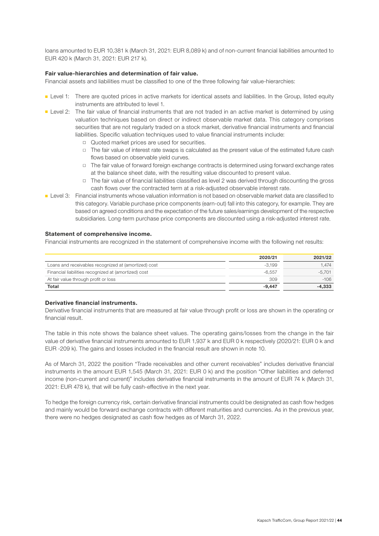loans amounted to EUR 10,381 k (March 31, 2021: EUR 8,089 k) and of non-current financial liabilities amounted to EUR 420 k (March 31, 2021: EUR 217 k).

## Fair value-hierarchies and determination of fair value.

Financial assets and liabilities must be classified to one of the three following fair value-hierarchies:

- Level 1: There are quoted prices in active markets for identical assets and liabilities. In the Group, listed equity instruments are attributed to level 1.
- Level 2: The fair value of financial instruments that are not traded in an active market is determined by using valuation techniques based on direct or indirect observable market data. This category comprises securities that are not regularly traded on a stock market, derivative financial instruments and financial liabilities. Specific valuation techniques used to value financial instruments include:
	- □ Quoted market prices are used for securities.
	- The fair value of interest rate swaps is calculated as the present value of the estimated future cash flows based on observable yield curves.
	- □ The fair value of forward foreign exchange contracts is determined using forward exchange rates at the balance sheet date, with the resulting value discounted to present value.
	- $\Box$  The fair value of financial liabilities classified as level 2 was derived through discounting the gross cash flows over the contracted term at a risk-adjusted observable interest rate.
- Level 3: Financial instruments whose valuation information is not based on observable market data are classified to this category. Variable purchase price components (earn-out) fall into this category, for example. They are based on agreed conditions and the expectation of the future sales/earnings development of the respective subsidiaries. Long-term purchase price components are discounted using a risk-adjusted interest rate.

## Statement of comprehensive income.

Financial instruments are recognized in the statement of comprehensive income with the following net results:

|                                                      | 2020/21  | 2021/22  |
|------------------------------------------------------|----------|----------|
| Loans and receivables recognized at (amortized) cost | $-3.199$ | 1.474    |
| Financial liabilities recognized at (amortized) cost | $-6.557$ | $-5.701$ |
| At fair value through profit or loss                 | 309      | $-106$   |
| Total                                                | $-9.447$ | $-4,333$ |

### Derivative financial instruments.

Derivative financial instruments that are measured at fair value through profit or loss are shown in the operating or financial result.

The table in this note shows the balance sheet values. The operating gains/losses from the change in the fair value of derivative financial instruments amounted to EUR 1,937 k and EUR 0 k respectively (2020/21: EUR 0 k and EUR -209 k). The gains and losses included in the financial result are shown in note 10.

As of March 31, 2022 the position "Trade receivables and other current receivables" includes derivative financial instruments in the amount EUR 1,545 (March 31, 2021: EUR 0 k) and the position "Other liabilities and deferred income (non-current and current)" includes derivative financial instruments in the amount of EUR 74 k (March 31, 2021: EUR 478 k), that will be fully cash-effective in the next year.

To hedge the foreign currency risk, certain derivative financial instruments could be designated as cash flow hedges and mainly would be forward exchange contracts with different maturities and currencies. As in the previous year, there were no hedges designated as cash flow hedges as of March 31, 2022.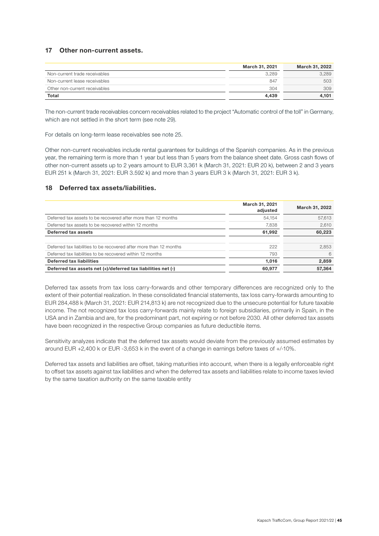# 17 Other non-current assets.

|                               | March 31, 2021 | March 31, 2022 |
|-------------------------------|----------------|----------------|
| Non-current trade receivables | 3.289          | 3.289          |
| Non-current lease receivables | 847            | 503            |
| Other non-current receivables | 304            | 309            |
| Total                         | 4.439          | 4.101          |

The non-current trade receivables concern receivables related to the project "Automatic control of the toll" in Germany, which are not settled in the short term (see note 29).

For details on long-term lease receivables see note 25.

Other non-current receivables include rental guarantees for buildings of the Spanish companies. As in the previous year, the remaining term is more than 1 year but less than 5 years from the balance sheet date. Gross cash flows of other non-current assets up to 2 years amount to EUR 3,361 k (March 31, 2021: EUR 20 k), between 2 and 3 years EUR 251 k (March 31, 2021: EUR 3.592 k) and more than 3 years EUR 3 k (March 31, 2021: EUR 3 k).

# 18 Deferred tax assets/liabilities.

|                                                                    | March 31, 2021<br>adjusted | March 31, 2022 |
|--------------------------------------------------------------------|----------------------------|----------------|
| Deferred tax assets to be recovered after more than 12 months      | 54.154                     | 57.613         |
| Deferred tax assets to be recovered within 12 months               | 7.838                      | 2,610          |
| Deferred tax assets                                                | 61,992                     | 60,223         |
| Deferred tax liabilities to be recovered after more than 12 months | 222                        | 2.853          |
| Deferred tax liabilities to be recovered within 12 months          | 793                        | 6              |
| <b>Deferred tax liabilities</b>                                    | 1.016                      | 2,859          |
| Deferred tax assets net (+)/deferred tax liabilities net (-)       | 60,977                     | 57,364         |

Deferred tax assets from tax loss carry-forwards and other temporary differences are recognized only to the extent of their potential realization. In these consolidated financial statements, tax loss carry-forwards amounting to EUR 284,488 k (March 31, 2021: EUR 214,813 k) are not recognized due to the unsecure potential for future taxable income. The not recognized tax loss carry-forwards mainly relate to foreign subsidiaries, primarily in Spain, in the USA and in Zambia and are, for the predominant part, not expiring or not before 2030. All other deferred tax assets have been recognized in the respective Group companies as future deductible items.

Sensitivity analyzes indicate that the deferred tax assets would deviate from the previously assumed estimates by around EUR +2,400 k or EUR -3,653 k in the event of a change in earnings before taxes of +/-10%.

Deferred tax assets and liabilities are offset, taking maturities into account, when there is a legally enforceable right to offset tax assets against tax liabilities and when the deferred tax assets and liabilities relate to income taxes levied by the same taxation authority on the same taxable entity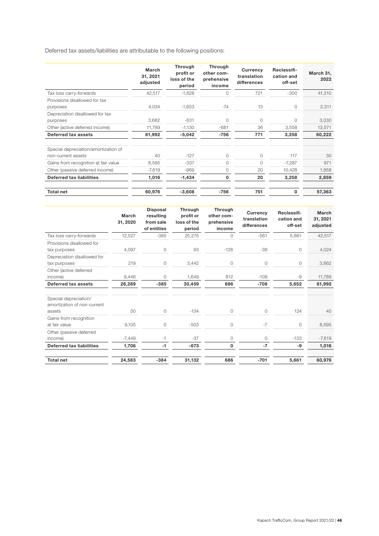Deferred tax assets/liabilities are attributable to the following positions:

|                                             | March<br>31, 2021<br>adjusted | <b>Through</b><br>profit or<br>loss of the<br>period | <b>Through</b><br>other com-<br>prehensive<br>income | <b>Currency</b><br>translation<br>differences | Reclassifi-<br>cation and<br>off-set | March 31,<br>2022 |
|---------------------------------------------|-------------------------------|------------------------------------------------------|------------------------------------------------------|-----------------------------------------------|--------------------------------------|-------------------|
| Tax loss carry-forwards                     | 42,517                        | $-1,628$                                             | $\mathbf 0$                                          | 721                                           | $-300$                               | 41,310            |
| Provisions disallowed for tax<br>purposes   | 4,024                         | $-1,653$                                             | $-74$                                                | 13                                            | 0                                    | 2,311             |
| Depreciation disallowed for tax<br>purposes | 3,662                         | $-631$                                               | $\circ$                                              | 0                                             | $\Omega$                             | 3,030             |
| Other (active deferred income)              | 11,789                        | $-1,130$                                             | $-681$                                               | 36                                            | 3,558                                | 13,571            |
| <b>Deferred tax assets</b>                  | 61,992                        | $-5,042$                                             | $-756$                                               | 771                                           | 3,258                                | 60,222            |
| Special depreciation/amortization of        |                               |                                                      |                                                      |                                               |                                      |                   |
| non-current assets                          | 40                            | $-127$                                               | $\circ$                                              | 0                                             | 117                                  | 30                |
| Gains from recognition at fair value        | 8,595                         | $-337$                                               | $\circ$                                              | $\Omega$                                      | $-7,287$                             | 971               |
| Other (passive deferred income)             | $-7,619$                      | $-969$                                               | $\circ$                                              | 20                                            | 10,428                               | 1,858             |
| <b>Deferred tax liabilities</b>             | 1,016                         | $-1,434$                                             | 0                                                    | 20                                            | 3,258                                | 2,859             |
| <b>Total net</b>                            | 60,976                        | $-3,608$                                             | $-756$                                               | 751                                           | 0                                    | 57,363            |

|                                                                | March<br>31, 2020 | <b>Disposal</b><br>resulting<br>from sale<br>of entities | <b>Through</b><br>profit or<br>loss of the<br>period | Through<br>other com-<br>prehensive<br>income | <b>Currency</b><br>translation<br>differences | Reclassifi-<br>cation and<br>off-set | <b>March</b><br>31, 2021<br>adjusted |
|----------------------------------------------------------------|-------------------|----------------------------------------------------------|------------------------------------------------------|-----------------------------------------------|-----------------------------------------------|--------------------------------------|--------------------------------------|
| Tax loss carry-forwards                                        | 12,527            | $-385$                                                   | 25,275                                               | $\circ$                                       | $-561$                                        | 5,661                                | 42,517                               |
| Provisions disallowed for                                      |                   |                                                          |                                                      |                                               |                                               |                                      |                                      |
| tax purposes                                                   | 4,097             | 0                                                        | 93                                                   | $-126$                                        | $-38$                                         | $\circ$                              | 4,024                                |
| Depreciation disallowed for                                    |                   |                                                          |                                                      |                                               |                                               |                                      |                                      |
| tax purposes                                                   | 219               | $\circ$                                                  | 3,442                                                | $\circ$                                       | 0                                             | 0                                    | 3,662                                |
| Other (active deferred                                         |                   |                                                          |                                                      |                                               |                                               |                                      |                                      |
| income)                                                        | 9,446             | $\Omega$                                                 | 1,649                                                | 812                                           | $-109$                                        | $-9$                                 | 11,789                               |
| <b>Deferred tax assets</b>                                     | 26,289            | $-385$                                                   | 30,459                                               | 686                                           | $-708$                                        | 5,652                                | 61,992                               |
| Special depreciation/<br>amortization of non-current<br>assets | 50                | 0                                                        | $-134$                                               | 0                                             | $\circ$                                       | 124                                  | 40                                   |
| Gains from recognition<br>at fair value                        | 9,105             | $\circ$                                                  | $-503$                                               | $\circ$                                       | $-7$                                          | $\circ$                              | 8,595                                |
| Other (passive deferred<br>income)                             | $-7,449$          | $-1$                                                     | $-37$                                                | $\circ$                                       | 0                                             | $-133$                               | $-7,619$                             |
| <b>Deferred tax liabilities</b>                                | 1,706             | $-1$                                                     | $-673$                                               | $\mathbf 0$                                   | $-7$                                          | $-9$                                 | 1,016                                |
| <b>Total net</b>                                               | 24,583            | $-384$                                                   | 31,132                                               | 686                                           | $-701$                                        | 5,661                                | 60,976                               |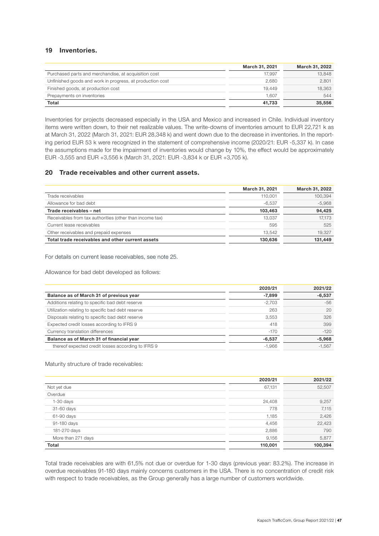# 19 Inventories.

|                                                           | March 31, 2021 | March 31, 2022 |
|-----------------------------------------------------------|----------------|----------------|
| Purchased parts and merchandise, at acquisition cost      | 17.997         | 13.848         |
| Unfinished goods and work in progress, at production cost | 2.680          | 2.801          |
| Finished goods, at production cost                        | 19.449         | 18.363         |
| Prepayments on inventories                                | 1.607          | 544            |
| Total                                                     | 41.733         | 35.556         |

Inventories for projects decreased especially in the USA and Mexico and increased in Chile. Individual inventory items were written down, to their net realizable values. The write-downs of inventories amount to EUR 22,721 k as at March 31, 2022 (March 31, 2021: EUR 28,348 k) and went down due to the decrease in inventories. In the reporting period EUR 53 k were recognized in the statement of comprehensive income (2020/21: EUR -5,337 k). In case the assumptions made for the impairment of inventories would change by 10%, the effect would be approximately EUR -3,555 and EUR +3,556 k (March 31, 2021: EUR -3,834 k or EUR +3,705 k).

# 20 Trade receivables and other current assets.

|                                                          | <b>March 31, 2021</b> | March 31, 2022 |
|----------------------------------------------------------|-----------------------|----------------|
| Trade receivables                                        | 110.001               | 100,394        |
| Allowance for bad debt                                   | $-6.537$              | $-5,968$       |
| Trade receivables - net                                  | 103.463               | 94.425         |
| Receivables from tax authorities (other than income tax) | 13.037                | 17.173         |
| Current lease receivables                                | 595                   | 525            |
| Other receivables and prepaid expenses                   | 13.542                | 19.327         |
| Total trade receivables and other current assets         | 130.636               | 131.449        |

For details on current lease receivables, see note 25.

Allowance for bad debt developed as follows:

|                                                    | 2020/21  | 2021/22  |
|----------------------------------------------------|----------|----------|
| Balance as of March 31 of previous year            | $-7,899$ | $-6,537$ |
| Additions relating to specific bad debt reserve    | $-2,703$ | -56      |
| Utilization relating to specific bad debt reserve  | 263      | 20       |
| Disposals relating to specific bad debt reserve    | 3,553    | 326      |
| Expected credit losses according to IFRS 9         | 418      | 399      |
| Currency translation differences                   | $-170$   | $-120$   |
| Balance as of March 31 of financial year           | $-6,537$ | $-5,968$ |
| thereof expected credit losses according to IFRS 9 | $-1.966$ | $-1.567$ |

### Maturity structure of trade receivables:

|                    | 2020/21 | 2021/22 |
|--------------------|---------|---------|
| Not yet due        | 67,131  | 52,507  |
| Overdue            |         |         |
| $1-30$ days        | 24,408  | 9,257   |
| 31-60 days         | 778     | 7,115   |
| 61-90 days         | 1,185   | 2,426   |
| 91-180 days        | 4,456   | 22,423  |
| 181-270 days       | 2,886   | 790     |
| More than 271 days | 9,156   | 5,877   |
| Total              | 110,001 | 100,394 |

Total trade receivables are with 61,5% not due or overdue for 1-30 days (previous year: 83.2%). The increase in overdue receivables 91-180 days mainly concerns customers in the USA. There is no concentration of credit risk with respect to trade receivables, as the Group generally has a large number of customers worldwide.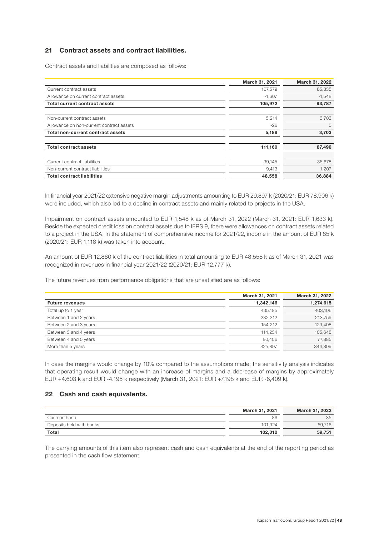# 21 Contract assets and contract liabilities.

Contract assets and liabilities are composed as follows:

|                                          | March 31, 2021 | March 31, 2022 |
|------------------------------------------|----------------|----------------|
| Current contract assets                  | 107,579        | 85,335         |
| Allowance on current contract assets     | $-1,607$       | $-1,548$       |
| <b>Total current contract assets</b>     | 105,972        | 83,787         |
| Non-current contract assets              | 5,214          | 3,703          |
| Allowance on non-current contract assets | $-26$          | $\Omega$       |
| Total non-current contract assets        | 5,188          | 3,703          |
| <b>Total contract assets</b>             | 111,160        | 87,490         |
| Current contract liabilities             | 39.145         | 35,678         |
| Non-current contract liabilities         | 9.413          | 1,207          |
| <b>Total contract liabilities</b>        | 48,558         | 36,884         |

In financial year 2021/22 extensive negative margin adjustments amounting to EUR 29,897 k (2020/21: EUR 78.906 k) were included, which also led to a decline in contract assets and mainly related to projects in the USA.

Impairment on contract assets amounted to EUR 1,548 k as of March 31, 2022 (March 31, 2021: EUR 1,633 k). Beside the expected credit loss on contract assets due to IFRS 9, there were allowances on contract assets related to a project in the USA. In the statement of comprehensive income for 2021/22, income in the amount of EUR 85 k (2020/21: EUR 1,118 k) was taken into account.

An amount of EUR 12,860 k of the contract liabilities in total amounting to EUR 48,558 k as of March 31, 2021 was recognized in revenues in financial year 2021/22 (2020/21: EUR 12,777 k).

The future revenues from performance obligations that are unsatisfied are as follows:

|                        | <b>March 31, 2021</b> | March 31, 2022 |
|------------------------|-----------------------|----------------|
| <b>Future revenues</b> | 1,342,146             | 1,274,615      |
| Total up to 1 year     | 435,185               | 403,106        |
| Between 1 and 2 years  | 232.212               | 213,759        |
| Between 2 and 3 years  | 154,212               | 129,408        |
| Between 3 and 4 years  | 114.234               | 105,648        |
| Between 4 and 5 years  | 80.406                | 77,885         |
| More than 5 years      | 325.897               | 344.809        |

In case the margins would change by 10% compared to the assumptions made, the sensitivity analysis indicates that operating result would change with an increase of margins and a decrease of margins by approximately EUR +4.603 k and EUR -4.195 k respectively (March 31, 2021: EUR +7,198 k and EUR -6,409 k).

## 22 Cash and cash equivalents.

|                          | March 31, 2021 | March 31, 2022 |
|--------------------------|----------------|----------------|
| Cash on hand             | 86             | 35             |
| Deposits held with banks | 101.924        | 59,716         |
| <b>Total</b>             | 102.010        | 59.751         |

The carrying amounts of this item also represent cash and cash equivalents at the end of the reporting period as presented in the cash flow statement.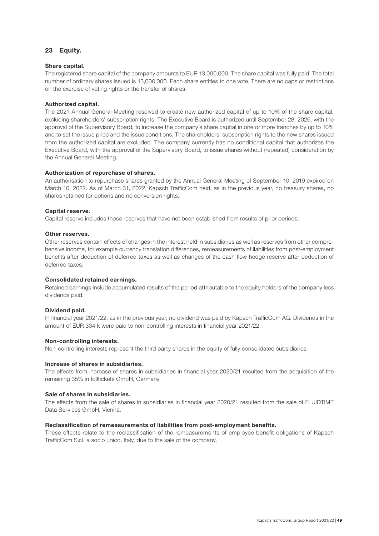# 23 Equity.

# Share capital.

The registered share capital of the company amounts to EUR 13,000,000. The share capital was fully paid. The total number of ordinary shares issued is 13,000,000. Each share entitles to one vote. There are no caps or restrictions on the exercise of voting rights or the transfer of shares.

## Authorized capital.

The 2021 Annual General Meeting resolved to create new authorized capital of up to 10% of the share capital, excluding shareholders' subscription rights. The Executive Board is authorized until September 28, 2026, with the approval of the Supervisory Board, to increase the company's share capital in one or more tranches by up to 10% and to set the issue price and the issue conditions. The shareholders' subscription rights to the new shares issued from the authorized capital are excluded. The company currently has no conditional capital that authorizes the Executive Board, with the approval of the Supervisory Board, to issue shares without (repeated) consideration by the Annual General Meeting.

## Authorization of repurchase of shares.

An authorisation to repurchase shares granted by the Annual General Meeting of September 10, 2019 expired on March 10, 2022. As of March 31, 2022, Kapsch TrafficCom held, as in the previous year, no treasury shares, no shares retained for options and no conversion rights.

## Capital reserve.

Capital reserve includes those reserves that have not been established from results of prior periods.

#### Other reserves.

Other reserves contain effects of changes in the interest held in subsidiaries as well as reserves from other comprehensive income, for example currency translation differences, remeasurements of liabilities from post-employment benefits after deduction of deferred taxes as well as changes of the cash flow hedge reserve after deduction of deferred taxes.

#### Consolidated retained earnings.

Retained earnings include accumulated results of the period attributable to the equity holders of the company less dividends paid.

#### Dividend paid.

In financial year 2021/22, as in the previous year, no dividend was paid by Kapsch TrafficCom AG. Dividends in the amount of EUR 334 k were paid to non-controlling interests in financial year 2021/22.

#### Non-controlling interests.

Non-controlling interests represent the third party shares in the equity of fully consolidated subsidiaries.

#### Increase of shares in subsidiaries.

The effects from increase of shares in subsidiaries in financial year 2020/21 resulted from the acquisition of the remaining 35% in tolltickets GmbH, Germany.

#### Sale of shares in subsidiaries.

The effects from the sale of shares in subsidiaries in financial year 2020/21 resulted from the sale of FLUIDTIME Data Services GmbH, Vienna.

#### Reclassification of remeasurements of liabilities from post-employment benefits.

These effects relate to the reclassification of the remeasurements of employee benefit obligations of Kapsch TrafficCom S.r.l. a socio unico, Italy, due to the sale of the company.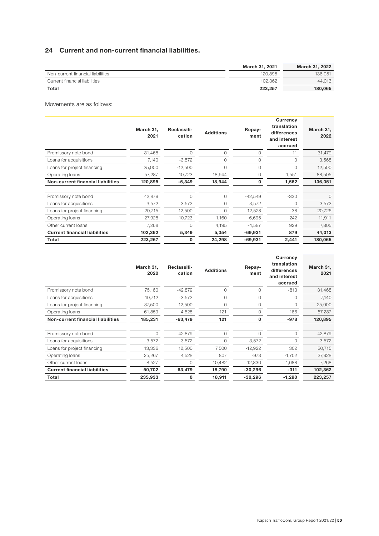# 24 Current and non-current financial liabilities.

|                                   | March 31, 2021 | March 31, 2022 |
|-----------------------------------|----------------|----------------|
| Non-current financial liabilities | 120.895        | 136.051        |
| Current financial liabilities     | 102.362        | 44.013         |
| Total                             | 223.257        | 180.065        |

Movements are as follows:

|                                      | March 31,<br>2021 | Reclassifi-<br>cation | <b>Additions</b> | Repay-<br>ment | <b>Currency</b><br>translation<br>differences<br>and interest<br>accrued | March 31,<br>2022 |
|--------------------------------------|-------------------|-----------------------|------------------|----------------|--------------------------------------------------------------------------|-------------------|
| Promissory note bond                 | 31,468            | $\cap$                | 0                | 0              | 11                                                                       | 31,479            |
| Loans for acquisitions               | 7,140             | $-3,572$              | 0                | 0              | $\Omega$                                                                 | 3,568             |
| Loans for project financing          | 25,000            | $-12,500$             | 0                | 0              | $\Omega$                                                                 | 12,500            |
| Operating loans                      | 57,287            | 10,723                | 18,944           | 0              | 1,551                                                                    | 88,505            |
| Non-current financial liabilities    | 120,895           | $-5,349$              | 18,944           | 0              | 1,562                                                                    | 136,051           |
| Promissory note bond                 | 42,879            | $\Omega$              | $\Omega$         | $-42,549$      | $-330$                                                                   | $\Omega$          |
| Loans for acquisitions               | 3,572             | 3,572                 | $\Omega$         | $-3,572$       | $\bigcap$                                                                | 3,572             |
| Loans for project financing          | 20,715            | 12,500                | 0                | $-12,528$      | 38                                                                       | 20,726            |
| Operating loans                      | 27,928            | $-10,723$             | 1,160            | $-6,695$       | 242                                                                      | 11,911            |
| Other current loans                  | 7,268             | 0                     | 4,195            | $-4,587$       | 929                                                                      | 7,805             |
| <b>Current financial liabilities</b> | 102,362           | 5,349                 | 5,354            | $-69,931$      | 879                                                                      | 44,013            |
| Total                                | 223,257           | 0                     | 24,298           | $-69.931$      | 2,441                                                                    | 180,065           |

|                                          | March 31,<br>2020 | Reclassifi-<br>cation | <b>Additions</b> | Repay-<br>ment | <b>Currency</b><br>translation<br>differences<br>and interest<br>accrued | March 31,<br>2021 |
|------------------------------------------|-------------------|-----------------------|------------------|----------------|--------------------------------------------------------------------------|-------------------|
| Promissory note bond                     | 75,160            | $-42,879$             | 0                | 0              | $-813$                                                                   | 31,468            |
| Loans for acquisitions                   | 10,712            | $-3,572$              | 0                | 0              | $\Omega$                                                                 | 7,140             |
| Loans for project financing              | 37,500            | $-12,500$             | $\circ$          | $\circ$        | $\Omega$                                                                 | 25,000            |
| Operating loans                          | 61,859            | $-4,528$              | 121              | 0              | $-166$                                                                   | 57,287            |
| <b>Non-current financial liabilities</b> | 185,231           | $-63,479$             | 121              | 0              | $-978$                                                                   | 120,895           |
| Promissory note bond                     | $\Omega$          | 42,879                | $\circ$          | $\Omega$       | $\Omega$                                                                 | 42,879            |
| Loans for acquisitions                   | 3,572             | 3,572                 | $\Omega$         | $-3,572$       | $\cap$                                                                   | 3,572             |
| Loans for project financing              | 13,336            | 12,500                | 7,500            | $-12,922$      | 302                                                                      | 20,715            |
| Operating loans                          | 25,267            | 4,528                 | 807              | -973           | $-1,702$                                                                 | 27,928            |
| Other current loans                      | 8,527             | $\Omega$              | 10,482           | $-12,830$      | 1,088                                                                    | 7,268             |
| <b>Current financial liabilities</b>     | 50,702            | 63,479                | 18,790           | $-30,296$      | $-311$                                                                   | 102,362           |
| Total                                    | 235,933           | 0                     | 18,911           | $-30.296$      | $-1,290$                                                                 | 223,257           |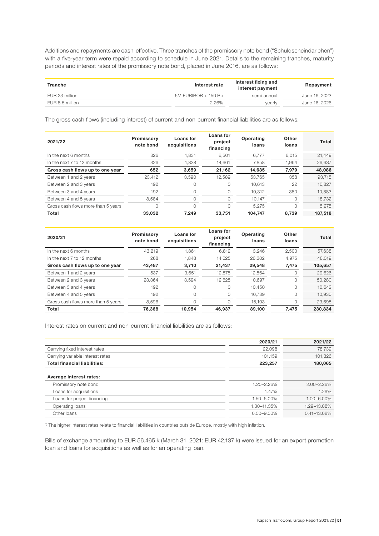Additions and repayments are cash-effective. Three tranches of the promissory note bond ("Schuldscheindarlehen") with a five-year term were repaid according to schedule in June 2021. Details to the remaining tranches, maturity periods and interest rates of the promissory note bond, placed in June 2016, are as follows:

| Tranche         | Interest rate       | Interest fixing and<br>interest payment | Repayment     |
|-----------------|---------------------|-----------------------------------------|---------------|
| EUR 23 million  | 6M EURIBOR + 150 Bp | semi-annual                             | June 16, 2023 |
| EUR 8.5 million | 2.26%               | vearly                                  | June 16, 2026 |

The gross cash flows (including interest) of current and non-current financial liabilities are as follows:

| 2021/22                            | Promissory<br>note bond | Loans for<br>acquisitions | Loans for<br>project<br>financing | Operating<br>loans | Other<br>loans | Total   |
|------------------------------------|-------------------------|---------------------------|-----------------------------------|--------------------|----------------|---------|
| In the next 6 months               | 326                     | 1.831                     | 6.501                             | 6.777              | 6.015          | 21,449  |
| In the next 7 to 12 months         | 326                     | 1.828                     | 14.661                            | 7.858              | 1.964          | 26,637  |
| Gross cash flows up to one year    | 652                     | 3,659                     | 21,162                            | 14,635             | 7,979          | 48,086  |
| Between 1 and 2 years              | 23.412                  | 3.590                     | 12,589                            | 53.765             | 358            | 93.715  |
| Between 2 and 3 years              | 192                     | $\Omega$                  | O                                 | 10.613             | 22             | 10.827  |
| Between 3 and 4 years              | 192                     | $\Omega$                  | $\Omega$                          | 10.312             | 380            | 10.883  |
| Between 4 and 5 years              | 8.584                   | $\Omega$                  | $\Omega$                          | 10.147             | $\Omega$       | 18.732  |
| Gross cash flows more than 5 years |                         | $\Omega$                  | 0                                 | 5.275              | $\Omega$       | 5.275   |
| <b>Total</b>                       | 33,032                  | 7.249                     | 33.751                            | 104,747            | 8.739          | 187,518 |

| 2020/21                            | Promissory<br>note bond | Loans for<br>acquisitions | Loans for<br>project<br>financing | Operating<br>loans | Other<br>loans | Total   |
|------------------------------------|-------------------------|---------------------------|-----------------------------------|--------------------|----------------|---------|
| In the next 6 months               | 43.219                  | 1.861                     | 6.812                             | 3.246              | 2.500          | 57,638  |
| In the next 7 to 12 months         | 268                     | 1.848                     | 14.625                            | 26.302             | 4.975          | 48,019  |
| Gross cash flows up to one year    | 43,487                  | 3.710                     | 21,437                            | 29.548             | 7.475          | 105,657 |
| Between 1 and 2 years              | 537                     | 3.651                     | 12.875                            | 12.564             | $\Omega$       | 29,626  |
| Between 2 and 3 years              | 23.364                  | 3.594                     | 12.625                            | 10.697             | $\cap$         | 50,280  |
| Between 3 and 4 years              | 192                     | $\Omega$                  | U                                 | 10.450             | $\cap$         | 10.642  |
| Between 4 and 5 years              | 192                     | $\Omega$                  | $\Omega$                          | 10.739             | $\cap$         | 10.930  |
| Gross cash flows more than 5 years | 8,596                   | $\Omega$                  | 0                                 | 15.103             | $\Omega$       | 23,698  |
| <b>Total</b>                       | 76.368                  | 10.954                    | 46.937                            | 89.100             | 7.475          | 230.834 |

Interest rates on current and non-current financial liabilities are as follows:

|                                     | 2020/21         | 2021/22          |
|-------------------------------------|-----------------|------------------|
| Carrying fixed interest rates       | 122,098         | 78,739           |
| Carrying variable interest rates    | 101,159         | 101,326          |
| <b>Total financial liabilities:</b> | 223,257         | 180,065          |
| Average interest rates:             |                 |                  |
| Promissory note bond                | 1.20-2.26%      | $2.00 - 2.26%$   |
| Loans for acquisitions              | 1.47%           | 1.26%            |
| Loans for project financing         | 1.50-6.00%      | 1.00-6.00%       |
| Operating loans                     | 1.30-11.35%     | 1.29-13.08%      |
| Other loans                         | $0.50 - 9.00\%$ | $0.41 - 13.08\%$ |

<sup>1)</sup> The higher interest rates relate to financial liabilities in countries outside Europe, mostly with high inflation.

Bills of exchange amounting to EUR 56.465 k (March 31, 2021: EUR 42,137 k) were issued for an export promotion loan and loans for acquisitions as well as for an operating loan.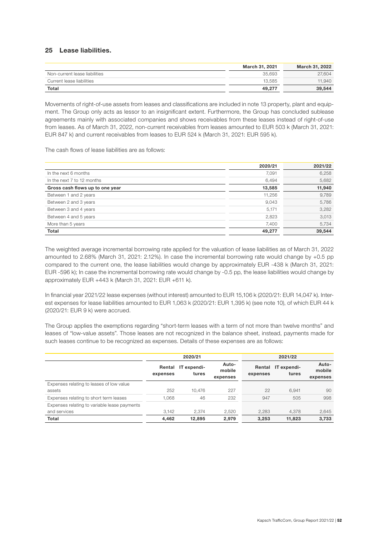# 25 Lease liabilities.

|                               | March 31, 2021 | March 31, 2022 |
|-------------------------------|----------------|----------------|
| Non-current lease liabilities | 35.693         | 27.604         |
| Current lease liabilities     | 13.585         | 11.940         |
| Total                         | 49.277         | 39,544         |

Movements of right-of-use assets from leases and classifications are included in note 13 property, plant and equipment. The Group only acts as lessor to an insignificant extent. Furthermore, the Group has concluded sublease agreements mainly with associated companies and shows receivables from these leases instead of right-of-use from leases. As of March 31, 2022, non-current receivables from leases amounted to EUR 503 k (March 31, 2021: EUR 847 k) and current receivables from leases to EUR 524 k (March 31, 2021: EUR 595 k).

The cash flows of lease liabilities are as follows:

|                                 | 2020/21 | 2021/22 |
|---------------------------------|---------|---------|
| In the next 6 months            | 7.091   | 6,258   |
| In the next 7 to 12 months      | 6,494   | 5,682   |
| Gross cash flows up to one year | 13,585  | 11,940  |
| Between 1 and 2 years           | 11.256  | 9.789   |
| Between 2 and 3 years           | 9,043   | 5,786   |
| Between 3 and 4 years           | 5,171   | 3,282   |
| Between 4 and 5 years           | 2,823   | 3.013   |
| More than 5 years               | 7.400   | 5,734   |
| Total                           | 49,277  | 39,544  |

The weighted average incremental borrowing rate applied for the valuation of lease liabilities as of March 31, 2022 amounted to 2.68% (March 31, 2021: 2.12%). In case the incremental borrowing rate would change by +0.5 pp compared to the current one, the lease liabilities would change by approximately EUR -438 k (March 31, 2021: EUR -596 k); In case the incremental borrowing rate would change by -0.5 pp, the lease liabilities would change by approximately EUR +443 k (March 31, 2021: EUR +611 k).

In financial year 2021/22 lease expenses (without interest) amounted to EUR 15,106 k (2020/21: EUR 14,047 k). Interest expenses for lease liabilities amounted to EUR 1,063 k (2020/21: EUR 1,395 k) (see note 10), of which EUR 44 k (2020/21: EUR 9 k) were accrued.

The Group applies the exemptions regarding "short-term leases with a term of not more than twelve months" and leases of "low-value assets". Those leases are not recognized in the balance sheet, instead, payments made for such leases continue to be recognized as expenses. Details of these expenses are as follows:

|                                              |          | 2020/21<br>2021/22          |                             |                    |                      |                             |
|----------------------------------------------|----------|-----------------------------|-----------------------------|--------------------|----------------------|-----------------------------|
|                                              | expenses | Rental IT expendi-<br>tures | Auto-<br>mobile<br>expenses | Rental<br>expenses | IT expendi-<br>tures | Auto-<br>mobile<br>expenses |
| Expenses relating to leases of low value     |          |                             |                             |                    |                      |                             |
| assets                                       | 252      | 10.476                      | 227                         | 22                 | 6.941                | 90                          |
| Expenses relating to short term leases       | 1.068    | 46                          | 232                         | 947                | 505                  | 998                         |
| Expenses relating to variable lease payments |          |                             |                             |                    |                      |                             |
| and services                                 | 3.142    | 2.374                       | 2,520                       | 2,283              | 4,378                | 2,645                       |
| <b>Total</b>                                 | 4,462    | 12.895                      | 2,979                       | 3,253              | 11,823               | 3,733                       |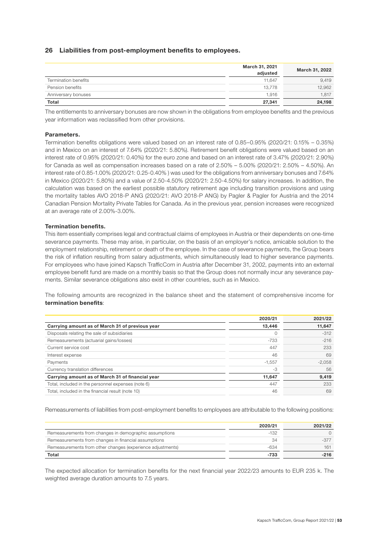# 26 Liabilities from post-employment benefits to employees.

|                      | March 31, 2021<br>adjusted | March 31, 2022 |
|----------------------|----------------------------|----------------|
| Termination benefits | 11.647                     | 9.419          |
| Pension benefits     | 13.778                     | 12.962         |
| Anniversary bonuses  | 1.916                      | 1,817          |
| <b>Total</b>         | 27,341                     | 24.198         |

The entitlements to anniversary bonuses are now shown in the obligations from employee benefits and the previous year information was reclassified from other provisions.

#### Parameters.

Termination benefits obligations were valued based on an interest rate of 0.85–0.95% (2020/21: 0.15% – 0.35%) and in Mexico on an interest of 7.64% (2020/21: 5.80%). Retirement benefit obligations were valued based on an interest rate of 0.95% (2020/21: 0.40%) for the euro zone and based on an interest rate of 3.47% (2020/21: 2.90%) for Canada as well as compensation increases based on a rate of 2.50% – 5.00% (2020/21: 2.50% – 4.50%). An interest rate of 0.85-1.00% (2020/21: 0.25-0.40% ) was used for the obligations from anniversary bonuses and 7.64% in Mexico (2020/21: 5.80%) and a value of 2.50-4.50% (2020/21: 2.50-4.50%) for salary increases. In addition, the calculation was based on the earliest possible statutory retirement age including transition provisions and using the mortality tables AVO 2018-P ANG (2020/21: AVO 2018-P ANG) by Pagler & Pagler for Austria and the 2014 Canadian Pension Mortality Private Tables for Canada. As in the previous year, pension increases were recognized at an average rate of 2.00%-3.00%.

#### Termination benefits.

This item essentially comprises legal and contractual claims of employees in Austria or their dependents on one-time severance payments. These may arise, in particular, on the basis of an employer's notice, amicable solution to the employment relationship, retirement or death of the employee. In the case of severance payments, the Group bears the risk of inflation resulting from salary adjustments, which simultaneously lead to higher severance payments. For employees who have joined Kapsch TrafficCom in Austria after December 31, 2002, payments into an external employee benefit fund are made on a monthly basis so that the Group does not normally incur any severance payments. Similar severance obligations also exist in other countries, such as in Mexico.

The following amounts are recognized in the balance sheet and the statement of comprehensive income for termination benefits:

|                                                    | 2020/21  | 2021/22  |
|----------------------------------------------------|----------|----------|
| Carrying amount as of March 31 of previous year    | 13,446   | 11,647   |
| Disposals relating the sale of subsidiaries        |          | $-312$   |
| Remeasurements (actuarial gains/losses)            | -733     | $-216$   |
| Current service cost                               | 447      | 233      |
| Interest expense                                   | 46       | 69       |
| Payments                                           | $-1.557$ | $-2.058$ |
| Currency translation differences                   | $-3$     | 56       |
| Carrying amount as of March 31 of financial year   | 11,647   | 9,419    |
| Total, included in the personnel expenses (note 6) | 447      | 233      |
| Total, included in the financial result (note 10)  | 46       | 69       |

Remeasurements of liabilities from post-employment benefits to employees are attributable to the following positions:

|                                                            | 2020/21 | 2021/22 |
|------------------------------------------------------------|---------|---------|
| Remeasurements from changes in demographic assumptions     | $-132$  |         |
| Remeasurements from changes in financial assumptions       | 34      | $-377$  |
| Remeasurements from other changes (experience adjustments) | $-634$  |         |
| Total                                                      | $-733$  | $-216$  |

The expected allocation for termination benefits for the next financial year 2022/23 amounts to EUR 235 k. The weighted average duration amounts to 7.5 years.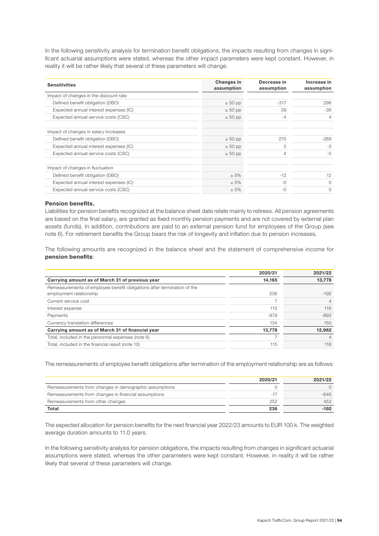In the following sensitivity analysis for termination benefit obligations, the impacts resulting from changes in significant actuarial assumptions were stated, whereas the other impact parameters were kept constant. However, in reality it will be rather likely that several of these parameters will change.

| <b>Sensitivities</b>                   | Changes in<br>assumption | Decrease in<br>assumption | Increase in<br>assumption |
|----------------------------------------|--------------------------|---------------------------|---------------------------|
| Impact of changes in the discount rate |                          |                           |                           |
| Defined benefit obligation (DBO)       | $\pm 50$ pp              | $-317$                    | 298                       |
| Expected annual interest expenses (IC) | $\pm$ 50 pp              | 39                        | -36                       |
| Expected annual service costs (CSC)    | $\pm$ 50 pp              | $-4$                      | 4                         |
| Impact of changes in salary increases  |                          |                           |                           |
| Defined benefit obligation (DBO)       | $\pm 50$ pp              | 275                       | $-289$                    |
| Expected annual interest expenses (IC) | $\pm$ 50 pp              | 3                         | $-3$                      |
| Expected annual service costs (CSC)    | $\pm 50$ pp              | 4                         | $-5$                      |
| Impact of changes in fluctuation       |                          |                           |                           |
| Defined benefit obligation (DBO)       | ± 5%                     | $-12$                     | 12                        |
| Expected annual interest expenses (IC) | ± 5%                     | $-0$                      | $\Omega$                  |
| Expected annual service costs (CSC)    | ± 5%                     | $-0$                      | $\Omega$                  |

#### Pension benefits.

Liabilities for pension benefits recognized at the balance sheet date relate mainly to retirees. All pension agreements are based on the final salary, are granted as fixed monthly pension payments and are not covered by external plan assets (funds). In addition, contributions are paid to an external pension fund for employees of the Group (see note 6). For retirement benefits the Group bears the risk of longevity and inflation due to pension increases.

The following amounts are recognized in the balance sheet and the statement of comprehensive income for pension benefits:

|                                                                                                    | 2020/21 | 2021/22 |
|----------------------------------------------------------------------------------------------------|---------|---------|
| Carrying amount as of March 31 of previous year                                                    | 14,165  | 13,778  |
| Remeasurements of employee benefit obligations after termination of the<br>employment relationship | 236     | $-192$  |
| Current service cost                                                                               |         |         |
| Interest expense                                                                                   | 115     | 116     |
| Payments                                                                                           | $-879$  | $-893$  |
| Currency translation differences                                                                   | 134     | 150     |
| Carrying amount as of March 31 of financial year                                                   | 13,778  | 12,962  |
| Total, included in the personnel expenses (note 6)                                                 |         | 4       |
| Total, included in the financial result (note 10)                                                  | 115     | 116     |

The remeasurements of employee benefit obligations after termination of the employment relationship are as follows:

|                                                        | 2020/21 | 2021/22 |
|--------------------------------------------------------|---------|---------|
| Remeasurements from changes in demographic assumptions |         |         |
| Remeasurements from changes in financial assumptions   | $-17$   | -646    |
| Remeasurements from other changes                      | 252     | 453     |
| Total                                                  | 236     | $-192$  |

The expected allocation for pension benefits for the next financial year 2022/23 amounts to EUR 100 k. The weighted average duration amounts to 11.0 years.

In the following sensitivity analysis for pension obligations, the impacts resulting from changes in significant actuarial assumptions were stated, whereas the other parameters were kept constant. However, in reality it will be rather likely that several of these parameters will change.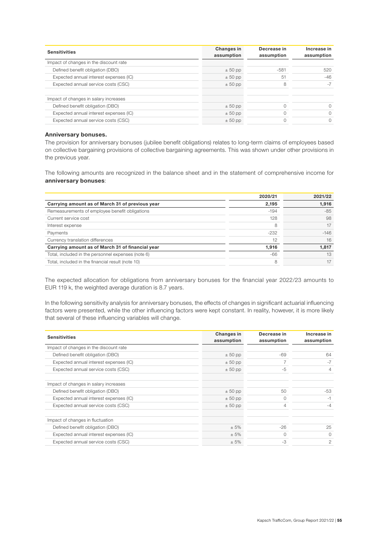| Changes in<br>assumption | Decrease in<br>assumption | Increase in<br>assumption |
|--------------------------|---------------------------|---------------------------|
|                          |                           |                           |
| $\pm 50$ pp              | $-581$                    | 520                       |
| $\pm$ 50 pp              | -51                       | $-46$                     |
| $\pm 50$ pp              | 8                         | $-7$                      |
|                          |                           |                           |
| $\pm$ 50 pp              |                           | <sup>n</sup>              |
| $\pm$ 50 pp              |                           | $\cap$                    |
| $\pm$ 50 pp              |                           | $\Omega$                  |
|                          |                           |                           |

#### Anniversary bonuses.

The provision for anniversary bonuses (jubilee benefit obligations) relates to long-term claims of employees based on collective bargaining provisions of collective bargaining agreements. This was shown under other provisions in the previous year.

The following amounts are recognized in the balance sheet and in the statement of comprehensive income for anniversary bonuses:

|                                                    | 2020/21 | 2021/22 |
|----------------------------------------------------|---------|---------|
| Carrying amount as of March 31 of previous year    | 2,195   | 1,916   |
| Remeasurements of employee benefit obligations     | $-194$  | $-85$   |
| Current service cost                               | 128     | 98      |
| Interest expense                                   | 8       | 17      |
| Payments                                           | $-232$  | $-146$  |
| Currency translation differences                   | 12      | 16      |
| Carrying amount as of March 31 of financial year   | 1,916   | 1,817   |
| Total, included in the personnel expenses (note 6) | $-66$   | 13      |
| Total, included in the financial result (note 10)  | 8       | 17      |

The expected allocation for obligations from anniversary bonuses for the financial year 2022/23 amounts to EUR 119 k, the weighted average duration is 8.7 years.

In the following sensitivity analysis for anniversary bonuses, the effects of changes in significant actuarial influencing factors were presented, while the other influencing factors were kept constant. In reality, however, it is more likely that several of these influencing variables will change.

| <b>Sensitivities</b>                   | <b>Changes in</b><br>assumption | Decrease in<br>assumption | Increase in<br>assumption |
|----------------------------------------|---------------------------------|---------------------------|---------------------------|
| Impact of changes in the discount rate |                                 |                           |                           |
| Defined benefit obligation (DBO)       | $\pm 50$ pp                     | $-69$                     | 64                        |
| Expected annual interest expenses (IC) | $\pm$ 50 pp                     |                           | $-7$                      |
| Expected annual service costs (CSC)    | $\pm 50$ pp                     | $-5$                      | 4                         |
| Impact of changes in salary increases  |                                 |                           |                           |
| Defined benefit obligation (DBO)       | $\pm 50$ pp                     | 50                        | -53                       |
| Expected annual interest expenses (IC) | $\pm 50$ pp                     | $\Omega$                  | -1                        |
| Expected annual service costs (CSC)    | $\pm 50$ pp                     | 4                         | $-4$                      |
| Impact of changes in fluctuation       |                                 |                           |                           |
| Defined benefit obligation (DBO)       | ± 5%                            | $-26$                     | 25                        |
| Expected annual interest expenses (IC) | ± 5%                            | $\Omega$                  | $\Omega$                  |
| Expected annual service costs (CSC)    | ± 5%                            | $-3$                      | $\mathfrak{D}$            |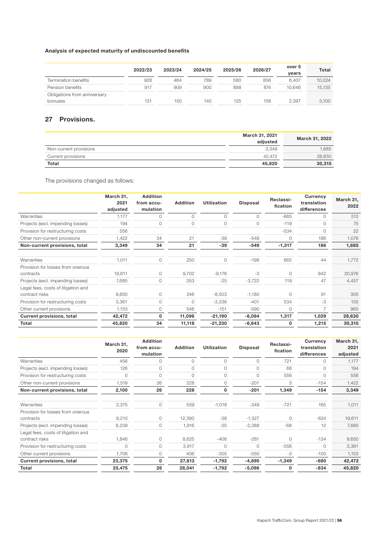# Analysis of expected maturity of undiscounted benefits

|                              | 2022/23 | 2023/24 | 2024/25 | 2025/26 | 2026/27 | over 5<br>years | <b>Total</b> |
|------------------------------|---------|---------|---------|---------|---------|-----------------|--------------|
| Termination benefits         | 928     | 464     | 789     | 580     | 856     | 6.407           | 10,024       |
| Pension benefits             | 917     | 909     | 900     | 888     | 874     | 10.646          | 15,135       |
| Obligations from anniversary |         |         |         |         |         |                 |              |
| bonuses                      | 131     | 150     | 140     | 125     | 158     | 2.397           | 3,100        |

# 27 Provisions.

|                           | March 31, 2021<br>adjusted | March 31, 2022 |
|---------------------------|----------------------------|----------------|
| Non-current provisions    | 3,349                      | 1.685          |
| <b>Current provisions</b> | 42.472                     | 28.630         |
| <b>Total</b>              | 45,820                     | 30,315         |

The provisions changed as follows:

|                                                       | March 31,<br>2021<br>adjusted | <b>Addition</b><br>from accu-<br>mulation | <b>Addition</b> | <b>Utilization</b> | <b>Disposal</b> | Reclassi-<br>fication | <b>Currency</b><br>translation<br>differences | March 31,<br>2022 |
|-------------------------------------------------------|-------------------------------|-------------------------------------------|-----------------|--------------------|-----------------|-----------------------|-----------------------------------------------|-------------------|
| Warranties                                            | 1,177                         | 0                                         | $\circ$         | $\Omega$           | $\circ$         | $-665$                | 0                                             | 512               |
| Projects (excl. impending losses)                     | 194                           | 0                                         | $\circ$         | 0                  | $\circ$         | $-119$                | 0                                             | 75                |
| Provision for restructuring costs                     | 556                           |                                           |                 |                    |                 | $-534$                | $\cap$                                        | 22                |
| Other non-current provisions                          | 1,422                         | 34                                        | 21              | $-39$              | $-549$          | $\Omega$              | 186                                           | 1,076             |
| Non-current provisions, total                         | 3,349                         | 34                                        | 21              | $-39$              | $-549$          | $-1,317$              | 186                                           | 1,685             |
| Warranties                                            | 1,011                         | $\circ$                                   | 250             | $\circ$            | $-198$          | 665                   | 44                                            | 1,772             |
| Provision for losses from onerous                     |                               |                                           |                 |                    |                 |                       |                                               |                   |
| contracts                                             | 19,611                        | $\Omega$                                  | 9,702           | $-9,176$           | -3              | $\Omega$              | 842                                           | 20,976            |
| Projects (excl. impending losses)                     | 7,685                         | $\Omega$                                  | 353             | $-25$              | $-3,722$        | 119                   | 47                                            | 4,457             |
| Legal fees, costs of litigation and<br>contract risks | 9,650                         | 0                                         | 246             | $-8,503$           | $-1,180$        | $\Omega$              | 91                                            | 305               |
| Provision for restructuring costs                     | 3,361                         | $\Omega$                                  | $\circ$         | $-3,336$           | $-401$          | 534                   | -3                                            | 155               |
| Other current provisions                              | 1,153                         | $\Omega$                                  | 546             | $-151$             | $-590$          | $\Omega$              |                                               | 965               |
| <b>Current provisions, total</b>                      | 42,472                        | 0                                         | 11,096          | $-21,190$          | $-6,094$        | 1,317                 | 1,029                                         | 28,630            |
| Total                                                 | 45,820                        | 34                                        | 11,118          | $-21,230$          | $-6,643$        | 0                     | 1,215                                         | 30,315            |

|                                                       | March 31,<br>2020 | <b>Addition</b><br>from accu-<br>mulation | <b>Addition</b> | <b>Utilization</b> | Disposal | Reclassi-<br>fication | Currency<br>translation<br>differences | March 31,<br>2021<br>adjusted |
|-------------------------------------------------------|-------------------|-------------------------------------------|-----------------|--------------------|----------|-----------------------|----------------------------------------|-------------------------------|
| Warranties                                            | 456               | 0                                         | 0               | $\Omega$           | $\Omega$ | 721                   | $\Omega$                               | 1,177                         |
| Projects (excl. impending losses)                     | 126               | 0                                         | 0               | $\circ$            | $\circ$  | 68                    | U                                      | 194                           |
| Provision for restructuring costs                     | $\cap$            | 0                                         | $\Omega$        | $\Omega$           | $\Omega$ | 556                   | O                                      | 556                           |
| Other non-current provisions                          | 1,519             | 26                                        | 228             | $\circ$            | $-201$   | 3                     | $-154$                                 | 1,422                         |
| Non-current provisions, total                         | 2,100             | 26                                        | 228             | 0                  | $-201$   | 1,349                 | $-154$                                 | 3,349                         |
| Warranties                                            | 2,375             | $\mathbf{O}$                              | 559             | $-1,018$           | $-349$   | $-721$                | 165                                    | 1,011                         |
| Provision for losses from onerous                     |                   |                                           |                 |                    |          |                       |                                        |                               |
| contracts                                             | 9,210             | 0                                         | 12,390          | $-38$              | $-1,327$ | <sup>n</sup>          | $-624$                                 | 19,611                        |
| Projects (excl. impending losses)                     | 8,238             | 0                                         | 1,916           | $-25$              | $-2,388$ | $-68$                 | 12                                     | 7,685                         |
| Legal fees, costs of litigation and<br>contract risks | 1,846             | $\circ$                                   | 8,625           | $-406$             | $-281$   | $\Omega$              | $-134$                                 | 9,650                         |
| Provision for restructuring costs                     | $\Omega$          | $\Omega$                                  | 3,917           | $\Omega$           | $\Omega$ | $-556$                | $\Omega$                               | 3,361                         |
| Other current provisions                              | 1.706             | 0                                         | 406             | $-305$             | $-550$   | $-3$                  | $-100$                                 | 1,153                         |
| <b>Current provisions, total</b>                      | 23,375            | 0                                         | 27,813          | $-1,792$           | $-4,895$ | $-1,349$              | $-680$                                 | 42,472                        |
| Total                                                 | 25,475            | 26                                        | 28,041          | $-1,792$           | $-5,096$ | 0                     | $-834$                                 | 45,820                        |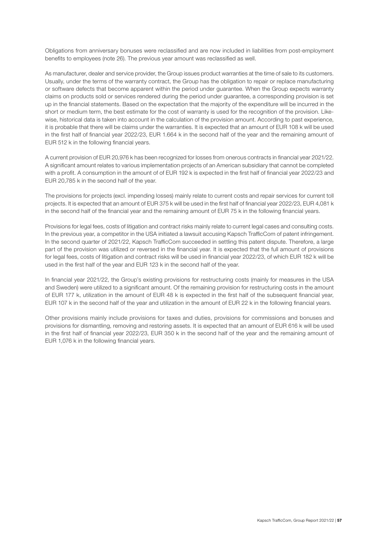Obligations from anniversary bonuses were reclassified and are now included in liabilities from post-employment benefits to employees (note 26). The previous year amount was reclassified as well.

As manufacturer, dealer and service provider, the Group issues product warranties at the time of sale to its customers. Usually, under the terms of the warranty contract, the Group has the obligation to repair or replace manufacturing or software defects that become apparent within the period under guarantee. When the Group expects warranty claims on products sold or services rendered during the period under guarantee, a corresponding provision is set up in the financial statements. Based on the expectation that the majority of the expenditure will be incurred in the short or medium term, the best estimate for the cost of warranty is used for the recognition of the provision. Likewise, historical data is taken into account in the calculation of the provision amount. According to past experience, it is probable that there will be claims under the warranties. It is expected that an amount of EUR 108 k will be used in the first half of financial year 2022/23, EUR 1.664 k in the second half of the year and the remaining amount of EUR 512 k in the following financial years.

A current provision of EUR 20,976 k has been recognized for losses from onerous contracts in financial year 2021/22. A significant amount relates to various implementation projects of an American subsidiary that cannot be completed with a profit. A consumption in the amount of of EUR 192 k is expected in the first half of financial year 2022/23 and EUR 20,785 k in the second half of the year.

The provisions for projects (excl. impending losses) mainly relate to current costs and repair services for current toll projects. It is expected that an amount of EUR 375 k will be used in the first half of financial year 2022/23, EUR 4,081 k in the second half of the financial year and the remaining amount of EUR 75 k in the following financial years.

Provisions for legal fees, costs of litigation and contract risks mainly relate to current legal cases and consulting costs. In the previous year, a competitor in the USA initiated a lawsuit accusing Kapsch TrafficCom of patent infringement. In the second quarter of 2021/22, Kapsch TrafficCom succeeded in settling this patent dispute. Therefore, a large part of the provision was utilized or reversed in the financial year. It is expected that the full amount of provisions for legal fees, costs of litigation and contract risks will be used in financial year 2022/23, of which EUR 182 k will be used in the first half of the year and EUR 123 k in the second half of the year.

In financial year 2021/22, the Group's existing provisions for restructuring costs (mainly for measures in the USA and Sweden) were utilized to a significant amount. Of the remaining provision for restructuring costs in the amount of EUR 177 k, utilization in the amount of EUR 48 k is expected in the first half of the subsequent financial year, EUR 107 k in the second half of the year and utilization in the amount of EUR 22 k in the following financial years.

Other provisions mainly include provisions for taxes and duties, provisions for commissions and bonuses and provisions for dismantling, removing and restoring assets. It is expected that an amount of EUR 616 k will be used in the first half of financial year 2022/23, EUR 350 k in the second half of the year and the remaining amount of EUR 1,076 k in the following financial years.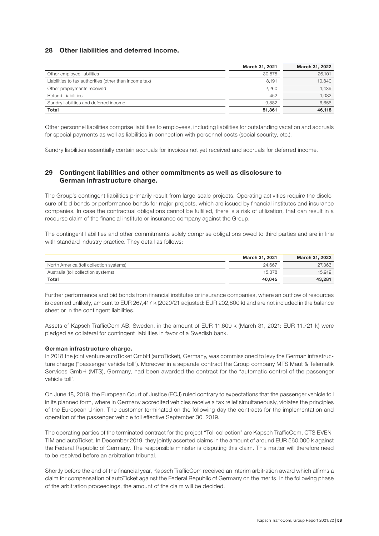# 28 Other liabilities and deferred income.

|                                                        | March 31, 2021 | March 31, 2022 |
|--------------------------------------------------------|----------------|----------------|
| Other employee liabilities                             | 30,575         | 26,101         |
| Liabilities to tax authorities (other than income tax) | 8.191          | 10.840         |
| Other prepayments received                             | 2,260          | 1,439          |
| <b>Refund Liabilities</b>                              | 452            | 1.082          |
| Sundry liabilities and deferred income                 | 9.882          | 6,656          |
| Total                                                  | 51,361         | 46,118         |

Other personnel liabilities comprise liabilities to employees, including liabilities for outstanding vacation and accruals for special payments as well as liabilities in connection with personnel costs (social security, etc.).

Sundry liabilities essentially contain accruals for invoices not yet received and accruals for deferred income.

# 29 Contingent liabilities and other commitments as well as disclosure to German infrastructure charge.

The Group's contingent liabilities primarily result from large-scale projects. Operating activities require the disclosure of bid bonds or performance bonds for major projects, which are issued by financial institutes and insurance companies. In case the contractual obligations cannot be fulfilled, there is a risk of utilization, that can result in a recourse claim of the financial institute or insurance company against the Group.

The contingent liabilities and other commitments solely comprise obligations owed to third parties and are in line with standard industry practice. They detail as follows:

|                                         | March 31, 2021 | March 31, 2022 |
|-----------------------------------------|----------------|----------------|
| North America (toll collection systems) | 24.667         | 27.363         |
| Australia (toll collection systems)     | 15.378         | 15.919         |
| Total                                   | 40.045         | 43.281         |

Further performance and bid bonds from financial institutes or insurance companies, where an outflow of resources is deemed unlikely, amount to EUR 267,417 k (2020/21 adjusted: EUR 202,800 k) and are not included in the balance sheet or in the contingent liabilities.

Assets of Kapsch TrafficCom AB, Sweden, in the amount of EUR 11,609 k (March 31, 2021: EUR 11,721 k) were pledged as collateral for contingent liabilities in favor of a Swedish bank.

#### German infrastructure charge.

In 2018 the joint venture autoTicket GmbH (autoTicket), Germany, was commissioned to levy the German infrastructure charge ("passenger vehicle toll"). Moreover in a separate contract the Group company MTS Maut & Telematik Services GmbH (MTS), Germany, had been awarded the contract for the "automatic control of the passenger vehicle toll".

On June 18, 2019, the European Court of Justice (ECJ) ruled contrary to expectations that the passenger vehicle toll in its planned form, where in Germany accredited vehicles receive a tax relief simultaneously, violates the principles of the European Union. The customer terminated on the following day the contracts for the implementation and operation of the passenger vehicle toll effective September 30, 2019.

The operating parties of the terminated contract for the project "Toll collection" are Kapsch TrafficCom, CTS EVEN-TIM and autoTicket. In December 2019, they jointly asserted claims in the amount of around EUR 560,000 k against the Federal Republic of Germany. The responsible minister is disputing this claim. This matter will therefore need to be resolved before an arbitration tribunal.

Shortly before the end of the financial year, Kapsch TrafficCom received an interim arbitration award which affirms a claim for compensation of autoTicket against the Federal Republic of Germany on the merits. In the following phase of the arbitration proceedings, the amount of the claim will be decided.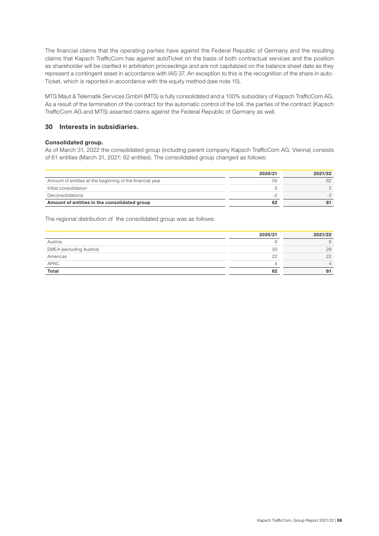The financial claims that the operating parties have against the Federal Republic of Germany and the resulting claims that Kapsch TrafficCom has against autoTicket on the basis of both contractual services and the position as shareholder will be clarified in arbitration proceedings and are not capitalized on the balance sheet date as they represent a contingent asset in accordance with IAS 37. An exception to this is the recognition of the share in auto-Ticket, which is reported in accordance with the equity method (see note 15).

MTS Maut & Telematik Services GmbH (MTS) is fully consolidated and a 100% subsidiary of Kapsch TrafficCom AG. As a result of the termination of the contract for the automatic control of the toll, the parties of the contract (Kapsch TrafficCom AG and MTS) asserted claims against the Federal Republic of Germany as well.

# 30 Interests in subsidiaries.

## Consolidated group.

As of March 31, 2022 the consolidated group (including parent company Kapsch TrafficCom AG, Vienna) consists of 61 entities (March 31, 2021: 62 entities). The consolidated group changed as follows:

|                                                           | 2020/21 | 2021/22 |
|-----------------------------------------------------------|---------|---------|
| Amount of entities at the beginning of the financial year | 59      |         |
| Initial consolidation                                     | 'n.     |         |
| Deconsolidations                                          |         |         |
| Amount of entities in the consolidated group              | 62      |         |

The regional distribution of the consolidated group was as follows:

|                                 | 2020/21 | 2021/22  |
|---------------------------------|---------|----------|
| Austria                         | 6       | 6        |
| <b>EMEA (excluding Austria)</b> | 30      | 29       |
| Americas                        | 22      | 22       |
| APAC                            | 4       | $\Delta$ |
| <b>Total</b>                    | 62      |          |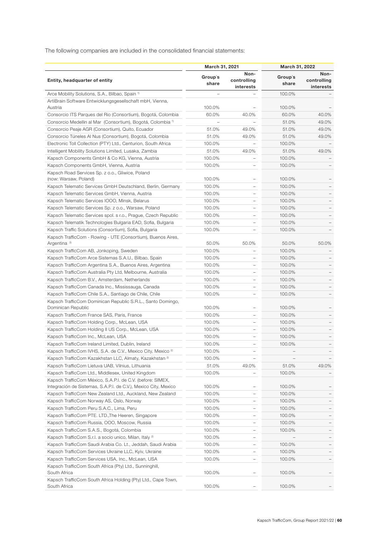The following companies are included in the consolidated financial statements:

|                                                                               | March 31, 2021   |                                  | March 31, 2022   |                                  |
|-------------------------------------------------------------------------------|------------------|----------------------------------|------------------|----------------------------------|
| Entity, headquarter of entity                                                 | Group's<br>share | Non-<br>controlling<br>interests | Group's<br>share | Non-<br>controlling<br>interests |
| Arce Mobility Solutions, S.A., Bilbao, Spain <sup>1)</sup>                    |                  |                                  | 100.0%           |                                  |
| ArtiBrain Software Entwicklungsgesellschaft mbH, Vienna,                      |                  |                                  |                  |                                  |
| Austria                                                                       | 100.0%           |                                  | 100.0%           |                                  |
| Consorcio ITS Parques del Rio (Consortium), Bogotá, Colombia                  | 60.0%            | 40.0%                            | 60.0%            | 40.0%                            |
| Consorcio Medellin al Mar (Consortium), Bogotá, Colombia <sup>1)</sup>        |                  |                                  | 51.0%            | 49.0%                            |
| Consorcio Peaje AGR (Consortium), Quito, Ecuador                              | 51.0%            | 49.0%                            | 51.0%            | 49.0%                            |
| Consorcio Túneles Al Nus (Consortium), Bogotá, Colombia                       | 51.0%            | 49.0%                            | 51.0%            | 49.0%                            |
| Electronic Toll Collection (PTY) Ltd., Centurion, South Africa                | 100.0%           |                                  | 100.0%           |                                  |
| Intelligent Mobility Solutions Limited, Lusaka, Zambia                        | 51.0%            | 49.0%                            | 51.0%            | 49.0%                            |
| Kapsch Components GmbH & Co KG, Vienna, Austria                               | 100.0%           |                                  | 100.0%           |                                  |
| Kapsch Components GmbH, Vienna, Austria                                       | 100.0%           | $\overline{\phantom{0}}$         | 100.0%           |                                  |
| Kapsch Road Services Sp. z o.o., Gliwice, Poland                              |                  |                                  |                  |                                  |
| (now: Warsaw, Poland)                                                         | 100.0%           |                                  | 100.0%           |                                  |
| Kapsch Telematic Services GmbH Deutschland, Berlin, Germany                   | 100.0%           | $\overline{\phantom{m}}$         | 100.0%           |                                  |
| Kapsch Telematic Services GmbH, Vienna, Austria                               | 100.0%           | $\qquad \qquad -$                | 100.0%           |                                  |
| Kapsch Telematic Services IOOO, Minsk, Belarus                                | 100.0%           | $\overline{\phantom{0}}$         | 100.0%           |                                  |
| Kapsch Telematic Services Sp. z o.o., Warsaw, Poland                          | 100.0%           | $\qquad \qquad -$                | 100.0%           |                                  |
| Kapsch Telematic Services spol. s r.o., Prague, Czech Republic                | 100.0%           | $\overline{\phantom{0}}$         | 100.0%           |                                  |
| Kapsch Telematik Technologies Bulgaria EAD, Sofia, Bulgaria                   | 100.0%           | $\qquad \qquad -$                | 100.0%           |                                  |
| Kapsch Traffic Solutions (Consortium), Sofia, Bulgaria                        | 100.0%           | $\qquad \qquad -$                | 100.0%           |                                  |
| Kapsch TrafficCom - Rowing - UTE (Consortium), Buenos Aires,                  |                  |                                  |                  |                                  |
| Argentina <sup>3)</sup>                                                       | 50.0%            | 50.0%                            | 50.0%            | 50.0%                            |
| Kapsch TrafficCom AB, Jonkoping, Sweden                                       | 100.0%           |                                  | 100.0%           |                                  |
| Kapsch TrafficCom Arce Sistemas S.A.U., Bilbao, Spain                         | 100.0%           | $\overline{\phantom{a}}$         | 100.0%           |                                  |
| Kapsch TrafficCom Argentina S.A., Buenos Aires, Argentina                     | 100.0%           | $\overline{\phantom{m}}$         | 100.0%           |                                  |
| Kapsch TrafficCom Australia Pty Ltd, Melbourne, Australia                     | 100.0%           | $\qquad \qquad -$                | 100.0%           |                                  |
| Kapsch TrafficCom B.V., Amsterdam, Netherlands                                | 100.0%           | $\qquad \qquad -$                | 100.0%           |                                  |
| Kapsch TrafficCom Canada Inc., Mississauga, Canada                            | 100.0%           | $\overline{\phantom{0}}$         | 100.0%           |                                  |
| Kapsch TrafficCom Chile S.A., Santiago de Chile, Chile                        | 100.0%           |                                  | 100.0%           |                                  |
| Kapsch TrafficCom Dominican Republic S.R.L., Santo Domingo,                   |                  |                                  |                  |                                  |
| Dominican Republic                                                            | 100.0%           | -                                | 100.0%           |                                  |
| Kapsch TrafficCom France SAS, Paris, France                                   | 100.0%           | $\qquad \qquad -$                | 100.0%           |                                  |
| Kapsch TrafficCom Holding Corp., McLean, USA                                  | 100.0%           | $\overline{\phantom{0}}$         | 100.0%           |                                  |
| Kapsch TrafficCom Holding II US Corp., McLean, USA                            | 100.0%           | $\qquad \qquad -$                | 100.0%           |                                  |
| Kapsch TrafficCom Inc., McLean, USA                                           | 100.0%           | -                                | 100.0%           |                                  |
| Kapsch TrafficCom Ireland Limited, Dublin, Ireland                            | 100.0%           |                                  | 100.0%           |                                  |
| Kapsch TrafficCom IVHS, S.A. de C.V., Mexico City, Mexico <sup>2)</sup>       | 100.0%           |                                  |                  |                                  |
| Kapsch TrafficCom Kazakhstan LLC, Almaty, Kazakhstan <sup>2)</sup>            | 100.0%           |                                  |                  |                                  |
| Kapsch TrafficCom Lietuva UAB, Vilnius, Lithuania                             | 51.0%            | 49.0%                            | 51.0%            | 49.0%                            |
| Kapsch TrafficCom Ltd., Middlesex, United Kingdom                             | 100.0%           |                                  | 100.0%           |                                  |
| Kapsch TrafficCom México, S.A.P.I. de C.V. (before: SIMEX,                    |                  |                                  |                  |                                  |
| Integración de Sistemas, S.A.P.I. de C.V.), Mexico City, Mexico               | 100.0%           | -                                | 100.0%           |                                  |
| Kapsch TrafficCom New Zealand Ltd., Auckland, New Zealand                     | 100.0%           | $\overline{\phantom{m}}$         | 100.0%           |                                  |
| Kapsch TrafficCom Norway AS, Oslo, Norway                                     | 100.0%           | $\overline{\phantom{0}}$         | 100.0%           |                                  |
| Kapsch TrafficCom Peru S.A.C., Lima, Peru                                     | 100.0%           | $\qquad \qquad -$                | 100.0%           |                                  |
| Kapsch TrafficCom PTE. LTD., The Heeren, Singapore                            | 100.0%           | $\qquad \qquad -$                | 100.0%           |                                  |
| Kapsch TrafficCom Russia, OOO, Moscow, Russia                                 | 100.0%           | $\qquad \qquad -$                | 100.0%           |                                  |
| Kapsch TrafficCom S.A.S., Bogotá, Colombia                                    | 100.0%           | $\qquad \qquad -$                | 100.0%           |                                  |
| Kapsch TrafficCom S.r.l. a socio unico, Milan, Italy <sup>2)</sup>            | 100.0%           |                                  |                  |                                  |
| Kapsch TrafficCom Saudi Arabia Co. Lt., Jeddah, Saudi Arabia                  | 100.0%           | $\qquad \qquad -$                | 100.0%           |                                  |
| Kapsch TrafficCom Services Ukraine LLC, Kyiv, Ukraine                         | 100.0%           | $\qquad \qquad -$                | 100.0%           |                                  |
| Kapsch TrafficCom Services USA, Inc., McLean, USA                             | 100.0%           | $\qquad \qquad -$                | 100.0%           |                                  |
| Kapsch TrafficCom South Africa (Pty) Ltd., Sunninghill,                       |                  |                                  |                  |                                  |
| South Africa                                                                  | 100.0%           |                                  | 100.0%           |                                  |
| Kapsch TrafficCom South Africa Holding (Pty) Ltd., Cape Town,<br>South Africa | 100.0%           |                                  | 100.0%           |                                  |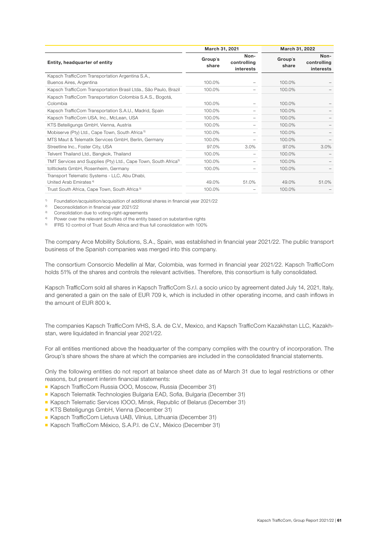|                                                                             | March 31, 2021   |                                  | March 31, 2022   |                                  |  |
|-----------------------------------------------------------------------------|------------------|----------------------------------|------------------|----------------------------------|--|
| Entity, headquarter of entity                                               | Group's<br>share | Non-<br>controlling<br>interests | Group's<br>share | Non-<br>controlling<br>interests |  |
| Kapsch TrafficCom Transportation Argentina S.A.,                            |                  |                                  |                  |                                  |  |
| Buenos Aires, Argentina                                                     | 100.0%           |                                  | 100.0%           |                                  |  |
| Kapsch TrafficCom Transportation Brasil Ltda., São Paulo, Brazil            | 100.0%           |                                  | 100.0%           |                                  |  |
| Kapsch TrafficCom Transportation Colombia S.A.S., Bogotá,<br>Colombia       | 100.0%           |                                  | 100.0%           |                                  |  |
| Kapsch TrafficCom Transportation S.A.U., Madrid, Spain                      | 100.0%           |                                  | 100.0%           |                                  |  |
| Kapsch TrafficCom USA, Inc., McLean, USA                                    | 100.0%           | -                                | 100.0%           |                                  |  |
| KTS Beteiligungs GmbH, Vienna, Austria                                      | 100.0%           | -                                | 100.0%           |                                  |  |
| Mobiserve (Pty) Ltd., Cape Town, South Africa <sup>5)</sup>                 | 100.0%           |                                  | 100.0%           |                                  |  |
| MTS Maut & Telematik Services GmbH, Berlin, Germany                         | 100.0%           |                                  | 100.0%           |                                  |  |
| Streetline Inc., Foster City, USA                                           | 97.0%            | 3.0%                             | 97.0%            | 3.0%                             |  |
| Telvent Thailand Ltd., Bangkok, Thailand                                    | 100.0%           |                                  | 100.0%           |                                  |  |
| TMT Services and Supplies (Pty) Ltd., Cape Town, South Africa <sup>5)</sup> | 100.0%           |                                  | 100.0%           |                                  |  |
| tolltickets GmbH, Rosenheim, Germany                                        | 100.0%           |                                  | 100.0%           |                                  |  |
| Transport Telematic Systems - LLC, Abu Dhabi,                               |                  |                                  |                  |                                  |  |
| United Arab Emirates <sup>4)</sup>                                          | 49.0%            | 51.0%                            | 49.0%            | 51.0%                            |  |
| Trust South Africa, Cape Town, South Africa <sup>5)</sup>                   | 100.0%           |                                  | 100.0%           |                                  |  |

<sup>1)</sup> Foundation/acquisition/acquisition of additional shares in financial year 2021/22

2) Deconsolidation in financial year 2021/22

3) Consolidation due to voting-right-agreements

4) Power over the relevant activities of the entity based on substantive rights

5) IFRS 10 control of Trust South Africa and thus full consolidation with 100%

The company Arce Mobility Solutions, S.A., Spain, was established in financial year 2021/22. The public transport business of the Spanish companies was merged into this company.

The consortium Consorcio Medellin al Mar, Colombia, was formed in financial year 2021/22. Kapsch TrafficCom holds 51% of the shares and controls the relevant activities. Therefore, this consortium is fully consolidated.

Kapsch TrafficCom sold all shares in Kapsch TrafficCom S.r.l. a socio unico by agreement dated July 14, 2021, Italy, and generated a gain on the sale of EUR 709 k, which is included in other operating income, and cash inflows in the amount of EUR 800 k.

The companies Kapsch TrafficCom IVHS, S.A. de C.V., Mexico, and Kapsch TrafficCom Kazakhstan LLC, Kazakhstan, were liquidated in financial year 2021/22.

For all entities mentioned above the headquarter of the company complies with the country of incorporation. The Group's share shows the share at which the companies are included in the consolidated financial statements.

Only the following entities do not report at balance sheet date as of March 31 due to legal restrictions or other reasons, but present interim financial statements:

- Kapsch TrafficCom Russia OOO, Moscow, Russia (December 31)
- Kapsch Telematik Technologies Bulgaria EAD, Sofia, Bulgaria (December 31)
- Kapsch Telematic Services IOOO, Minsk, Republic of Belarus (December 31)
- KTS Beteiligungs GmbH, Vienna (December 31)
- Kapsch TrafficCom Lietuva UAB, Vilnius, Lithuania (December 31)
- Kapsch TrafficCom México, S.A.P.I. de C.V., México (December 31)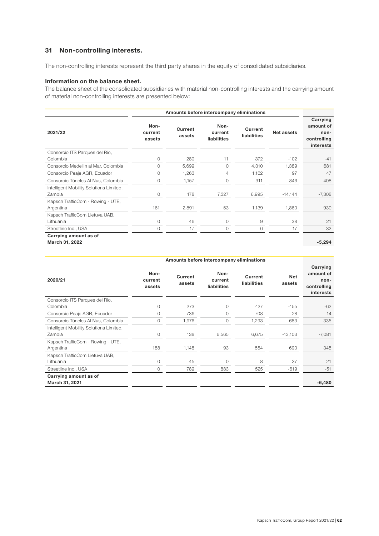# 31 Non-controlling interests.

The non-controlling interests represent the third party shares in the equity of consolidated subsidiaries.

## Information on the balance sheet.

The balance sheet of the consolidated subsidiaries with material non-controlling interests and the carrying amount of material non-controlling interests are presented below:

|                                                   | Amounts before intercompany eliminations |                   |                                |                        |                   |                                                           |
|---------------------------------------------------|------------------------------------------|-------------------|--------------------------------|------------------------|-------------------|-----------------------------------------------------------|
| 2021/22                                           | Non-<br>current<br>assets                | Current<br>assets | Non-<br>current<br>liabilities | Current<br>liabilities | <b>Net assets</b> | Carrying<br>amount of<br>non-<br>controlling<br>interests |
| Consorcio ITS Parques del Rio,                    |                                          |                   |                                |                        |                   |                                                           |
| Colombia                                          | $\Omega$                                 | 280               | 11                             | 372                    | $-102$            | $-41$                                                     |
| Consorcio Medellin al Mar, Colombia               | O                                        | 5,699             | $\Omega$                       | 4,310                  | 1.389             | 681                                                       |
| Consorcio Peaje AGR, Ecuador                      | 0                                        | 1,263             | 4                              | 1,162                  | 97                | 47                                                        |
| Consorcio Túneles Al Nus, Colombia                | $\Omega$                                 | 1,157             | $\Omega$                       | 311                    | 846               | 408                                                       |
| Intelligent Mobility Solutions Limited,<br>Zambia | $\Omega$                                 | 178               | 7,327                          | 6,995                  | $-14,144$         | $-7,308$                                                  |
| Kapsch TrafficCom - Rowing - UTE,                 |                                          |                   |                                |                        |                   |                                                           |
| Argentina                                         | 161                                      | 2,891             | 53                             | 1,139                  | 1,860             | 930                                                       |
| Kapsch TrafficCom Lietuva UAB,                    |                                          |                   |                                |                        |                   |                                                           |
| Lithuania                                         | $\Omega$                                 | 46                | 0                              | 9                      | 38                | 21                                                        |
| Streetline Inc., USA                              | $\Omega$                                 | 17                | $\Omega$                       | 0                      | 17                | $-32$                                                     |
| Carrying amount as of<br>March 31, 2022           |                                          |                   |                                |                        |                   | $-5,294$                                                  |

|                                                   | Amounts before intercompany eliminations |                   |                                |                        |                      |                                                                  |
|---------------------------------------------------|------------------------------------------|-------------------|--------------------------------|------------------------|----------------------|------------------------------------------------------------------|
| 2020/21                                           | Non-<br>current<br>assets                | Current<br>assets | Non-<br>current<br>liabilities | Current<br>liabilities | <b>Net</b><br>assets | Carrying<br>amount of<br>non-<br>controlling<br><i>interests</i> |
| Consorcio ITS Parques del Rio,                    |                                          |                   |                                |                        |                      |                                                                  |
| Colombia                                          | $\Omega$                                 | 273               | 0                              | 427                    | $-155$               | $-62$                                                            |
| Consorcio Peaje AGR, Ecuador                      | O                                        | 736               | $\Omega$                       | 708                    | 28                   | 14                                                               |
| Consorcio Túneles Al Nus, Colombia                | $\Omega$                                 | 1,976             | 0                              | 1,293                  | 683                  | 335                                                              |
| Intelligent Mobility Solutions Limited,<br>Zambia | $\Omega$                                 | 138               | 6,565                          | 6,675                  | $-13,103$            | $-7,081$                                                         |
| Kapsch TrafficCom - Rowing - UTE,<br>Argentina    | 188                                      | 1,148             | 93                             | 554                    | 690                  | 345                                                              |
| Kapsch TrafficCom Lietuva UAB,                    |                                          |                   |                                |                        |                      |                                                                  |
| Lithuania                                         | $\Omega$                                 | 45                | $\cap$                         | 8                      | 37                   | 21                                                               |
| Streetline Inc., USA                              | 0                                        | 789               | 883                            | 525                    | $-619$               | $-51$                                                            |
| Carrying amount as of<br>March 31, 2021           |                                          |                   |                                |                        |                      | $-6,480$                                                         |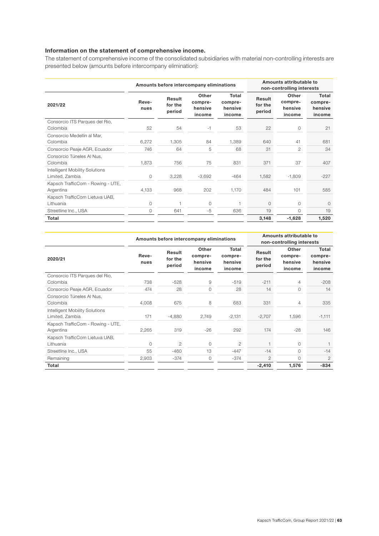## Information on the statement of comprehensive income.

The statement of comprehensive income of the consolidated subsidiaries with material non-controlling interests are presented below (amounts before intercompany elimination):

|                                                   | Amounts before intercompany eliminations |                             |                                       |                                       | Amounts attributable to<br>non-controlling interests |                                       |                                       |
|---------------------------------------------------|------------------------------------------|-----------------------------|---------------------------------------|---------------------------------------|------------------------------------------------------|---------------------------------------|---------------------------------------|
| 2021/22                                           | Reve-<br>nues                            | Result<br>for the<br>period | Other<br>compre-<br>hensive<br>income | Total<br>compre-<br>hensive<br>income | Result<br>for the<br>period                          | Other<br>compre-<br>hensive<br>income | Total<br>compre-<br>hensive<br>income |
| Consorcio ITS Parques del Rio,                    |                                          |                             |                                       |                                       |                                                      |                                       |                                       |
| Colombia                                          | 52                                       | 54                          | $-1$                                  | 53                                    | 22                                                   | $\circ$                               | 21                                    |
| Consorcio Medellin al Mar,                        |                                          |                             |                                       |                                       |                                                      |                                       |                                       |
| Colombia                                          | 6,272                                    | 1,305                       | 84                                    | 1,389                                 | 640                                                  | 41                                    | 681                                   |
| Consorcio Peaje AGR, Ecuador                      | 746                                      | 64                          | 5                                     | 68                                    | 31                                                   | $\overline{c}$                        | 34                                    |
| Consorcio Túneles Al Nus,                         |                                          |                             |                                       |                                       |                                                      |                                       |                                       |
| Colombia                                          | 1,873                                    | 756                         | 75                                    | 831                                   | 371                                                  | 37                                    | 407                                   |
| Intelligent Mobility Solutions<br>Limited, Zambia | 0                                        | 3,228                       | $-3,692$                              | $-464$                                | 1,582                                                | $-1,809$                              | $-227$                                |
| Kapsch TrafficCom - Rowing - UTE,                 |                                          |                             |                                       |                                       |                                                      |                                       |                                       |
| Argentina                                         | 4,133                                    | 968                         | 202                                   | 1,170                                 | 484                                                  | 101                                   | 585                                   |
| Kapsch TrafficCom Lietuva UAB,                    |                                          |                             |                                       |                                       |                                                      |                                       |                                       |
| Lithuania                                         | $\Omega$                                 |                             | $\Omega$                              |                                       | $\circ$                                              | 0                                     | $\Omega$                              |
| Streetline Inc., USA                              | 0                                        | 641                         | $-5$                                  | 636                                   | 19                                                   | $\Omega$                              | 19                                    |
| Total                                             |                                          |                             |                                       |                                       | 3,148                                                | $-1,628$                              | 1,520                                 |

|                                                   | Amounts before intercompany eliminations |                             |                                       |                                       | Amounts attributable to<br>non-controlling interests |                                       |                                       |
|---------------------------------------------------|------------------------------------------|-----------------------------|---------------------------------------|---------------------------------------|------------------------------------------------------|---------------------------------------|---------------------------------------|
| 2020/21                                           | Reve-<br>nues                            | Result<br>for the<br>period | Other<br>compre-<br>hensive<br>income | Total<br>compre-<br>hensive<br>income | Result<br>for the<br>period                          | Other<br>compre-<br>hensive<br>income | Total<br>compre-<br>hensive<br>income |
| Consorcio ITS Parques del Rio,<br>Colombia        | 738                                      | $-528$                      | 9                                     | $-519$                                | $-211$                                               | 4                                     | $-208$                                |
| Consorcio Peaje AGR, Ecuador                      | 474                                      | 28                          | $\Omega$                              | 28                                    | 14                                                   | $\Omega$                              | 14                                    |
| Consorcio Túneles Al Nus,<br>Colombia             | 4.008                                    | 675                         | 8                                     | 683                                   | 331                                                  | 4                                     | 335                                   |
| Intelligent Mobility Solutions<br>Limited, Zambia | 171                                      | $-4,880$                    | 2,749                                 | $-2,131$                              | $-2,707$                                             | 1,596                                 | $-1,111$                              |
| Kapsch TrafficCom - Rowing - UTE,<br>Argentina    | 2,265                                    | 319                         | $-26$                                 | 292                                   | 174                                                  | $-28$                                 | 146                                   |
| Kapsch TrafficCom Lietuva UAB,<br>Lithuania       | $\Omega$                                 | $\overline{2}$              | $\Omega$                              | 2                                     |                                                      | 0                                     |                                       |
| Streetline Inc., USA                              | 55                                       | $-460$                      | 13                                    | $-447$                                | $-14$                                                | $\Omega$                              | $-14$                                 |
| Remaining                                         | 2,903                                    | -374                        | $\Omega$                              | $-374$                                | $\overline{c}$                                       | 0                                     | $\mathbf{2}$                          |
| Total                                             |                                          |                             |                                       |                                       | $-2,410$                                             | 1,576                                 | $-834$                                |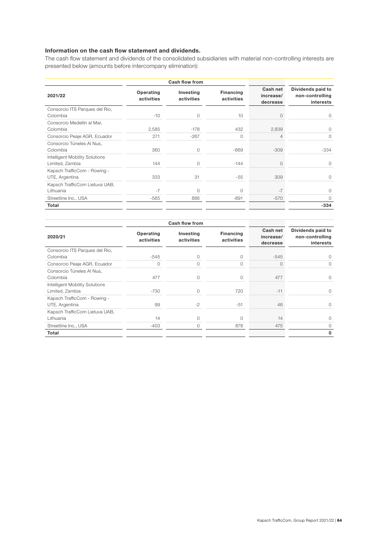# Information on the cash flow statement and dividends.

The cash flow statement and dividends of the consolidated subsidiaries with material non-controlling interests are presented below (amounts before intercompany elimination):

|                                                   |                         | <b>Cash flow from</b>   |                                |                                   |                                                   |
|---------------------------------------------------|-------------------------|-------------------------|--------------------------------|-----------------------------------|---------------------------------------------------|
| 2021/22                                           | Operating<br>activities | Investing<br>activities | <b>Financing</b><br>activities | Cash net<br>increase/<br>decrease | Dividends paid to<br>non-controlling<br>interests |
| Consorcio ITS Parques del Rio,<br>Colombia        | $-10$                   | $\circ$                 | 10                             |                                   | $\Omega$                                          |
| Consorcio Medellin al Mar,<br>Colombia            | 2,585                   | $-178$                  | 432                            | 2,839                             | $\Omega$                                          |
| Consorcio Peaje AGR, Ecuador                      | 271                     | $-267$                  | $\Omega$                       | 4                                 | $\Omega$                                          |
| Consorcio Túneles Al Nus,<br>Colombia             | 360                     | $\Omega$                | $-669$                         | $-309$                            | $-334$                                            |
| Intelligent Mobility Solutions<br>Limited, Zambia | 144                     | $\Omega$                | $-144$                         |                                   | $\Omega$                                          |
| Kapsch TrafficCom - Rowing -<br>UTE, Argentina    | 333                     | 31                      | -55                            | 309                               | $\Omega$                                          |
| Kapsch TrafficCom Lietuva UAB,                    |                         |                         |                                |                                   |                                                   |
| Lithuania                                         | $-7$                    | $\Omega$                | $\Omega$                       | $-7$                              | $\Omega$                                          |
| Streetline Inc., USA                              | $-565$                  | 886                     | $-891$                         | $-570$                            | $\Omega$                                          |
| Total                                             |                         |                         |                                |                                   | $-334$                                            |

|                                                   |                         | <b>Cash flow from</b>   |                                |                                   |                                                          |
|---------------------------------------------------|-------------------------|-------------------------|--------------------------------|-----------------------------------|----------------------------------------------------------|
| 2020/21                                           | Operating<br>activities | Investing<br>activities | <b>Financing</b><br>activities | Cash net<br>increase/<br>decrease | Dividends paid to<br>non-controlling<br><i>interests</i> |
| Consorcio ITS Parques del Rio,                    |                         |                         |                                |                                   |                                                          |
| Colombia                                          | $-545$                  | 0                       | $\Omega$                       | $-545$                            | O                                                        |
| Consorcio Peaje AGR, Ecuador                      |                         | $\Omega$                | $\Omega$                       |                                   | $\Omega$                                                 |
| Consorcio Túneles Al Nus,                         |                         |                         |                                |                                   |                                                          |
| Colombia                                          | 477                     | 0                       | $\Omega$                       | 477                               | $\Omega$                                                 |
| Intelligent Mobility Solutions<br>Limited, Zambia | $-730$                  | $\Omega$                | 720                            | $-11$                             | $\Omega$                                                 |
| Kapsch TrafficCom - Rowing -                      |                         |                         |                                |                                   |                                                          |
| UTE, Argentina                                    | 99                      | $-2$                    | $-51$                          | 46                                | O                                                        |
| Kapsch TrafficCom Lietuva UAB,                    |                         |                         |                                |                                   |                                                          |
| Lithuania                                         | 14                      | $\Omega$                | $\Omega$                       | 14                                | $\Omega$                                                 |
| Streetline Inc., USA                              | $-403$                  | 0                       | 878                            | 475                               | O                                                        |
| Total                                             |                         |                         |                                |                                   | 0                                                        |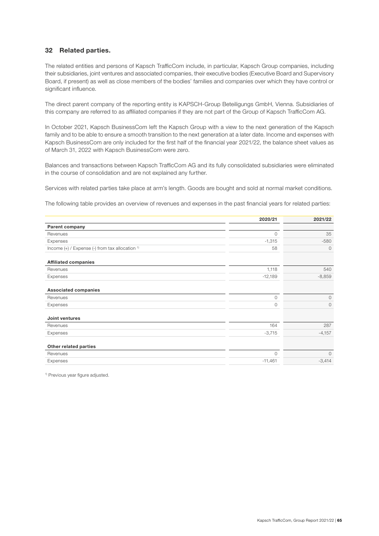# 32 Related parties.

The related entities and persons of Kapsch TrafficCom include, in particular, Kapsch Group companies, including their subsidiaries, joint ventures and associated companies, their executive bodies (Executive Board and Supervisory Board, if present) as well as close members of the bodies' families and companies over which they have control or significant influence.

The direct parent company of the reporting entity is KAPSCH-Group Beteiligungs GmbH, Vienna. Subsidiaries of this company are referred to as affiliated companies if they are not part of the Group of Kapsch TrafficCom AG.

In October 2021, Kapsch BusinessCom left the Kapsch Group with a view to the next generation of the Kapsch family and to be able to ensure a smooth transition to the next generation at a later date. Income and expenses with Kapsch BusinessCom are only included for the first half of the financial year 2021/22, the balance sheet values as of March 31, 2022 with Kapsch BusinessCom were zero.

Balances and transactions between Kapsch TrafficCom AG and its fully consolidated subsidiaries were eliminated in the course of consolidation and are not explained any further.

Services with related parties take place at arm's length. Goods are bought and sold at normal market conditions.

The following table provides an overview of revenues and expenses in the past financial years for related parties:

|                                                            | 2020/21   | 2021/22  |
|------------------------------------------------------------|-----------|----------|
| Parent company                                             |           |          |
| Revenues                                                   | $\circ$   | 35       |
| Expenses                                                   | $-1,315$  | $-580$   |
| Income (+) / Expense (-) from tax allocation <sup>1)</sup> | 58        | $\circ$  |
| <b>Affiliated companies</b>                                |           |          |
| Revenues                                                   | 1,118     | 540      |
| Expenses                                                   | $-12,189$ | $-8,859$ |
| <b>Associated companies</b>                                |           |          |
| Revenues                                                   | $\circ$   | $\circ$  |
| Expenses                                                   | $\Omega$  | $\circ$  |
| Joint ventures                                             |           |          |
| Revenues                                                   | 164       | 287      |
| Expenses                                                   | $-3,715$  | $-4,157$ |
| Other related parties                                      |           |          |
| Revenues                                                   | $\circ$   | $\circ$  |
| Expenses                                                   | $-11,461$ | $-3,414$ |

1) Previous year figure adjusted.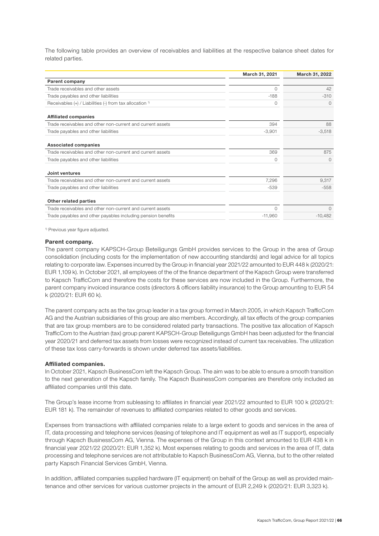The following table provides an overview of receivables and liabilities at the respective balance sheet dates for related parties.

|                                                                         | March 31, 2021 | March 31, 2022 |
|-------------------------------------------------------------------------|----------------|----------------|
| <b>Parent company</b>                                                   |                |                |
| Trade receivables and other assets                                      | $\Omega$       | 42             |
| Trade payables and other liabilities                                    | $-188$         | $-310$         |
| Receivables $(+)$ / Liabilities $(-)$ from tax allocation $\frac{1}{2}$ | $\circ$        | $\circ$        |
| <b>Affiliated companies</b>                                             |                |                |
| Trade receivables and other non-current and current assets              | 394            | 88             |
| Trade payables and other liabilities                                    | $-3,901$       | $-3,518$       |
| <b>Associated companies</b>                                             |                |                |
| Trade receivables and other non-current and current assets              | 369            | 875            |
| Trade payables and other liabilities                                    | 0              | $\Omega$       |
| Joint ventures                                                          |                |                |
| Trade receivables and other non-current and current assets              | 7,296          | 9,317          |
| Trade payables and other liabilities                                    | $-539$         | $-558$         |
| Other related parties                                                   |                |                |
| Trade receivables and other non-current and current assets              | $\Omega$       | $\Omega$       |
| Trade payables and other payables including pension benefits            | $-11,960$      | $-10,482$      |

1) Previous year figure adjusted.

#### Parent company.

The parent company KAPSCH-Group Beteiligungs GmbH provides services to the Group in the area of Group consolidation (including costs for the implementation of new accounting standards) and legal advice for all topics relating to corporate law. Expenses incurred by the Group in financial year 2021/22 amounted to EUR 448 k (2020/21: EUR 1,109 k). In October 2021, all employees of the of the finance department of the Kapsch Group were transferred to Kapsch TrafficCom and therefore the costs for these services are now included in the Group. Furthermore, the parent company invoiced insurance costs (directors & officers liability insurance) to the Group amounting to EUR 54 k (2020/21: EUR 60 k).

The parent company acts as the tax group leader in a tax group formed in March 2005, in which Kapsch TrafficCom AG and the Austrian subsidiaries of this group are also members. Accordingly, all tax effects of the group companies that are tax group members are to be considered related party transactions. The positive tax allocation of Kapsch TrafficCom to the Austrian (tax) group parent KAPSCH-Group Beteiligungs GmbH has been adjusted for the financial year 2020/21 and deferred tax assets from losses were recognized instead of current tax receivables. The utilization of these tax loss carry-forwards is shown under deferred tax assets/liabilities.

#### Affiliated companies.

In October 2021, Kapsch BusinessCom left the Kapsch Group. The aim was to be able to ensure a smooth transition to the next generation of the Kapsch family. The Kapsch BusinessCom companies are therefore only included as affiliated companies until this date.

The Group's lease income from subleasing to affiliates in financial year 2021/22 amounted to EUR 100 k (2020/21: EUR 181 k). The remainder of revenues to affiliated companies related to other goods and services.

Expenses from transactions with affiliated companies relate to a large extent to goods and services in the area of IT, data processing and telephone services (leasing of telephone and IT equipment as well as IT support), especially through Kapsch BusinessCom AG, Vienna. The expenses of the Group in this context amounted to EUR 438 k in financial year 2021/22 (2020/21: EUR 1,352 k). Most expenses relating to goods and services in the area of IT, data processing and telephone services are not attributable to Kapsch BusinessCom AG, Vienna, but to the other related party Kapsch Financial Services GmbH, Vienna.

In addition, affiliated companies supplied hardware (IT equipment) on behalf of the Group as well as provided maintenance and other services for various customer projects in the amount of EUR 2,249 k (2020/21: EUR 3,323 k).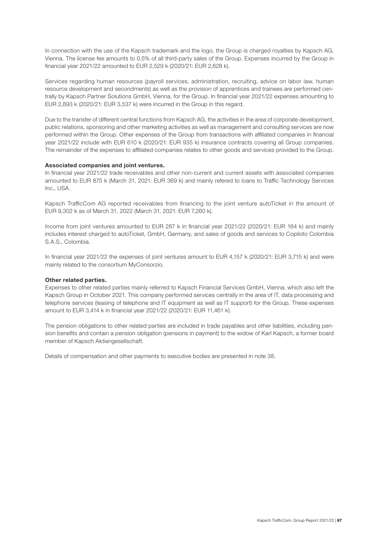In connection with the use of the Kapsch trademark and the logo, the Group is charged royalties by Kapsch AG, Vienna. The license fee amounts to 0.5% of all third-party sales of the Group. Expenses incurred by the Group in financial year 2021/22 amounted to EUR 2,529 k (2020/21: EUR 2,628 k).

Services regarding human resources (payroll services, administration, recruiting, advice on labor law, human resource development and secondments) as well as the provision of apprentices and trainees are performed centrally by Kapsch Partner Solutions GmbH, Vienna, for the Group. In financial year 2021/22 expenses amounting to EUR 2,893 k (2020/21: EUR 3,537 k) were incurred in the Group in this regard.

Due to the transfer of different central functions from Kapsch AG, the activities in the area of corporate development, public relations, sponsoring and other marketing activities as well as management and consulting services are now performed within the Group. Other expenses of the Group from transactions with affiliated companies in financial year 2021/22 include with EUR 610 k (2020/21: EUR 935 k) insurance contracts covering all Group companies. The remainder of the expenses to affiliated companies relates to other goods and services provided to the Group.

## Associated companies and joint ventures.

In financial year 2021/22 trade receivables and other non-current and current assets with associated companies amounted to EUR 875 k (March 31, 2021: EUR 369 k) and mainly refered to loans to Traffic Technology Services Inc., USA.

Kapsch TrafficCom AG reported receivables from financing to the joint venture autoTicket in the amount of EUR 9,302 k as of March 31, 2022 (March 31, 2021: EUR 7,260 k).

Income from joint ventures amounted to EUR 287 k in financial year 2021/22 (2020/21: EUR 164 k) and mainly includes interest charged to autoTicket, GmbH, Germany, and sales of goods and services to Copiloto Colombia S.A.S., Colombia.

In financial year 2021/22 the expenses of joint ventures amount to EUR 4,157 k (2020/21: EUR 3,715 k) and were mainly related to the consortium MyConsorzio.

#### Other related parties.

Expenses to other related parties mainly referred to Kapsch Financial Services GmbH, Vienna, which also left the Kapsch Group in October 2021. This company performed services centrally in the area of IT, data processing and telephone services (leasing of telephone and IT equipment as well as IT support) for the Group. These expenses amount to EUR 3,414 k in financial year 2021/22 (2020/21: EUR 11,461 k).

The pension obligations to other related parties are included in trade payables and other liabilities, including pension benefits and contain a pension obligation (pensions in payment) to the widow of Karl Kapsch, a former board member of Kapsch Aktiengesellschaft.

Details of compensation and other payments to executive bodies are presented in note 38.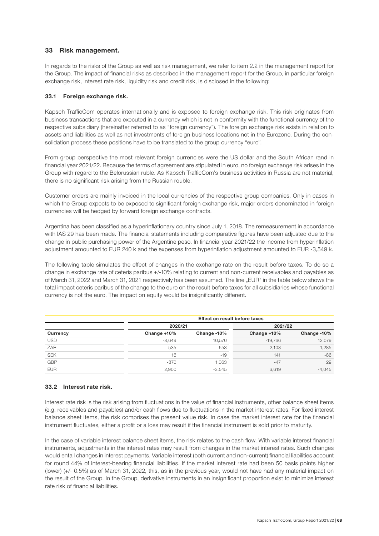# 33 Risk management.

In regards to the risks of the Group as well as risk management, we refer to item 2.2 in the management report for the Group. The impact of financial risks as described in the management report for the Group, in particular foreign exchange risk, interest rate risk, liquidity risk and credit risk, is disclosed in the following:

## 33.1 Foreign exchange risk.

Kapsch TrafficCom operates internationally and is exposed to foreign exchange risk. This risk originates from business transactions that are executed in a currency which is not in conformity with the functional currency of the respective subsidiary (hereinafter referred to as "foreign currency"). The foreign exchange risk exists in relation to assets and liabilities as well as net investments of foreign business locations not in the Eurozone. During the consolidation process these positions have to be translated to the group currency "euro".

From group perspective the most relevant foreign currencies were the US dollar and the South African rand in financial year 2021/22. Because the terms of agreement are stipulated in euro, no foreign exchange risk arises in the Group with regard to the Belorussian ruble. As Kapsch TrafficCom's business activities in Russia are not material, there is no significant risk arising from the Russian rouble.

Customer orders are mainly invoiced in the local currencies of the respective group companies. Only in cases in which the Group expects to be exposed to significant foreign exchange risk, major orders denominated in foreign currencies will be hedged by forward foreign exchange contracts.

Argentina has been classified as a hyperinflationary country since July 1, 2018. The remeasurement in accordance with IAS 29 has been made. The financial statements including comparative figures have been adjusted due to the change in public purchasing power of the Argentine peso. In financial year 2021/22 the income from hyperinflation adjustment amounted to EUR 240 k and the expenses from hyperinflation adjustment amounted to EUR -3,549 k.

The following table simulates the effect of changes in the exchange rate on the result before taxes. To do so a change in exchange rate of ceteris paribus +/-10% relating to current and non-current receivables and payables as of March 31, 2022 and March 31, 2021 respectively has been assumed. The line "EUR" in the table below shows the total impact ceteris paribus of the change to the euro on the result before taxes for all subsidiaries whose functional currency is not the euro. The impact on equity would be insignificantly different.

|                 |                | <b>Effect on result before taxes</b> |                |                |  |  |
|-----------------|----------------|--------------------------------------|----------------|----------------|--|--|
|                 | 2020/21        |                                      | 2021/22        |                |  |  |
| <b>Currency</b> | Change $+10\%$ | Change $-10\%$                       | Change $+10\%$ | Change $-10\%$ |  |  |
| <b>USD</b>      | $-8.649$       | 10.570                               | $-19.766$      | 12,079         |  |  |
| <b>ZAR</b>      | $-535$         | 653                                  | $-2.103$       | 1,285          |  |  |
| <b>SEK</b>      | 16             | $-19$                                | 141            | $-86$          |  |  |
| <b>GBP</b>      | $-870$         | 1.063                                | $-47$          | 29             |  |  |
| <b>EUR</b>      | 2,900          | $-3.545$                             | 6.619          | $-4.045$       |  |  |

## 33.2 Interest rate risk.

Interest rate risk is the risk arising from fluctuations in the value of financial instruments, other balance sheet items (e.g. receivables and payables) and/or cash flows due to fluctuations in the market interest rates. For fixed interest balance sheet items, the risk comprises the present value risk. In case the market interest rate for the financial instrument fluctuates, either a profit or a loss may result if the financial instrument is sold prior to maturity.

In the case of variable interest balance sheet items, the risk relates to the cash flow. With variable interest financial instruments, adjustments in the interest rates may result from changes in the market interest rates. Such changes would entail changes in interest payments. Variable interest (both current and non-current) financial liabilities account for round 44% of interest-bearing financial liabilities. If the market interest rate had been 50 basis points higher (lower) (+/- 0.5%) as of March 31, 2022, this, as in the previous year, would not have had any material impact on the result of the Group. In the Group, derivative instruments in an insignificant proportion exist to minimize interest rate risk of financial liabilities.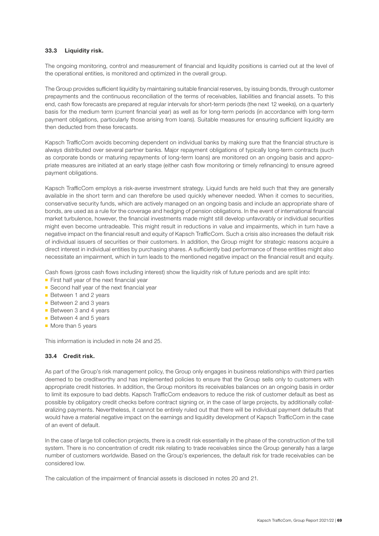## 33.3 Liquidity risk.

The ongoing monitoring, control and measurement of financial and liquidity positions is carried out at the level of the operational entities, is monitored and optimized in the overall group.

The Group provides sufficient liquidity by maintaining suitable financial reserves, by issuing bonds, through customer prepayments and the continuous reconciliation of the terms of receivables, liabilities and financial assets. To this end, cash flow forecasts are prepared at regular intervals for short-term periods (the next 12 weeks), on a quarterly basis for the medium term (current financial year) as well as for long-term periods (in accordance with long-term payment obligations, particularly those arising from loans). Suitable measures for ensuring sufficient liquidity are then deducted from these forecasts.

Kapsch TrafficCom avoids becoming dependent on individual banks by making sure that the financial structure is always distributed over several partner banks. Major repayment obligations of typically long-term contracts (such as corporate bonds or maturing repayments of long-term loans) are monitored on an ongoing basis and appropriate measures are initiated at an early stage (either cash flow monitoring or timely refinancing) to ensure agreed payment obligations.

Kapsch TrafficCom employs a risk-averse investment strategy. Liquid funds are held such that they are generally available in the short term and can therefore be used quickly whenever needed. When it comes to securities, conservative security funds, which are actively managed on an ongoing basis and include an appropriate share of bonds, are used as a rule for the coverage and hedging of pension obligations. In the event of international financial market turbulence, however, the financial investments made might still develop unfavorably or individual securities might even become untradeable. This might result in reductions in value and impairments, which in turn have a negative impact on the financial result and equity of Kapsch TrafficCom. Such a crisis also increases the default risk of individual issuers of securities or their customers. In addition, the Group might for strategic reasons acquire a direct interest in individual entities by purchasing shares. A sufficiently bad performance of these entities might also necessitate an impairment, which in turn leads to the mentioned negative impact on the financial result and equity.

Cash flows (gross cash flows including interest) show the liquidity risk of future periods and are split into:

- First half year of the next financial year
- Second half year of the next financial year
- Between 1 and 2 years
- Between 2 and 3 years
- Between 3 and 4 years
- Between 4 and 5 years
- More than 5 years

This information is included in note 24 and 25.

# 33.4 Credit risk.

As part of the Group's risk management policy, the Group only engages in business relationships with third parties deemed to be creditworthy and has implemented policies to ensure that the Group sells only to customers with appropriate credit histories. In addition, the Group monitors its receivables balances on an ongoing basis in order to limit its exposure to bad debts. Kapsch TrafficCom endeavors to reduce the risk of customer default as best as possible by obligatory credit checks before contract signing or, in the case of large projects, by additionally collateralizing payments. Nevertheless, it cannot be entirely ruled out that there will be individual payment defaults that would have a material negative impact on the earnings and liquidity development of Kapsch TrafficCom in the case of an event of default.

In the case of large toll collection projects, there is a credit risk essentially in the phase of the construction of the toll system. There is no concentration of credit risk relating to trade receivables since the Group generally has a large number of customers worldwide. Based on the Group's experiences, the default risk for trade receivables can be considered low.

The calculation of the impairment of financial assets is disclosed in notes 20 and 21.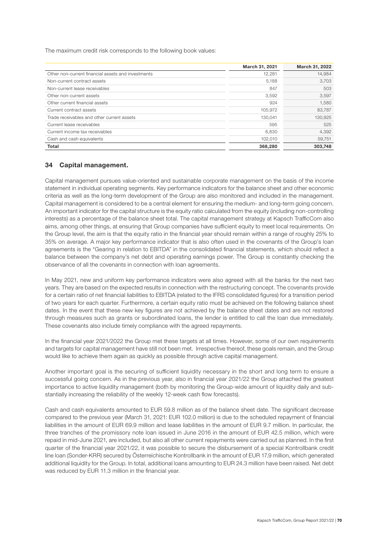The maximum credit risk corresponds to the following book values:

|                                                    | March 31, 2021 | March 31, 2022 |
|----------------------------------------------------|----------------|----------------|
| Other non-current financial assets and investments | 12.281         | 14.984         |
| Non-current contract assets                        | 5.188          | 3.703          |
| Non-current lease receivables                      | 847            | 503            |
| Other non-current assets                           | 3,592          | 3,597          |
| Other current financial assets                     | 924            | 1.580          |
| Current contract assets                            | 105,972        | 83.787         |
| Trade receivables and other current assets         | 130.041        | 130,925        |
| Current lease receivables                          | 595            | 525            |
| Current income tax receivables                     | 6.830          | 4.392          |
| Cash and cash equivalents                          | 102.010        | 59,751         |
| <b>Total</b>                                       | 368,280        | 303.748        |

## 34 Capital management.

Capital management pursues value-oriented and sustainable corporate management on the basis of the income statement in individual operating segments. Key performance indicators for the balance sheet and other economic criteria as well as the long-term development of the Group are also monitored and included in the management. Capital management is considered to be a central element for ensuring the medium- and long-term going concern. An important indicator for the capital structure is the equity ratio calculated from the equity (including non-controlling interests) as a percentage of the balance sheet total. The capital management strategy at Kapsch TrafficCom also aims, among other things, at ensuring that Group companies have sufficient equity to meet local requirements. On the Group level, the aim is that the equity ratio in the financial year should remain within a range of roughly 25% to 35% on average. A major key performance indicator that is also often used in the covenants of the Group's loan agreements is the "Gearing in relation to EBITDA" in the consolidated financial statements, which should reflect a balance between the company's net debt and operating earnings power. The Group is constantly checking the observance of all the covenants in connection with loan agreements.

In May 2021, new and uniform key performance indicators were also agreed with all the banks for the next two years. They are based on the expected results in connection with the restructuring concept. The covenants provide for a certain ratio of net financial liabilities to EBITDA (related to the IFRS consolidated figures) for a transition period of two years for each quarter. Furthermore, a certain equity ratio must be achieved on the following balance sheet dates. In the event that these new key figures are not achieved by the balance sheet dates and are not restored through measures such as grants or subordinated loans, the lender is entitled to call the loan due immediately. These covenants also include timely compliance with the agreed repayments.

In the financial year 2021/2022 the Group met these targets at all times. However, some of our own requirements and targets for capital management have still not been met. Irrespective thereof, these goals remain, and the Group would like to achieve them again as quickly as possible through active capital management.

Another important goal is the securing of sufficient liquidity necessary in the short and long term to ensure a successful going concern. As in the previous year, also in financial year 2021/22 the Group attached the greatest importance to active liquidity management (both by monitoring the Group-wide amount of liquidity daily and substantially increasing the reliability of the weekly 12-week cash flow forecasts).

Cash and cash equivalents amounted to EUR 59.8 million as of the balance sheet date. The significant decrease compared to the previous year (March 31, 2021: EUR 102.0 million) is due to the scheduled repayment of financial liabilities in the amount of EUR 69.9 million and lease liabilities in the amount of EUR 9.7 million. In particular, the three tranches of the promissory note loan issued in June 2016 in the amount of EUR 42.5 million, which were repaid in mid-June 2021, are included, but also all other current repayments were carried out as planned. In the first quarter of the financial year 2021/22, it was possible to secure the disbursement of a special Kontrollbank credit line loan (Sonder-KRR) secured by Österreichische Kontrollbank in the amount of EUR 17.9 million, which generated additional liquidity for the Group. In total, additional loans amounting to EUR 24.3 million have been raised. Net debt was reduced by EUR 11.3 million in the financial year.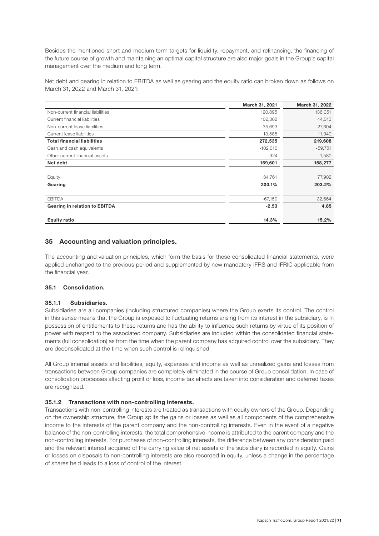Besides the mentioned short and medium term targets for liquidity, repayment, and refinancing, the financing of the future course of growth and maintaining an optimal capital structure are also major goals in the Group's capital management over the medium and long term.

Net debt and gearing in relation to EBITDA as well as gearing and the equity ratio can broken down as follows on March 31, 2022 and March 31, 2021:

|                                      | March 31, 2021 | March 31, 2022 |
|--------------------------------------|----------------|----------------|
| Non-current financial liabilities    | 120,895        | 136,051        |
| Current financial liabilities        | 102,362        | 44,013         |
| Non-current lease liabilities        | 35,693         | 27,604         |
| Current lease liabilities            | 13,585         | 11,940         |
| <b>Total financial liabilities</b>   | 272,535        | 219,608        |
| Cash and cash equivalents            | $-102,010$     | $-59,751$      |
| Other current financial assets       | $-924$         | $-1,580$       |
| Net debt                             | 169,601        | 158,277        |
| Equity                               | 84,761         | 77,902         |
| Gearing                              | 200.1%         | 203.2%         |
| <b>EBITDA</b>                        | $-67,150$      | 32,664         |
| <b>Gearing in relation to EBITDA</b> | $-2.53$        | 4.85           |
| <b>Equity ratio</b>                  | 14.3%          | 15.2%          |

## 35 Accounting and valuation principles.

The accounting and valuation principles, which form the basis for these consolidated financial statements, were applied unchanged to the previous period and supplemented by new mandatory IFRS and IFRIC applicable from the financial year.

### 35.1 Consolidation.

### 35.1.1 Subsidiaries.

Subsidiaries are all companies (including structured companies) where the Group exerts its control. The control in this sense means that the Group is exposed to fluctuating returns arising from its interest in the subsidiary, is in possession of entitlements to these returns and has the ability to influence such returns by virtue of its position of power with respect to the associated company. Subsidiaries are included within the consolidated financial statements (full consolidation) as from the time when the parent company has acquired control over the subsidiary. They are deconsolidated at the time when such control is relinquished.

All Group internal assets and liabilities, equity, expenses and income as well as unrealized gains and losses from transactions between Group companies are completely eliminated in the course of Group consolidation. In case of consolidation processes affecting profit or loss, income tax effects are taken into consideration and deferred taxes are recognized.

### 35.1.2 Transactions with non-controlling interests.

Transactions with non-controlling interests are treated as transactions with equity owners of the Group. Depending on the ownership structure, the Group splits the gains or losses as well as all components of the comprehensive income to the interests of the parent company and the non-controlling interests. Even in the event of a negative balance of the non-controlling interests, the total comprehensive income is attributed to the parent company and the non-controlling interests. For purchases of non-controlling interests, the difference between any consideration paid and the relevant interest acquired of the carrying value of net assets of the subsidiary is recorded in equity. Gains or losses on disposals to non-controlling interests are also recorded in equity, unless a change in the percentage of shares held leads to a loss of control of the interest.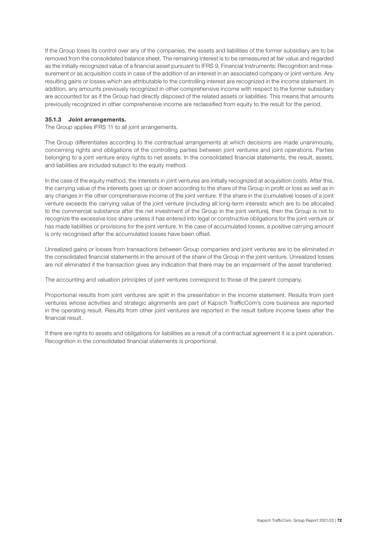If the Group loses its control over any of the companies, the assets and liabilities of the former subsidiary are to be removed from the consolidated balance sheet. The remaining interest is to be remeasured at fair value and regarded as the initially recognized value of a financial asset pursuant to IFRS 9, Financial Instruments: Recognition and measurement or as acquisition costs in case of the addition of an interest in an associated company or joint venture. Any resulting gains or losses which are attributable to the controlling interest are recognized in the income statement. In addition, any amounts previously recognized in other comprehensive income with respect to the former subsidiary are accounted for as if the Group had directly disposed of the related assets or liabilities. This means that amounts previously recognized in other comprehensive income are reclassified from equity to the result for the period.

## 35.1.3 Joint arrangements.

The Group applies IFRS 11 to all joint arrangements.

The Group differentiates according to the contractual arrangements at which decisions are made unanimously, concerning rights and obligations of the controlling parties between joint ventures and joint operations. Parties belonging to a joint venture enjoy rights to net assets. In the consolidated financial statements, the result, assets, and liabilities are included subject to the equity method.

In the case of the equity method, the interests in joint ventures are initially recognized at acquisition costs. After this, the carrying value of the interests goes up or down according to the share of the Group in profit or loss as well as in any changes in the other comprehensive income of the joint venture. If the share in the (cumulative) losses of a joint venture exceeds the carrying value of the joint venture (including all long-term interests which are to be allocated to the commercial substance after the net investment of the Group in the joint venture), then the Group is not to recognize the excessive loss share unless it has entered into legal or constructive obligations for the joint venture or has made liabilities or provisions for the joint venture. In the case of accumulated losses, a positive carrying amount is only recognised after the accumulated losses have been offset.

Unrealized gains or losses from transactions between Group companies and joint ventures are to be eliminated in the consolidated financial statements in the amount of the share of the Group in the joint venture. Unrealized losses are not eliminated if the transaction gives any indication that there may be an impairment of the asset transferred.

The accounting and valuation principles of joint ventures correspond to those of the parent company.

Proportional results from joint ventures are split in the presentation in the income statement. Results from joint ventures whose activities and strategic alignments are part of Kapsch TrafficCom's core business are reported in the operating result. Results from other joint ventures are reported in the result before income taxes after the financial result.

If there are rights to assets and obligations for liabilities as a result of a contractual agreement it is a joint operation. Recognition in the consolidated financial statements is proportional.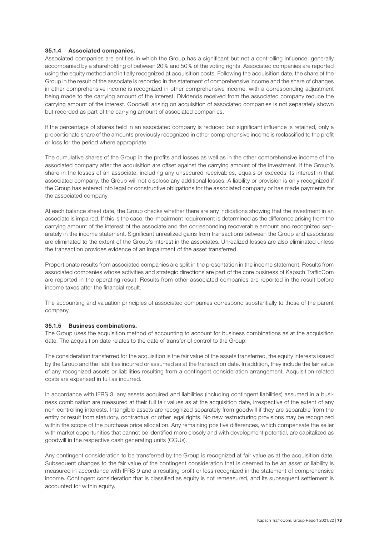## 35.1.4 Associated companies.

Associated companies are entities in which the Group has a significant but not a controlling influence, generally accompanied by a shareholding of between 20% and 50% of the voting rights. Associated companies are reported using the equity method and initially recognized at acquisition costs. Following the acquisition date, the share of the Group in the result of the associate is recorded in the statement of comprehensive income and the share of changes in other comprehensive income is recognized in other comprehensive income, with a corresponding adjustment being made to the carrying amount of the interest. Dividends received from the associated company reduce the carrying amount of the interest. Goodwill arising on acquisition of associated companies is not separately shown but recorded as part of the carrying amount of associated companies.

If the percentage of shares held in an associated company is reduced but significant influence is retained, only a proportionate share of the amounts previously recognized in other comprehensive income is reclassified to the profit or loss for the period where appropriate.

The cumulative shares of the Group in the profits and losses as well as in the other comprehensive income of the associated company after the acquisition are offset against the carrying amount of the investment. If the Group's share in the losses of an associate, including any unsecured receivables, equals or exceeds its interest in that associated company, the Group will not disclose any additional losses. A liability or provision is only recognized if the Group has entered into legal or constructive obligations for the associated company or has made payments for the associated company.

At each balance sheet date, the Group checks whether there are any indications showing that the investment in an associate is impaired. If this is the case, the impairment requirement is determined as the difference arising from the carrying amount of the interest of the associate and the corresponding recoverable amount and recognized separately in the income statement. Significant unrealized gains from transactions between the Group and associates are eliminated to the extent of the Group's interest in the associates. Unrealized losses are also eliminated unless the transaction provides evidence of an impairment of the asset transferred.

Proportionate results from associated companies are split in the presentation in the income statement. Results from associated companies whose activities and strategic directions are part of the core business of Kapsch TrafficCom are reported in the operating result. Results from other associated companies are reported in the result before income taxes after the financial result.

The accounting and valuation principles of associated companies correspond substantially to those of the parent company.

### 35.1.5 Business combinations.

The Group uses the acquisition method of accounting to account for business combinations as at the acquisition date. The acquisition date relates to the date of transfer of control to the Group.

The consideration transferred for the acquisition is the fair value of the assets transferred, the equity interests issued by the Group and the liabilities incurred or assumed as at the transaction date. In addition, they include the fair value of any recognized assets or liabilities resulting from a contingent consideration arrangement. Acquisition-related costs are expensed in full as incurred.

In accordance with IFRS 3, any assets acquired and liabilities (including contingent liabilities) assumed in a business combination are measured at their full fair values as at the acquisition date, irrespective of the extent of any non-controlling interests. Intangible assets are recognized separately from goodwill if they are separable from the entity or result from statutory, contractual or other legal rights. No new restructuring provisions may be recognized within the scope of the purchase price allocation. Any remaining positive differences, which compensate the seller with market opportunities that cannot be identified more closely and with development potential, are capitalized as goodwill in the respective cash generating units (CGUs).

Any contingent consideration to be transferred by the Group is recognized at fair value as at the acquisition date. Subsequent changes to the fair value of the contingent consideration that is deemed to be an asset or liability is measured in accordance with IFRS 9 and a resulting profit or loss recognized in the statement of comprehensive income. Contingent consideration that is classified as equity is not remeasured, and its subsequent settlement is accounted for within equity.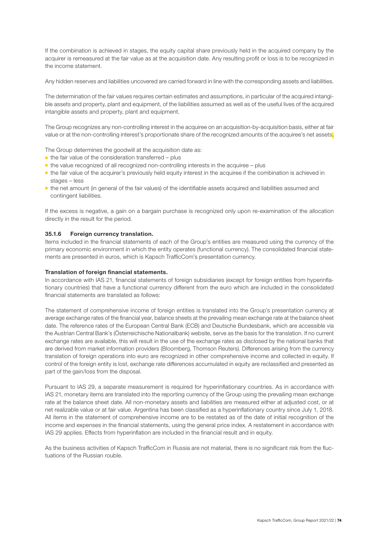If the combination is achieved in stages, the equity capital share previously held in the acquired company by the acquirer is remeasured at the fair value as at the acquisition date. Any resulting profit or loss is to be recognized in the income statement.

Any hidden reserves and liabilities uncovered are carried forward in line with the corresponding assets and liabilities.

The determination of the fair values requires certain estimates and assumptions, in particular of the acquired intangible assets and property, plant and equipment, of the liabilities assumed as well as of the useful lives of the acquired intangible assets and property, plant and equipment.

The Group recognizes any non-controlling interest in the acquiree on an acquisition-by-acquisition basis, either at fair value or at the non-controlling interest's proportionate share of the recognized amounts of the acquiree's net assets.

The Group determines the goodwill at the acquisition date as:

- $\blacksquare$  the fair value of the consideration transferred plus
- $\blacksquare$  the value recognized of all recognized non-controlling interests in the acquiree plus
- the fair value of the acquirer's previously held equity interest in the acquiree if the combination is achieved in stages – less
- the net amount (in general of the fair values) of the identifiable assets acquired and liabilities assumed and contingent liabilities.

If the excess is negative, a gain on a bargain purchase is recognized only upon re-examination of the allocation directly in the result for the period.

## 35.1.6 Foreign currency translation.

Items included in the financial statements of each of the Group's entities are measured using the currency of the primary economic environment in which the entity operates (functional currency). The consolidated financial statements are presented in euros, which is Kapsch TrafficCom's presentation currency.

### Translation of foreign financial statements.

In accordance with IAS 21, financial statements of foreign subsidiaries (except for foreign entities from hyperinflationary countries) that have a functional currency different from the euro which are included in the consolidated financial statements are translated as follows:

The statement of comprehensive income of foreign entities is translated into the Group's presentation currency at average exchange rates of the financial year, balance sheets at the prevailing mean exchange rate at the balance sheet date. The reference rates of the European Central Bank (ECB) and Deutsche Bundesbank, which are accessible via the Austrian Central Bank's (Österreichische Nationalbank) website, serve as the basis for the translation. If no current exchange rates are available, this will result in the use of the exchange rates as disclosed by the national banks that are derived from market information providers (Bloomberg, Thomson Reuters). Differences arising from the currency translation of foreign operations into euro are recognized in other comprehensive income and collected in equity. If control of the foreign entity is lost, exchange rate differences accumulated in equity are reclassified and presented as part of the gain/loss from the disposal.

Pursuant to IAS 29, a separate measurement is required for hyperinflationary countries. As in accordance with IAS 21, monetary items are translated into the reporting currency of the Group using the prevailing mean exchange rate at the balance sheet date. All non-monetary assets and liabilities are measured either at adjusted cost, or at net realizable value or at fair value. Argentina has been classified as a hyperinflationary country since July 1, 2018. All items in the statement of comprehensive income are to be restated as of the date of initial recognition of the income and expenses in the financial statements, using the general price index. A restatement in accordance with IAS 29 applies. Effects from hyperinflation are included in the financial result and in equity.

As the business activities of Kapsch TrafficCom in Russia are not material, there is no significant risk from the fluctuations of the Russian rouble.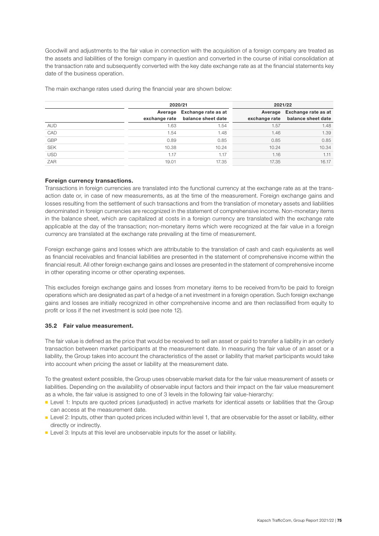Goodwill and adjustments to the fair value in connection with the acquisition of a foreign company are treated as the assets and liabilities of the foreign company in question and converted in the course of initial consolidation at the transaction rate and subsequently converted with the key date exchange rate as at the financial statements key date of the business operation.

|            | 2020/21       |                             | 2021/22 |                                  |
|------------|---------------|-----------------------------|---------|----------------------------------|
|            |               | Average Exchange rate as at | Average | Exchange rate as at              |
|            | exchange rate | balance sheet date          |         | exchange rate balance sheet date |
| <b>AUD</b> | 1.63          | 1.54                        | 1.57    | 1.48                             |
| CAD        | 1.54          | 1.48                        | 1.46    | 1.39                             |
| <b>GBP</b> | 0.89          | 0.85                        | 0.85    | 0.85                             |
| <b>SEK</b> | 10.38         | 10.24                       | 10.24   | 10.34                            |
| <b>USD</b> | 1.17          | 1.17                        | 1.16    | 1.11                             |
| ZAR        | 19.01         | 17.35                       | 17.35   | 16.17                            |

The main exchange rates used during the financial year are shown below:

## Foreign currency transactions.

Transactions in foreign currencies are translated into the functional currency at the exchange rate as at the transaction date or, in case of new measurements, as at the time of the measurement. Foreign exchange gains and losses resulting from the settlement of such transactions and from the translation of monetary assets and liabilities denominated in foreign currencies are recognized in the statement of comprehensive income. Non-monetary items in the balance sheet, which are capitalized at costs in a foreign currency are translated with the exchange rate applicable at the day of the transaction; non-monetary items which were recognized at the fair value in a foreign currency are translated at the exchange rate prevailing at the time of measurement.

Foreign exchange gains and losses which are attributable to the translation of cash and cash equivalents as well as financial receivables and financial liabilities are presented in the statement of comprehensive income within the financial result. All other foreign exchange gains and losses are presented in the statement of comprehensive income in other operating income or other operating expenses.

This excludes foreign exchange gains and losses from monetary items to be received from/to be paid to foreign operations which are designated as part of a hedge of a net investment in a foreign operation. Such foreign exchange gains and losses are initially recognized in other comprehensive income and are then reclassified from equity to profit or loss if the net investment is sold (see note 12).

## 35.2 Fair value measurement.

The fair value is defined as the price that would be received to sell an asset or paid to transfer a liability in an orderly transaction between market participants at the measurement date. In measuring the fair value of an asset or a liability, the Group takes into account the characteristics of the asset or liability that market participants would take into account when pricing the asset or liability at the measurement date.

To the greatest extent possible, the Group uses observable market data for the fair value measurement of assets or liabilities. Depending on the availability of observable input factors and their impact on the fair value measurement as a whole, the fair value is assigned to one of 3 levels in the following fair value-hierarchy:

- Level 1: Inputs are quoted prices (unadjusted) in active markets for identical assets or liabilities that the Group can access at the measurement date.
- Level 2: Inputs, other than quoted prices included within level 1, that are observable for the asset or liability, either directly or indirectly.
- Level 3: Inputs at this level are unobservable inputs for the asset or liability.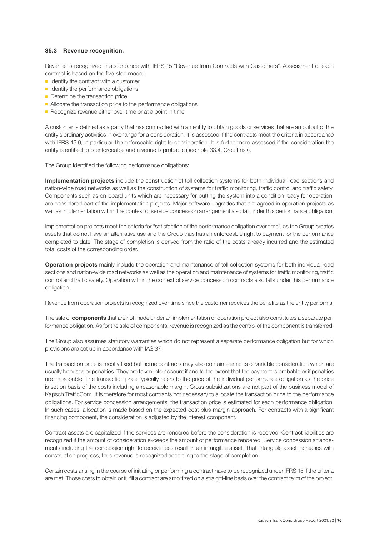## 35.3 Revenue recognition.

Revenue is recognized in accordance with IFRS 15 "Revenue from Contracts with Customers". Assessment of each contract is based on the five-step model:

- Identify the contract with a customer
- Identify the performance obligations
- Determine the transaction price
- Allocate the transaction price to the performance obligations
- Recognize revenue either over time or at a point in time

A customer is defined as a party that has contracted with an entity to obtain goods or services that are an output of the entity's ordinary activities in exchange for a consideration. It is assessed if the contracts meet the criteria in accordance with IFRS 15.9, in particular the enforceable right to consideration. It is furthermore assessed if the consideration the entity is entitled to is enforceable and revenue is probable (see note 33.4. Credit risk).

The Group identified the following performance obligations:

Implementation projects include the construction of toll collection systems for both individual road sections and nation-wide road networks as well as the construction of systems for traffic monitoring, traffic control and traffic safety. Components such as on-board units which are necessary for putting the system into a condition ready for operation, are considered part of the implementation projects. Major software upgrades that are agreed in operation projects as well as implementation within the context of service concession arrangement also fall under this performance obligation.

Implementation projects meet the criteria for "satisfaction of the performance obligation over time", as the Group creates assets that do not have an alternative use and the Group thus has an enforceable right to payment for the performance completed to date. The stage of completion is derived from the ratio of the costs already incurred and the estimated total costs of the corresponding order.

**Operation projects** mainly include the operation and maintenance of toll collection systems for both individual road sections and nation-wide road networks as well as the operation and maintenance of systems for traffic monitoring, traffic control and traffic safety. Operation within the context of service concession contracts also falls under this performance obligation.

Revenue from operation projects is recognized over time since the customer receives the benefits as the entity performs.

The sale of components that are not made under an implementation or operation project also constitutes a separate performance obligation. As for the sale of components, revenue is recognized as the control of the component is transferred.

The Group also assumes statutory warranties which do not represent a separate performance obligation but for which provisions are set up in accordance with IAS 37.

The transaction price is mostly fixed but some contracts may also contain elements of variable consideration which are usually bonuses or penalties. They are taken into account if and to the extent that the payment is probable or if penalties are improbable. The transaction price typically refers to the price of the individual performance obligation as the price is set on basis of the costs including a reasonable margin. Cross-subsidizations are not part of the business model of Kapsch TrafficCom. It is therefore for most contracts not necessary to allocate the transaction price to the performance obligations. For service concession arrangements, the transaction price is estimated for each performance obligation. In such cases, allocation is made based on the expected-cost-plus-margin approach. For contracts with a significant financing component, the consideration is adjusted by the interest component.

Contract assets are capitalized if the services are rendered before the consideration is received. Contract liabilities are recognized if the amount of consideration exceeds the amount of performance rendered. Service concession arrangements including the concession right to receive fees result in an intangible asset. That intangible asset increases with construction progress, thus revenue is recognized according to the stage of completion.

Certain costs arising in the course of initiating or performing a contract have to be recognized under IFRS 15 if the criteria are met. Those costs to obtain or fulfill a contract are amortized on a straight-line basis over the contract term of the project.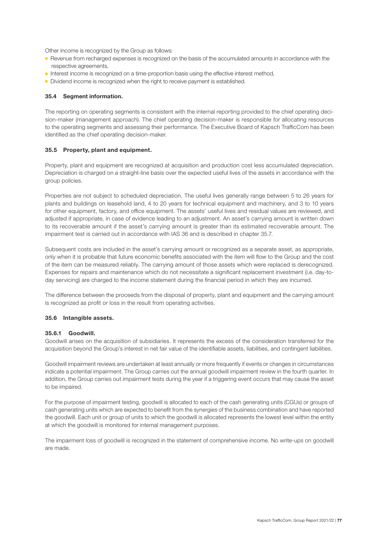Other income is recognized by the Group as follows:

- Revenue from recharged expenses is recognized on the basis of the accumulated amounts in accordance with the respective agreements,
- Interest income is recognized on a time-proportion basis using the effective interest method,
- Dividend income is recognized when the right to receive payment is established.

### 35.4 Segment information.

The reporting on operating segments is consistent with the internal reporting provided to the chief operating decision-maker (management approach). The chief operating decision-maker is responsible for allocating resources to the operating segments and assessing their performance. The Executive Board of Kapsch TrafficCom has been identified as the chief operating decision-maker.

### 35.5 Property, plant and equipment.

Property, plant and equipment are recognized at acquisition and production cost less accumulated depreciation. Depreciation is charged on a straight-line basis over the expected useful lives of the assets in accordance with the group policies.

Properties are not subject to scheduled depreciation. The useful lives generally range between 5 to 26 years for plants and buildings on leasehold land, 4 to 20 years for technical equipment and machinery, and 3 to 10 years for other equipment, factory, and office equipment. The assets' useful lives and residual values are reviewed, and adjusted if appropriate, in case of evidence leading to an adjustment. An asset's carrying amount is written down to its recoverable amount if the asset's carrying amount is greater than its estimated recoverable amount. The impairment test is carried out in accordance with IAS 36 and is described in chapter 35.7.

Subsequent costs are included in the asset's carrying amount or recognized as a separate asset, as appropriate, only when it is probable that future economic benefits associated with the item will flow to the Group and the cost of the item can be measured reliably. The carrying amount of those assets which were replaced is derecognized. Expenses for repairs and maintenance which do not necessitate a significant replacement investment (i.e. day-today servicing) are charged to the income statement during the financial period in which they are incurred.

The difference between the proceeds from the disposal of property, plant and equipment and the carrying amount is recognized as profit or loss in the result from operating activities.

## 35.6 Intangible assets.

### 35.6.1 Goodwill.

Goodwill arises on the acquisition of subsidiaries. It represents the excess of the consideration transferred for the acquisition beyond the Group's interest in net fair value of the identifiable assets, liabilities, and contingent liabilities.

Goodwill impairment reviews are undertaken at least annually or more frequently if events or changes in circumstances indicate a potential impairment. The Group carries out the annual goodwill impairment review in the fourth quarter. In addition, the Group carries out impairment tests during the year if a triggering event occurs that may cause the asset to be impaired.

For the purpose of impairment testing, goodwill is allocated to each of the cash generating units (CGUs) or groups of cash generating units which are expected to benefit from the synergies of the business combination and have reported the goodwill. Each unit or group of units to which the goodwill is allocated represents the lowest level within the entity at which the goodwill is monitored for internal management purposes.

The impairment loss of goodwill is recognized in the statement of comprehensive income. No write-ups on goodwill are made.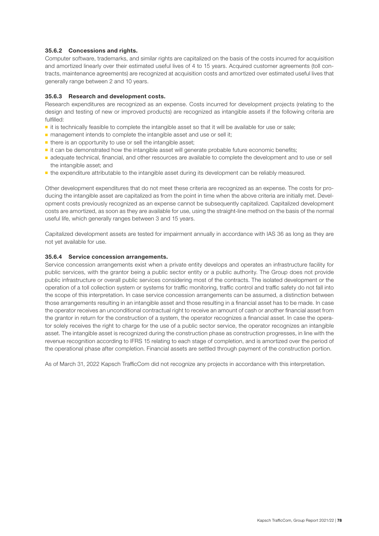## 35.6.2 Concessions and rights.

Computer software, trademarks, and similar rights are capitalized on the basis of the costs incurred for acquisition and amortized linearly over their estimated useful lives of 4 to 15 years. Acquired customer agreements (toll contracts, maintenance agreements) are recognized at acquisition costs and amortized over estimated useful lives that generally range between 2 and 10 years.

## 35.6.3 Research and development costs.

Research expenditures are recognized as an expense. Costs incurred for development projects (relating to the design and testing of new or improved products) are recognized as intangible assets if the following criteria are fulfilled:

- it is technically feasible to complete the intangible asset so that it will be available for use or sale;
- management intends to complete the intangible asset and use or sell it;
- there is an opportunity to use or sell the intangible asset;
- it can be demonstrated how the intangible asset will generate probable future economic benefits;
- adequate technical, financial, and other resources are available to complete the development and to use or sell the intangible asset; and
- the expenditure attributable to the intangible asset during its development can be reliably measured.

Other development expenditures that do not meet these criteria are recognized as an expense. The costs for producing the intangible asset are capitalized as from the point in time when the above criteria are initially met. Development costs previously recognized as an expense cannot be subsequently capitalized. Capitalized development costs are amortized, as soon as they are available for use, using the straight-line method on the basis of the normal useful life, which generally ranges between 3 and 15 years.

Capitalized development assets are tested for impairment annually in accordance with IAS 36 as long as they are not yet available for use.

### 35.6.4 Service concession arrangements.

Service concession arrangements exist when a private entity develops and operates an infrastructure facility for public services, with the grantor being a public sector entity or a public authority. The Group does not provide public infrastructure or overall public services considering most of the contracts. The isolated development or the operation of a toll collection system or systems for traffic monitoring, traffic control and traffic safety do not fall into the scope of this interpretation. In case service concession arrangements can be assumed, a distinction between those arrangements resulting in an intangible asset and those resulting in a financial asset has to be made. In case the operator receives an unconditional contractual right to receive an amount of cash or another financial asset from the grantor in return for the construction of a system, the operator recognizes a financial asset. In case the operator solely receives the right to charge for the use of a public sector service, the operator recognizes an intangible asset. The intangible asset is recognized during the construction phase as construction progresses, in line with the revenue recognition according to IFRS 15 relating to each stage of completion, and is amortized over the period of the operational phase after completion. Financial assets are settled through payment of the construction portion.

As of March 31, 2022 Kapsch TrafficCom did not recognize any projects in accordance with this interpretation.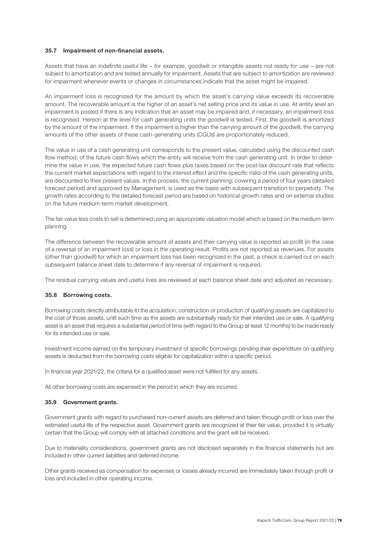### 35.7 Impairment of non-financial assets.

Assets that have an indefinite useful life – for example, goodwill or intangible assets not ready for use – are not subject to amortization and are tested annually for impairment. Assets that are subject to amortization are reviewed for impairment whenever events or changes in circumstances indicate that the asset might be impaired.

An impairment loss is recognized for the amount by which the asset's carrying value exceeds its recoverable amount. The recoverable amount is the higher of an asset's net selling price and its value in use. At entity level an impairment is posted if there is any indication that an asset may be impaired and, if necessary, an impairment loss is recognised. Hereon at the level for cash generating units the goodwill is tested. First, the goodwill is amortized by the amount of the impairment. If the impairment is higher than the carrying amount of the goodwill, the carrying amounts of the other assets of these cash-generating units (CGUs) are proportionately reduced.

The value in use of a cash generating unit corresponds to the present value, calculated using the discounted cash flow method, of the future cash flows which the entity will receive from the cash generating unit. In order to determine the value in use, the expected future cash flows plus taxes based on the post-tax discount rate that reflects the current market expectations with regard to the interest effect and the specific risks of the cash generating units, are discounted to their present values. In the process, the current planning, covering a period of four years (detailed forecast period) and approved by Management, is used as the basis with subsequent transition to perpetuity. The growth rates according to the detailed forecast period are based on historical growth rates and on external studies on the future medium-term market development.

The fair value less costs to sell is determined using an appropriate valuation model which is based on the medium-term planning.

The difference between the recoverable amount of assets and their carrying value is reported as profit (in the case of a reversal of an impairment loss) or loss in the operating result. Profits are not reported as revenues. For assets (other than goodwill) for which an impairment loss has been recognized in the past, a check is carried out on each subsequent balance sheet date to determine if any reversal of impairment is required.

The residual carrying values and useful lives are reviewed at each balance sheet date and adjusted as necessary.

### 35.8 Borrowing costs.

Borrowing costs directly attributable to the acquisition, construction or production of qualifying assets are capitalized to the cost of those assets, until such time as the assets are substantially ready for their intended use or sale. A qualifying asset is an asset that requires a substantial period of time (with regard to the Group at least 12 months) to be made ready for its intended use or sale.

Investment income earned on the temporary investment of specific borrowings pending their expenditure on qualifying assets is deducted from the borrowing costs eligible for capitalization within a specific period.

In financial year 2021/22, the criteria for a qualified asset were not fulfilled for any assets.

All other borrowing costs are expensed in the period in which they are incurred.

### 35.9 Government grants.

Government grants with regard to purchased non-current assets are deferred and taken through profit or loss over the estimated useful life of the respective asset. Government grants are recognized at their fair value, provided it is virtually certain that the Group will comply with all attached conditions and the grant will be received.

Due to materiality considerations, government grants are not disclosed separately in the financial statements but are included in other current liabilities and deferred income.

Other grants received as compensation for expenses or losses already incurred are immediately taken through profit or loss and included in other operating income.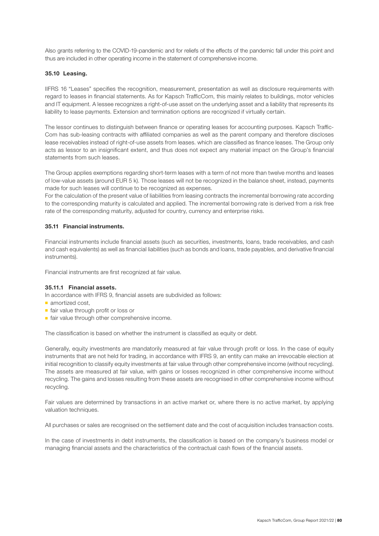Also grants referring to the COVID-19-pandemic and for reliefs of the effects of the pandemic fall under this point and thus are included in other operating income in the statement of comprehensive income.

## 35.10 Leasing.

IIFRS 16 "Leases" specifies the recognition, measurement, presentation as well as disclosure requirements with regard to leases in financial statements. As for Kapsch TrafficCom, this mainly relates to buildings, motor vehicles and IT equipment. A lessee recognizes a right-of-use asset on the underlying asset and a liability that represents its liability to lease payments. Extension and termination options are recognized if virtually certain.

The lessor continues to distinguish between finance or operating leases for accounting purposes. Kapsch Traffic-Com has sub-leasing contracts with affiliated companies as well as the parent company and therefore discloses lease receivables instead of right-of-use assets from leases. which are classified as finance leases. The Group only acts as lessor to an insignificant extent, and thus does not expect any material impact on the Group's financial statements from such leases.

The Group applies exemptions regarding short-term leases with a term of not more than twelve months and leases of low-value assets (around EUR 5 k). Those leases will not be recognized in the balance sheet, instead, payments made for such leases will continue to be recognized as expenses.

For the calculation of the present value of liabilities from leasing contracts the incremental borrowing rate according to the corresponding maturity is calculated and applied. The incremental borrowing rate is derived from a risk free rate of the corresponding maturity, adjusted for country, currency and enterprise risks.

## 35.11 Financial instruments.

Financial instruments include financial assets (such as securities, investments, loans, trade receivables, and cash and cash equivalents) as well as financial liabilities (such as bonds and loans, trade payables, and derivative financial instruments).

Financial instruments are first recognized at fair value.

### 35.11.1 Financial assets.

In accordance with IFRS 9, financial assets are subdivided as follows:

- amortized cost
- fair value through profit or loss or
- fair value through other comprehensive income.

The classification is based on whether the instrument is classified as equity or debt.

Generally, equity investments are mandatorily measured at fair value through profit or loss. In the case of equity instruments that are not held for trading, in accordance with IFRS 9, an entity can make an irrevocable election at initial recognition to classify equity investments at fair value through other comprehensive income (without recycling). The assets are measured at fair value, with gains or losses recognized in other comprehensive income without recycling. The gains and losses resulting from these assets are recognised in other comprehensive income without recycling.

Fair values are determined by transactions in an active market or, where there is no active market, by applying valuation techniques.

All purchases or sales are recognised on the settlement date and the cost of acquisition includes transaction costs.

In the case of investments in debt instruments, the classification is based on the company's business model or managing financial assets and the characteristics of the contractual cash flows of the financial assets.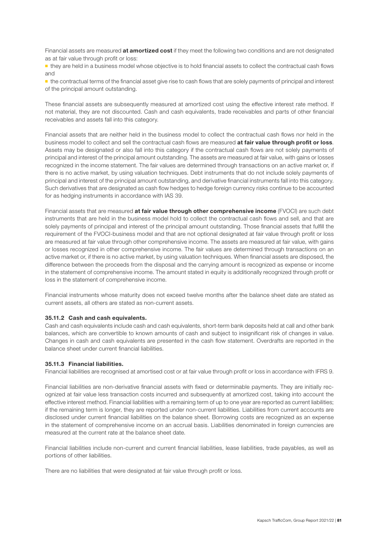Financial assets are measured at amortized cost if they meet the following two conditions and are not designated as at fair value through profit or loss:

■ they are held in a business model whose objective is to hold financial assets to collect the contractual cash flows and

■ the contractual terms of the financial asset give rise to cash flows that are solely payments of principal and interest of the principal amount outstanding.

These financial assets are subsequently measured at amortized cost using the effective interest rate method. If not material, they are not discounted. Cash and cash equivalents, trade receivables and parts of other financial receivables and assets fall into this category.

Financial assets that are neither held in the business model to collect the contractual cash flows nor held in the business model to collect and sell the contractual cash flows are measured at fair value through profit or loss. Assets may be designated or also fall into this category if the contractual cash flows are not solely payments of principal and interest of the principal amount outstanding. The assets are measured at fair value, with gains or losses recognized in the income statement. The fair values are determined through transactions on an active market or, if there is no active market, by using valuation techniques. Debt instruments that do not include solely payments of principal and interest of the principal amount outstanding, and derivative financial instruments fall into this category. Such derivatives that are designated as cash flow hedges to hedge foreign currency risks continue to be accounted for as hedging instruments in accordance with IAS 39.

Financial assets that are measured at fair value through other comprehensive income (FVOCI) are such debt instruments that are held in the business model hold to collect the contractual cash flows and sell, and that are solely payments of principal and interest of the principal amount outstanding. Those financial assets that fulfill the requirement of the FVOCI-business model and that are not optional designated at fair value through profit or loss are measured at fair value through other comprehensive income. The assets are measured at fair value, with gains or losses recognized in other comprehensive income. The fair values are determined through transactions on an active market or, if there is no active market, by using valuation techniques. When financial assets are disposed, the difference between the proceeds from the disposal and the carrying amount is recognized as expense or income in the statement of comprehensive income. The amount stated in equity is additionally recognized through profit or loss in the statement of comprehensive income.

Financial instruments whose maturity does not exceed twelve months after the balance sheet date are stated as current assets, all others are stated as non-current assets.

### 35.11.2 Cash and cash equivalents.

Cash and cash equivalents include cash and cash equivalents, short-term bank deposits held at call and other bank balances, which are convertible to known amounts of cash and subject to insignificant risk of changes in value. Changes in cash and cash equivalents are presented in the cash flow statement. Overdrafts are reported in the balance sheet under current financial liabilities.

## 35.11.3 Financial liabilities.

Financial liabilities are recognised at amortised cost or at fair value through profit or loss in accordance with IFRS 9.

Financial liabilities are non-derivative financial assets with fixed or determinable payments. They are initially recognized at fair value less transaction costs incurred and subsequently at amortized cost, taking into account the effective interest method. Financial liabilities with a remaining term of up to one year are reported as current liabilities; if the remaining term is longer, they are reported under non-current liabilities. Liabilities from current accounts are disclosed under current financial liabilities on the balance sheet. Borrowing costs are recognized as an expense in the statement of comprehensive income on an accrual basis. Liabilities denominated in foreign currencies are measured at the current rate at the balance sheet date.

Financial liabilities include non-current and current financial liabilities, lease liabilities, trade payables, as well as portions of other liabilities.

There are no liabilities that were designated at fair value through profit or loss.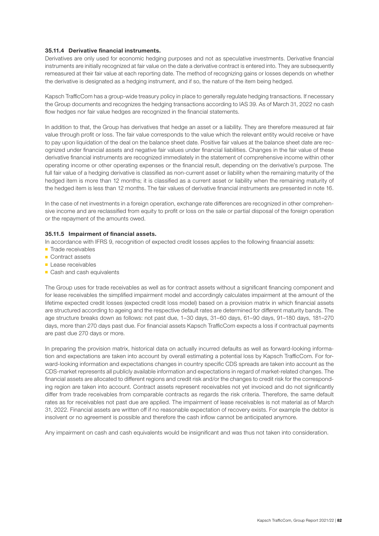## 35.11.4 Derivative financial instruments.

Derivatives are only used for economic hedging purposes and not as speculative investments. Derivative financial instruments are initially recognized at fair value on the date a derivative contract is entered into. They are subsequently remeasured at their fair value at each reporting date. The method of recognizing gains or losses depends on whether the derivative is designated as a hedging instrument, and if so, the nature of the item being hedged.

Kapsch TrafficCom has a group-wide treasury policy in place to generally regulate hedging transactions. If necessary the Group documents and recognizes the hedging transactions according to IAS 39. As of March 31, 2022 no cash flow hedges nor fair value hedges are recognized in the financial statements.

In addition to that, the Group has derivatives that hedge an asset or a liability. They are therefore measured at fair value through profit or loss. The fair value corresponds to the value which the relevant entity would receive or have to pay upon liquidation of the deal on the balance sheet date. Positive fair values at the balance sheet date are recognized under financial assets and negative fair values under financial liabilities. Changes in the fair value of these derivative financial instruments are recognized immediately in the statement of comprehensive income within other operating income or other operating expenses or the financial result, depending on the derivative's purpose. The full fair value of a hedging derivative is classified as non-current asset or liability when the remaining maturity of the hedged item is more than 12 months; it is classified as a current asset or liability when the remaining maturity of the hedged item is less than 12 months. The fair values of derivative financial instruments are presented in note 16.

In the case of net investments in a foreign operation, exchange rate differences are recognized in other comprehensive income and are reclassified from equity to profit or loss on the sale or partial disposal of the foreign operation or the repayment of the amounts owed.

### 35.11.5 Impairment of financial assets.

In accordance with IFRS 9, recognition of expected credit losses applies to the following finaancial assets:

- Trade receivables
- Contract assets
- Lease receivables
- Cash and cash equivalents

The Group uses for trade receivables as well as for contract assets without a significant financing component and for lease receivables the simplified impairment model and accordingly calculates impairment at the amount of the lifetime expected credit losses (expected credit loss model) based on a provision matrix in which financial assets are structured according to ageing and the respective default rates are determined for different maturity bands. The age structure breaks down as follows: not past due, 1–30 days, 31–60 days, 61–90 days, 91–180 days, 181–270 days, more than 270 days past due. For financial assets Kapsch TrafficCom expects a loss if contractual payments are past due 270 days or more.

In preparing the provision matrix, historical data on actually incurred defaults as well as forward-looking information and expectations are taken into account by overall estimating a potential loss by Kapsch TrafficCom. For forward-looking information and expectations changes in country specific CDS spreads are taken into account as the CDS-market represents all publicly available information and expectations in regard of market-related changes. The financial assets are allocated to different regions and credit risk and/or the changes to credit risk for the corresponding region are taken into account. Contract assets represent receivables not yet invoiced and do not significantly differ from trade receivables from comparable contracts as regards the risk criteria. Therefore, the same default rates as for receivables not past due are applied. The impairment of lease receivables is not material as of March 31, 2022. Financial assets are written off if no reasonable expectation of recovery exists. For example the debtor is insolvent or no agreement is possible and therefore the cash inflow cannot be anticipated anymore.

Any impairment on cash and cash equivalents would be insignificant and was thus not taken into consideration.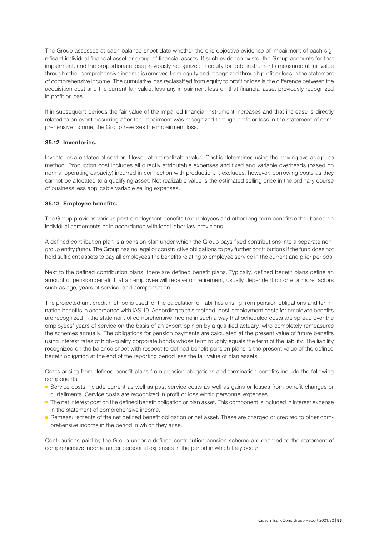The Group assesses at each balance sheet date whether there is objective evidence of impairment of each significant individual financial asset or group of financial assets. If such evidence exists, the Group accounts for that impairment, and the proportionate loss previously recognized in equity for debt instruments measured at fair value through other comprehensive income is removed from equity and recognized through profit or loss in the statement of comprehensive income. The cumulative loss reclassified from equity to profit or loss is the difference between the acquisition cost and the current fair value, less any impairment loss on that financial asset previously recognized in profit or loss.

If in subsequent periods the fair value of the impaired financial instrument increases and that increase is directly related to an event occurring after the impairment was recognized through profit or loss in the statement of comprehensive income, the Group reverses the impairment loss.

## 35.12 Inventories.

Inventories are stated at cost or, if lower, at net realizable value. Cost is determined using the moving average price method. Production cost includes all directly attributable expenses and fixed and variable overheads (based on normal operating capacity) incurred in connection with production. It excludes, however, borrowing costs as they cannot be allocated to a qualifying asset. Net realizable value is the estimated selling price in the ordinary course of business less applicable variable selling expenses.

## 35.13 Employee benefits.

The Group provides various post-employment benefits to employees and other long-term benefits either based on individual agreements or in accordance with local labor law provisions.

A defined contribution plan is a pension plan under which the Group pays fixed contributions into a separate nongroup entity (fund). The Group has no legal or constructive obligations to pay further contributions if the fund does not hold sufficient assets to pay all employees the benefits relating to employee service in the current and prior periods.

Next to the defined contribution plans, there are defined benefit plans. Typically, defined benefit plans define an amount of pension benefit that an employee will receive on retirement, usually dependent on one or more factors such as age, years of service, and compensation.

The projected unit credit method is used for the calculation of liabilities arising from pension obligations and termination benefits in accordance with IAS 19. According to this method, post-employment costs for employee benefits are recognized in the statement of comprehensive income in such a way that scheduled costs are spread over the employees' years of service on the basis of an expert opinion by a qualified actuary, who completely remeasures the schemes annually. The obligations for pension payments are calculated at the present value of future benefits using interest rates of high-quality corporate bonds whose term roughly equals the term of the liability. The liability recognized on the balance sheet with respect to defined benefit pension plans is the present value of the defined benefit obligation at the end of the reporting period less the fair value of plan assets.

Costs arising from defined benefit plans from pension obligations and termination benefits include the following components:

- Service costs include current as well as past service costs as well as gains or losses from benefit changes or curtailments. Service costs are recognized in profit or loss within personnel expenses.
- The net interest cost on the defined benefit obligation or plan asset. This component is included in interest expense in the statement of comprehensive income.
- Remeasurements of the net defined benefit obligation or net asset. These are charged or credited to other comprehensive income in the period in which they arise.

Contributions paid by the Group under a defined contribution pension scheme are charged to the statement of comprehensive income under personnel expenses in the period in which they occur.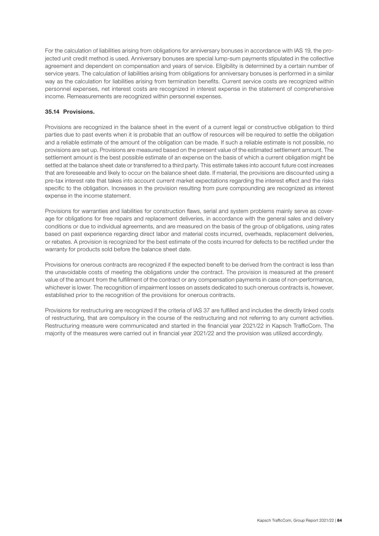For the calculation of liabilities arising from obligations for anniversary bonuses in accordance with IAS 19, the projected unit credit method is used. Anniversary bonuses are special lump-sum payments stipulated in the collective agreement and dependent on compensation and years of service. Eligibility is determined by a certain number of service years. The calculation of liabilities arising from obligations for anniversary bonuses is performed in a similar way as the calculation for liabilities arising from termination benefits. Current service costs are recognized within personnel expenses, net interest costs are recognized in interest expense in the statement of comprehensive income. Remeasurements are recognized within personnel expenses.

## 35.14 Provisions.

Provisions are recognized in the balance sheet in the event of a current legal or constructive obligation to third parties due to past events when it is probable that an outflow of resources will be required to settle the obligation and a reliable estimate of the amount of the obligation can be made. If such a reliable estimate is not possible, no provisions are set up. Provisions are measured based on the present value of the estimated settlement amount. The settlement amount is the best possible estimate of an expense on the basis of which a current obligation might be settled at the balance sheet date or transferred to a third party. This estimate takes into account future cost increases that are foreseeable and likely to occur on the balance sheet date. If material, the provisions are discounted using a pre-tax interest rate that takes into account current market expectations regarding the interest effect and the risks specific to the obligation. Increases in the provision resulting from pure compounding are recognized as interest expense in the income statement.

Provisions for warranties and liabilities for construction flaws, serial and system problems mainly serve as coverage for obligations for free repairs and replacement deliveries, in accordance with the general sales and delivery conditions or due to individual agreements, and are measured on the basis of the group of obligations, using rates based on past experience regarding direct labor and material costs incurred, overheads, replacement deliveries, or rebates. A provision is recognized for the best estimate of the costs incurred for defects to be rectified under the warranty for products sold before the balance sheet date.

Provisions for onerous contracts are recognized if the expected benefit to be derived from the contract is less than the unavoidable costs of meeting the obligations under the contract. The provision is measured at the present value of the amount from the fulfillment of the contract or any compensation payments in case of non-performance, whichever is lower. The recognition of impairment losses on assets dedicated to such onerous contracts is, however, established prior to the recognition of the provisions for onerous contracts.

Provisions for restructuring are recognized if the criteria of IAS 37 are fulfilled and includes the directly linked costs of restructuring, that are compulsory in the course of the restructuring and not referring to any current activities. Restructuring measure were communicated and started in the financial year 2021/22 in Kapsch TrafficCom. The majority of the measures were carried out in financial year 2021/22 and the provision was utilized accordingly.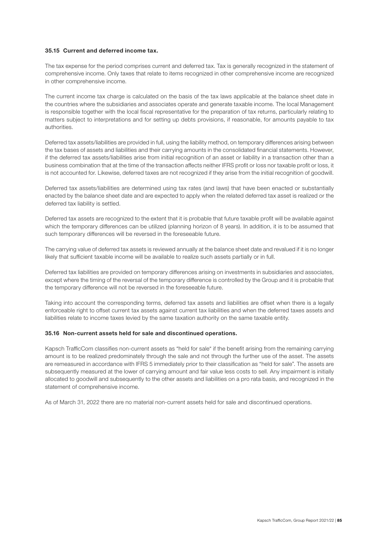## 35.15 Current and deferred income tax.

The tax expense for the period comprises current and deferred tax. Tax is generally recognized in the statement of comprehensive income. Only taxes that relate to items recognized in other comprehensive income are recognized in other comprehensive income.

The current income tax charge is calculated on the basis of the tax laws applicable at the balance sheet date in the countries where the subsidiaries and associates operate and generate taxable income. The local Management is responsible together with the local fiscal representative for the preparation of tax returns, particularly relating to matters subject to interpretations and for setting up debts provisions, if reasonable, for amounts payable to tax authorities.

Deferred tax assets/liabilities are provided in full, using the liability method, on temporary differences arising between the tax bases of assets and liabilities and their carrying amounts in the consolidated financial statements. However, if the deferred tax assets/liabilities arise from initial recognition of an asset or liability in a transaction other than a business combination that at the time of the transaction affects neither IFRS profit or loss nor taxable profit or loss, it is not accounted for. Likewise, deferred taxes are not recognized if they arise from the initial recognition of goodwill.

Deferred tax assets/liabilities are determined using tax rates (and laws) that have been enacted or substantially enacted by the balance sheet date and are expected to apply when the related deferred tax asset is realized or the deferred tax liability is settled.

Deferred tax assets are recognized to the extent that it is probable that future taxable profit will be available against which the temporary differences can be utilized (planning horizon of 8 years). In addition, it is to be assumed that such temporary differences will be reversed in the foreseeable future.

The carrying value of deferred tax assets is reviewed annually at the balance sheet date and revalued if it is no longer likely that sufficient taxable income will be available to realize such assets partially or in full.

Deferred tax liabilities are provided on temporary differences arising on investments in subsidiaries and associates, except where the timing of the reversal of the temporary difference is controlled by the Group and it is probable that the temporary difference will not be reversed in the foreseeable future.

Taking into account the corresponding terms, deferred tax assets and liabilities are offset when there is a legally enforceable right to offset current tax assets against current tax liabilities and when the deferred taxes assets and liabilities relate to income taxes levied by the same taxation authority on the same taxable entity.

### 35.16 Non-current assets held for sale and discontinued operations.

Kapsch TrafficCom classifies non-current assets as "held for sale" if the benefit arising from the remaining carrying amount is to be realized predominately through the sale and not through the further use of the asset. The assets are remeasured in accordance with IFRS 5 immediately prior to their classification as "held for sale". The assets are subsequently measured at the lower of carrying amount and fair value less costs to sell. Any impairment is initially allocated to goodwill and subsequently to the other assets and liabilities on a pro rata basis, and recognized in the statement of comprehensive income.

As of March 31, 2022 there are no material non-current assets held for sale and discontinued operations.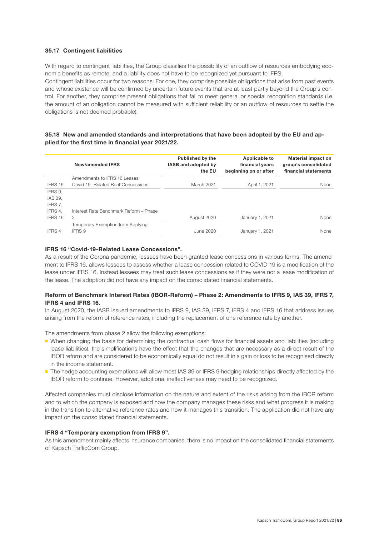## 35.17 Contingent liabilities

With regard to contingent liabilities, the Group classifies the possibility of an outflow of resources embodying economic benefits as remote, and a liability does not have to be recognized yet pursuant to IFRS.

Contingent liabilities occur for two reasons. For one, they comprise possible obligations that arise from past events and whose existence will be confirmed by uncertain future events that are at least partly beyond the Group's control. For another, they comprise present obligations that fail to meet general or special recognition standards (i.e. the amount of an obligation cannot be measured with sufficient reliability or an outflow of resources to settle the obligations is not deemed probable).

## 35.18 New and amended standards and interpretations that have been adopted by the EU and applied for the first time in financial year 2021/22.

| <b>New/amended IFRS</b>                | <b>Published by the</b><br>IASB and adopted by<br>the EU | Applicable to<br>financial years<br>beginning on or after | <b>Material impact on</b><br>group's consolidated<br>financial statements |
|----------------------------------------|----------------------------------------------------------|-----------------------------------------------------------|---------------------------------------------------------------------------|
| Amendments to IFRS 16 Leases:          |                                                          |                                                           |                                                                           |
| Covid-19- Related Rent Concessions     | March 2021                                               | April 1, 2021                                             | None                                                                      |
|                                        |                                                          |                                                           |                                                                           |
|                                        |                                                          |                                                           |                                                                           |
|                                        |                                                          |                                                           |                                                                           |
| Interest Rate Benchmark Reform - Phase |                                                          |                                                           |                                                                           |
| $\mathfrak{D}$                         | August 2020                                              | January 1, 2021                                           | None                                                                      |
| Temporary Exemption from Applying      |                                                          |                                                           |                                                                           |
| IFRS 9                                 | June 2020                                                | January 1, 2021                                           | None                                                                      |
|                                        |                                                          |                                                           |                                                                           |

## IFRS 16 "Covid-19-Related Lease Concessions".

As a result of the Corona pandemic, lessees have been granted lease concessions in various forms. The amendment to IFRS 16, allows lessees to assess whether a lease concession related to COVID-19 is a modification of the lease under IFRS 16. Instead lessees may treat such lease concessions as if they were not a lease modification of the lease. The adoption did not have any impact on the consolidated financial statements.

## Reform of Benchmark Interest Rates (IBOR-Reform) – Phase 2: Amendments to IFRS 9, IAS 39, IFRS 7, IFRS 4 and IFRS 16.

In August 2020, the IASB issued amendments to IFRS 9, IAS 39, IFRS 7, IFRS 4 and IFRS 16 that address issues arising from the reform of reference rates, including the replacement of one reference rate by another.

The amendments from phase 2 allow the following exemptions:

- When changing the basis for determining the contractual cash flows for financial assets and liabilities (including lease liabilities), the simplifications have the effect that the changes that are necessary as a direct result of the IBOR reform and are considered to be economically equal do not result in a gain or loss to be recognised directly in the income statement.
- The hedge accounting exemptions will allow most IAS 39 or IFRS 9 hedging relationships directly affected by the IBOR reform to continue. However, additional ineffectiveness may need to be recognized.

Affected companies must disclose information on the nature and extent of the risks arising from the IBOR reform and to which the company is exposed and how the company manages these risks and what progress it is making in the transition to alternative reference rates and how it manages this transition. The application did not have any impact on the consolidated financial statements.

### IFRS 4 "Temporary exemption from IFRS 9".

As this amendment mainly affects insurance companies, there is no impact on the consolidated financial statements of Kapsch TrafficCom Group.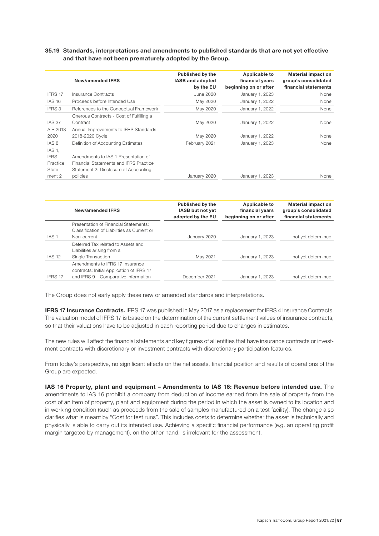## 35.19 Standards, interpretations and amendments to published standards that are not yet effective and that have not been prematurely adopted by the Group.

|                                                       | New/amended IFRS                                                                                                                          | <b>Published by the</b><br>IASB and adopted<br>by the EU | Applicable to<br>financial years<br>beginning on or after | <b>Material impact on</b><br>group's consolidated<br>financial statements |
|-------------------------------------------------------|-------------------------------------------------------------------------------------------------------------------------------------------|----------------------------------------------------------|-----------------------------------------------------------|---------------------------------------------------------------------------|
| IFRS 17                                               | Insurance Contracts                                                                                                                       | June 2020                                                | January 1, 2023                                           | None                                                                      |
| <b>IAS 16</b>                                         | Proceeds before Intended Use                                                                                                              | May 2020                                                 | January 1, 2022                                           | None                                                                      |
| IFRS 3                                                | References to the Conceptual Framework                                                                                                    | May 2020                                                 | January 1, 2022                                           | None                                                                      |
| IAS 37                                                | Onerous Contracts - Cost of Fulfilling a<br>Contract                                                                                      | May 2020                                                 | January 1, 2022                                           | None                                                                      |
| AIP 2018-<br>2020                                     | Annual Improvements to IFRS Standards<br>2018-2020 Cycle                                                                                  | May 2020                                                 | January 1, 2022                                           | None                                                                      |
| IAS <sub>8</sub>                                      | Definition of Accounting Estimates                                                                                                        | February 2021                                            | January 1, 2023                                           | None                                                                      |
| IAS 1,<br><b>IFRS</b><br>Practice<br>State-<br>ment 2 | Amendments to IAS 1 Presentation of<br><b>Financial Statements and IFRS Practice</b><br>Statement 2: Disclosure of Accounting<br>policies | January 2020                                             | January 1, 2023                                           | None                                                                      |

|                  | <b>New/amended IFRS</b>                                                                                              | <b>Published by the</b><br>IASB but not yet<br>adopted by the EU | Applicable to<br>financial years<br>beginning on or after | <b>Material impact on</b><br>group's consolidated<br>financial statements |
|------------------|----------------------------------------------------------------------------------------------------------------------|------------------------------------------------------------------|-----------------------------------------------------------|---------------------------------------------------------------------------|
| IAS <sub>1</sub> | Presentation of Financial Statements:<br>Classification of Liabilities as Current or<br>Non-current                  | January 2020                                                     | January 1, 2023                                           | not yet determined                                                        |
| <b>IAS 12</b>    | Deferred Tax related to Assets and<br>Liabilities arising from a<br>Single Transaction                               | May 2021                                                         | January 1, 2023                                           | not yet determined                                                        |
| IFRS 17          | Amendments to IFRS 17 Insurance<br>contracts: Initial Application of IFRS 17<br>and IFRS 9 - Comparative Information | December 2021                                                    | January 1, 2023                                           | not yet determined                                                        |

The Group does not early apply these new or amended standards and interpretations.

**IFRS 17 Insurance Contracts.** IFRS 17 was published in May 2017 as a replacement for IFRS 4 Insurance Contracts. The valuation model of IFRS 17 is based on the determination of the current settlement values of insurance contracts, so that their valuations have to be adjusted in each reporting period due to changes in estimates.

The new rules will affect the financial statements and key figures of all entities that have insurance contracts or investment contracts with discretionary or investment contracts with discretionary participation features.

From today's perspective, no significant effects on the net assets, financial position and results of operations of the Group are expected.

IAS 16 Property, plant and equipment – Amendments to IAS 16: Revenue before intended use. The amendments to IAS 16 prohibit a company from deduction of income earned from the sale of property from the cost of an item of property, plant and equipment during the period in which the asset is owned to its location and in working condition (such as proceeds from the sale of samples manufactured on a test facility). The change also clarifies what is meant by "Cost for test runs". This includes costs to determine whether the asset is technically and physically is able to carry out its intended use. Achieving a specific financial performance (e.g. an operating profit margin targeted by management), on the other hand, is irrelevant for the assessment.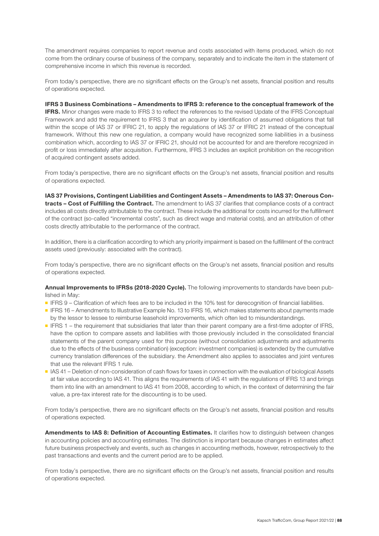The amendment requires companies to report revenue and costs associated with items produced, which do not come from the ordinary course of business of the company, separately and to indicate the item in the statement of comprehensive income in which this revenue is recorded.

From today's perspective, there are no significant effects on the Group's net assets, financial position and results of operations expected.

## IFRS 3 Business Combinations – Amendments to IFRS 3: reference to the conceptual framework of the

**IFRS.** Minor changes were made to IFRS 3 to reflect the references to the revised Update of the IFRS Conceptual Framework and add the requirement to IFRS 3 that an acquirer by identification of assumed obligations that fall within the scope of IAS 37 or IFRIC 21, to apply the regulations of IAS 37 or IFRIC 21 instead of the conceptual framework. Without this new one regulation, a company would have recognized some liabilities in a business combination which, according to IAS 37 or IFRIC 21, should not be accounted for and are therefore recognized in profit or loss immediately after acquisition. Furthermore, IFRS 3 includes an explicit prohibition on the recognition of acquired contingent assets added.

From today's perspective, there are no significant effects on the Group's net assets, financial position and results of operations expected.

IAS 37 Provisions, Contingent Liabilities and Contingent Assets – Amendments to IAS 37: Onerous Contracts – Cost of Fulfilling the Contract. The amendment to IAS 37 clarifies that compliance costs of a contract includes all costs directly attributable to the contract. These include the additional for costs incurred for the fulfillment of the contract (so-called "incremental costs", such as direct wage and material costs), and an attribution of other costs directly attributable to the performance of the contract.

In addition, there is a clarification according to which any priority impairment is based on the fulfillment of the contract assets used (previously: associated with the contract).

From today's perspective, there are no significant effects on the Group's net assets, financial position and results of operations expected.

Annual Improvements to IFRSs (2018-2020 Cycle). The following improvements to standards have been published in May:

- IFRS 9 Clarification of which fees are to be included in the 10% test for derecognition of financial liabilities.
- IFRS 16 Amendments to Illustrative Example No. 13 to IFRS 16, which makes statements about payments made by the lessor to lessee to reimburse leasehold improvements, which often led to misunderstandings.
- IFRS 1 the requirement that subsidiaries that later than their parent company are a first-time adopter of IFRS, have the option to compare assets and liabilities with those previously included in the consolidated financial statements of the parent company used for this purpose (without consolidation adjustments and adjustments due to the effects of the business combination) (exception: investment companies) is extended by the cumulative currency translation differences of the subsidiary. the Amendment also applies to associates and joint ventures that use the relevant IFRS 1 rule.
- IAS 41 Deletion of non-consideration of cash flows for taxes in connection with the evaluation of biological Assets at fair value according to IAS 41. This aligns the requirements of IAS 41 with the regulations of IFRS 13 and brings them into line with an amendment to IAS 41 from 2008, according to which, in the context of determining the fair value, a pre-tax interest rate for the discounting is to be used.

From today's perspective, there are no significant effects on the Group's net assets, financial position and results of operations expected.

Amendments to IAS 8: Definition of Accounting Estimates. It clarifies how to distinguish between changes in accounting policies and accounting estimates. The distinction is important because changes in estimates affect future business prospectively and events, such as changes in accounting methods, however, retrospectively to the past transactions and events and the current period are to be applied.

From today's perspective, there are no significant effects on the Group's net assets, financial position and results of operations expected.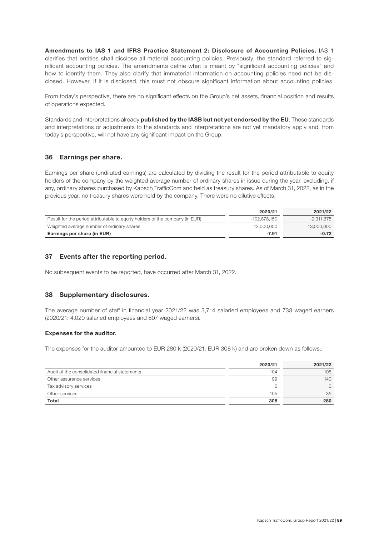Amendments to IAS 1 and IFRS Practice Statement 2: Disclosure of Accounting Policies. IAS 1 clarifies that entities shall disclose all material accounting policies. Previously, the standard referred to significant accounting policies. The amendments define what is meant by "significant accounting policies" and how to identify them. They also clarify that immaterial information on accounting policies need not be disclosed. However, if it is disclosed, this must not obscure significant information about accounting policies.

From today's perspective, there are no significant effects on the Group's net assets, financial position and results of operations expected.

Standards and interpretations already published by the IASB but not yet endorsed by the EU: These standards and interpretations or adjustments to the standards and interpretations are not yet mandatory apply and, from today's perspective, will not have any significant impact on the Group.

# 36 Earnings per share.

Earnings per share (undiluted earnings) are calculated by dividing the result for the period attributable to equity holders of the company by the weighted average number of ordinary shares in issue during the year, excluding, if any, ordinary shares purchased by Kapsch TrafficCom and held as treasury shares. As of March 31, 2022, as in the previous year, no treasury shares were held by the company. There were no dilutive effects.

|                                                                              | 2020/21        | 2021/22      |
|------------------------------------------------------------------------------|----------------|--------------|
| Result for the period attributable to equity holders of the company (in EUR) | $-102.878.150$ | $-9.311.675$ |
| Weighted average number of ordinary shares                                   | 13.000.000     | 13.000.000   |
| Earnings per share (in EUR)                                                  | $-7.91$        | $-0.72$      |

# 37 Events after the reporting period.

No subsequent events to be reported, have occurred after March 31, 2022.

## 38 Supplementary disclosures.

The average number of staff in financial year 2021/22 was 3,714 salaried employees and 733 waged earners (2020/21: 4,020 salaried employees and 807 waged earners).

### Expenses for the auditor.

The expenses for the auditor amounted to EUR 280 k (2020/21: EUR 308 k) and are broken down as follows::

|                                                | 2020/21 | 2021/22 |
|------------------------------------------------|---------|---------|
| Audit of the consolidated financial statements | 104     | 105     |
| Other assurance services                       | 99      | 140     |
| Tax advisory services                          |         |         |
| Other services                                 | 105     | 35      |
| <b>Total</b>                                   | 308     | 280     |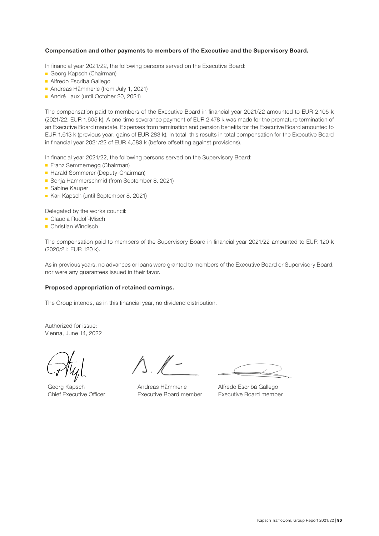## Compensation and other payments to members of the Executive and the Supervisory Board.

In financial year 2021/22, the following persons served on the Executive Board:

- Georg Kapsch (Chairman)
- Alfredo Escribá Gallego
- Andreas Hämmerle (from July 1, 2021)
- André Laux (until October 20, 2021)

The compensation paid to members of the Executive Board in financial year 2021/22 amounted to EUR 2,105 k (2021/22: EUR 1,605 k). A one-time severance payment of EUR 2,478 k was made for the premature termination of an Executive Board mandate. Expenses from termination and pension benefits for the Executive Board amounted to EUR 1,613 k (previous year: gains of EUR 283 k). In total, this results in total compensation for the Executive Board in financial year 2021/22 of EUR 4,583 k (before offsetting against provisions).

In financial year 2021/22, the following persons served on the Supervisory Board:

- Franz Semmernegg (Chairman)
- Harald Sommerer (Deputy-Chairman)
- Sonja Hammerschmid (from September 8, 2021)
- Sabine Kauper
- Kari Kapsch (until September 8, 2021)

Delegated by the works council:

- Claudia Rudolf-Misch
- Christian Windisch

The compensation paid to members of the Supervisory Board in financial year 2021/22 amounted to EUR 120 k (2020/21: EUR 120 k).

As in previous years, no advances or loans were granted to members of the Executive Board or Supervisory Board, nor were any guarantees issued in their favor.

### Proposed appropriation of retained earnings.

The Group intends, as in this financial year, no dividend distribution.

Authorized for issue: Vienna, June 14, 2022

Georg Kapsch Chief Executive Officer

 $\mathbb{Z}$ 

Andreas Hämmerle Executive Board member

Alfredo Escribá Gallego Executive Board member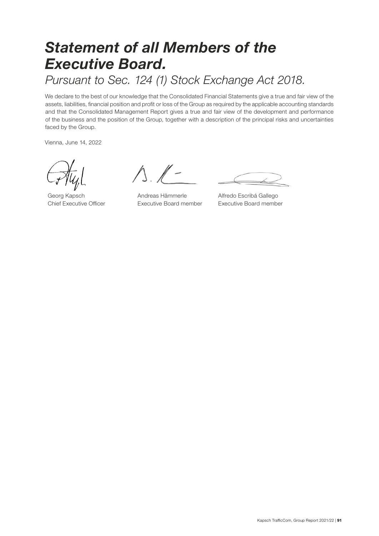# *Statement of all Members of the Executive Board.*

*Pursuant to Sec. 124 (1) Stock Exchange Act 2018.*

We declare to the best of our knowledge that the Consolidated Financial Statements give a true and fair view of the assets, liabilities, financial position and profit or loss of the Group as required by the applicable accounting standards and that the Consolidated Management Report gives a true and fair view of the development and performance of the business and the position of the Group, together with a description of the principal risks and uncertainties faced by the Group.

Vienna, June 14, 2022

Georg Kapsch Chief Executive Officer

Andreas Hämmerle Executive Board member

Alfredo Escribá Gallego Executive Board member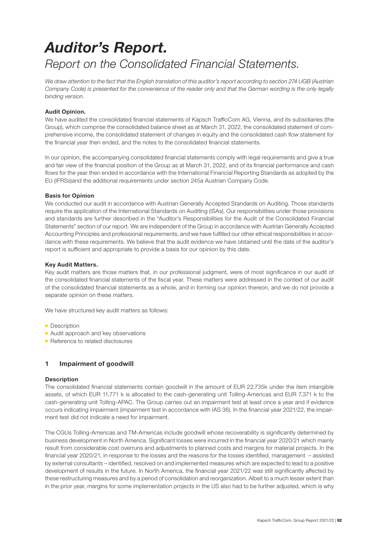# *Auditor's Report. Report on the Consolidated Financial Statements.*

*We draw attention to the fact that the English translation of this auditor's report according to section 274 UGB (Austrian Company Code) is presented for the convenience of the reader only and that the German wording is the only legally binding version.* 

## Audit Opinion.

We have audited the consolidated financial statements of Kapsch TrafficCom AG, Vienna, and its subsidiaries (the Group), which comprise the consolidated balance sheet as at March 31, 2022, the consolidated statement of comprehensive income, the consolidated statement of changes in equity and the consolidated cash flow statement for the financial year then ended, and the notes to the consolidated financial statements.

In our opinion, the accompanying consolidated financial statements comply with legal requirements and give a true and fair view of the financial position of the Group as at March 31, 2022, and of its financial performance and cash flows for the year then ended in accordance with the International Financial Reporting Standards as adopted by the EU (IFRSs)and the additional requirements under section 245a Austrian Company Code.

## Basis for Opinion

We conducted our audit in accordance with Austrian Generally Accepted Standards on Auditing. Those standards require the application of the International Standards on Auditing (ISAs). Our responsibilities under those provisions and standards are further described in the "Auditor's Responsibilities for the Audit of the Consolidated Financial Statements" section of our report. We are independent of the Group in accordance with Austrian Generally Accepted Accounting Principles and professional requirements, and we have fulfilled our other ethical responsibilities in accordance with these requirements. We believe that the audit evidence we have obtained until the date of the auditor's report is sufficient and appropriate to provide a basis for our opinion by this date.

## Key Audit Matters.

Key audit matters are those matters that, in our professional judgment, were of most significance in our audit of the consolidated financial statements of the fiscal year. These matters were addressed in the context of our audit of the consolidated financial statements as a whole, and in forming our opinion thereon, and we do not provide a separate opinion on these matters.

We have structured key audit matters as follows:

- Description
- Audit approach and key observations
- Reference to related disclosures

# 1 Impairment of goodwill

## Description

The consolidated financial statements contain goodwill in the amount of EUR 22,735k under the item intangible assets, of which EUR 11,771 k is allocated to the cash-generating unit Tolling-Americas and EUR 7,371 k to the cash-generating unit Tolling-APAC. The Group carries out an impairment test at least once a year and if evidence occurs indicating impairment (impairment test in accordance with IAS 36). In the financial year 2021/22, the impairment test did not indicate a need for impairment.

The CGUs Tolling-Americas and TM-Americas include goodwill whose recoverability is significantly determined by business development in North America. Significant losses were incurred in the financial year 2020/21 which mainly result from considerable cost overruns and adjustments to planned costs and margins for material projects. In the financial year 2020/21, in response to the losses and the reasons for the losses identified, management – assisted by external consultants – identified, resolved on and implemented measures which are expected to lead to a positive development of results in the future. In North America, the financial year 2021/22 was still significantly affected by these restructuring measures and by a period of consolidation and reorganization. Albeit to a much lesser extent than in the prior year, margins for some implementation projects in the US also had to be further adjusted, which is why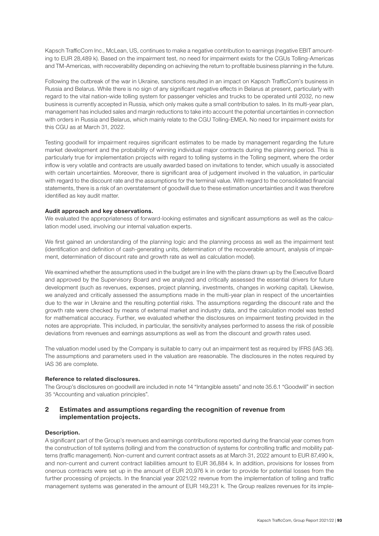Kapsch TrafficCom Inc., McLean, US, continues to make a negative contribution to earnings (negative EBIT amounting to EUR 28,489 k). Based on the impairment test, no need for impairment exists for the CGUs Tolling-Americas and TM-Americas, with recoverability depending on achieving the return to profitable business planning in the future.

Following the outbreak of the war in Ukraine, sanctions resulted in an impact on Kapsch TrafficCom's business in Russia and Belarus. While there is no sign of any significant negative effects in Belarus at present, particularly with regard to the vital nation-wide tolling system for passenger vehicles and trucks to be operated until 2032, no new business is currently accepted in Russia, which only makes quite a small contribution to sales. In its multi-year plan, management has included sales and margin reductions to take into account the potential uncertainties in connection with orders in Russia and Belarus, which mainly relate to the CGU Tolling-EMEA. No need for impairment exists for this CGU as at March 31, 2022.

Testing goodwill for impairment requires significant estimates to be made by management regarding the future market development and the probability of winning individual major contracts during the planning period. This is particularly true for implementation projects with regard to tolling systems in the Tolling segment, where the order inflow is very volatile and contracts are usually awarded based on invitations to tender, which usually is associated with certain uncertainties. Moreover, there is significant area of judgement involved in the valuation, in particular with regard to the discount rate and the assumptions for the terminal value. With regard to the consolidated financial statements, there is a risk of an overstatement of goodwill due to these estimation uncertainties and it was therefore identified as key audit matter.

## Audit approach and key observations.

We evaluated the appropriateness of forward-looking estimates and significant assumptions as well as the calculation model used, involving our internal valuation experts.

We first gained an understanding of the planning logic and the planning process as well as the impairment test (identification and definition of cash-generating units, determination of the recoverable amount, analysis of impairment, determination of discount rate and growth rate as well as calculation model).

We examined whether the assumptions used in the budget are in line with the plans drawn up by the Executive Board and approved by the Supervisory Board and we analyzed and critically assessed the essential drivers for future development (such as revenues, expenses, project planning, investments, changes in working capital). Likewise, we analyzed and critically assessed the assumptions made in the multi-year plan in respect of the uncertainties due to the war in Ukraine and the resulting potential risks. The assumptions regarding the discount rate and the growth rate were checked by means of external market and industry data, and the calculation model was tested for mathematical accuracy. Further, we evaluated whether the disclosures on impairment testing provided in the notes are appropriate. This included, in particular, the sensitivity analyses performed to assess the risk of possible deviations from revenues and earnings assumptions as well as from the discount and growth rates used.

The valuation model used by the Company is suitable to carry out an impairment test as required by IFRS (IAS 36). The assumptions and parameters used in the valuation are reasonable. The disclosures in the notes required by IAS 36 are complete.

## Reference to related disclosures.

The Group's disclosures on goodwill are included in note 14 "Intangible assets" and note 35.6.1 "Goodwill" in section 35 "Accounting and valuation principles".

# 2 Estimates and assumptions regarding the recognition of revenue from implementation projects.

### Description.

A significant part of the Group's revenues and earnings contributions reported during the financial year comes from the construction of toll systems (tolling) and from the construction of systems for controlling traffic and mobility patterns (traffic management). Non-current and current contract assets as at March 31, 2022 amount to EUR 87,490 k, and non-current and current contract liabilities amount to EUR 36,884 k. In addition, provisions for losses from onerous contracts were set up in the amount of EUR 20,976 k in order to provide for potential losses from the further processing of projects. In the financial year 2021/22 revenue from the implementation of tolling and traffic management systems was generated in the amount of EUR 149,231 k. The Group realizes revenues for its imple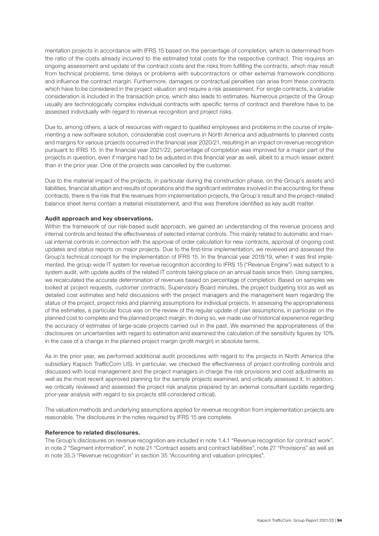mentation projects in accordance with IFRS 15 based on the percentage of completion, which is determined from the ratio of the costs already incurred to the estimated total costs for the respective contract. This requires an ongoing assessment and update of the contract costs and the risks from fulfilling the contracts, which may result from technical problems, time delays or problems with subcontractors or other external framework conditions and influence the contract margin. Furthermore, damages or contractual penalties can arise from these contracts which have to be considered in the project valuation and require a risk assessment. For single contracts, a variable consideration is included in the transaction price, which also leads to estimates. Numerous projects of the Group usually are technologically complex individual contracts with specific terms of contract and therefore have to be assessed individually with regard to revenue recognition and project risks.

Due to, among others, a lack of resources with regard to qualified employees and problems in the course of implementing a new software solution, considerable cost overruns in North America and adjustments to planned costs and margins for various projects occurred in the financial year 2020/21, resulting in an impact on revenue recognition pursuant to IFRS 15. In the financial year 2021/22, percentage of completion was improved for a major part of the projects in question, even if margins had to be adjusted in this financial year as well, albeit to a much lesser extent than in the prior year. One of the projects was cancelled by the customer.

Due to the material impact of the projects, in particular during the construction phase, on the Group's assets and liabilities, financial situation and results of operations and the significant estimates involved in the accounting for these contracts, there is the risk that the revenues from implementation projects, the Group's result and the project-related balance sheet items contain a material misstatement, and this was therefore identified as key audit matter.

## Audit approach and key observations.

Within the framework of our risk-based audit approach, we gained an understanding of the revenue process and internal controls and tested the effectiveness of selected internal controls. This mainly related to automatic and manual internal controls in connection with the approval of order calculation for new contracts, approval of ongoing cost updates and status reports on major projects. Due to the first-time implementation, we reviewed and assessed the Group's technical concept for the implementation of IFRS 15. In the financial year 2018/19, when it was first implemented, the group-wide IT system for revenue recognition according to IFRS 15 ("Revenue Engine") was subject to a system audit, with update audits of the related IT controls taking place on an annual basis since then. Using samples, we recalculated the accurate determination of revenues based on percentage of completion. Based on samples we looked at project requests, customer contracts, Supervisory Board minutes, the project budgeting tool as well as detailed cost estimates and held discussions with the project managers and the management team regarding the status of the project, project risks and planning assumptions for individual projects. In assessing the appropriateness of the estimates, a particular focus was on the review of the regular update of plan assumptions, in particular on the planned cost to complete and the planned project margin. In doing so, we made use of historical experience regarding the accuracy of estimates of large-scale projects carried out in the past. We examined the appropriateness of the disclosures on uncertainties with regard to estimation and examined the calculation of the sensitivity figures by 10% in the case of a change in the planned project margin (profit margin) in absolute terms.

As in the prior year, we performed additional audit procedures with regard to the projects in North America (the subsidiary Kapsch TrafficCom US). In particular, we checked the effectiveness of project controlling controls and discussed with local management and the project managers in charge the risk provisions and cost adjustments as well as the most recent approved planning for the sample projects examined, and critically assessed it. In addition, we critically reviewed and assessed the project risk analysis prepared by an external consultant (update regarding prior-year analysis with regard to six projects still considered critical).

The valuation methods and underlying assumptions applied for revenue recognition from implementation projects are reasonable. The disclosures in the notes required by IFRS 15 are complete.

### Reference to related disclosures.

The Group's disclosures on revenue recognition are included in note 1.4.1 "Revenue recognition for contract work", in note 2 "Segment information", in note 21 "Contract assets and contract liabilities", note 27 "Provisions" as well as in note 35.3 "Revenue recognition" in section 35 "Accounting and valuation principles".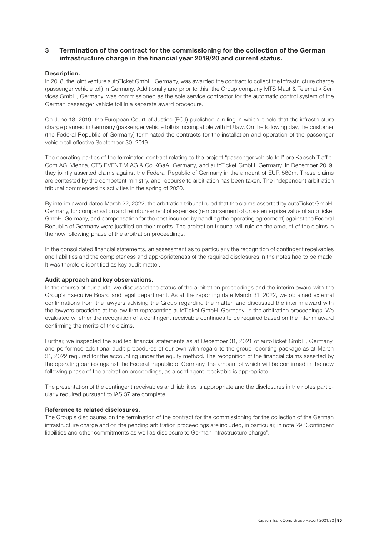# 3 Termination of the contract for the commissioning for the collection of the German infrastructure charge in the financial year 2019/20 and current status.

## Description.

In 2018, the joint venture autoTicket GmbH, Germany, was awarded the contract to collect the infrastructure charge (passenger vehicle toll) in Germany. Additionally and prior to this, the Group company MTS Maut & Telematik Services GmbH, Germany, was commissioned as the sole service contractor for the automatic control system of the German passenger vehicle toll in a separate award procedure.

On June 18, 2019, the European Court of Justice (ECJ) published a ruling in which it held that the infrastructure charge planned in Germany (passenger vehicle toll) is incompatible with EU law. On the following day, the customer (the Federal Republic of Germany) terminated the contracts for the installation and operation of the passenger vehicle toll effective September 30, 2019.

The operating parties of the terminated contract relating to the project "passenger vehicle toll" are Kapsch Traffic-Com AG, Vienna, CTS EVENTIM AG & Co KGaA, Germany, and autoTicket GmbH, Germany. In December 2019, they jointly asserted claims against the Federal Republic of Germany in the amount of EUR 560m. These claims are contested by the competent ministry, and recourse to arbitration has been taken. The independent arbitration tribunal commenced its activities in the spring of 2020.

By interim award dated March 22, 2022, the arbitration tribunal ruled that the claims asserted by autoTicket GmbH, Germany, for compensation and reimbursement of expenses (reimbursement of gross enterprise value of autoTicket GmbH, Germany, and compensation for the cost incurred by handling the operating agreement) against the Federal Republic of Germany were justified on their merits. The arbitration tribunal will rule on the amount of the claims in the now following phase of the arbitration proceedings.

In the consolidated financial statements, an assessment as to particularly the recognition of contingent receivables and liabilities and the completeness and appropriateness of the required disclosures in the notes had to be made. It was therefore identified as key audit matter.

### Audit approach and key observations.

In the course of our audit, we discussed the status of the arbitration proceedings and the interim award with the Group's Executive Board and legal department. As at the reporting date March 31, 2022, we obtained external confirmations from the lawyers advising the Group regarding the matter, and discussed the interim award with the lawyers practicing at the law firm representing autoTicket GmbH, Germany, in the arbitration proceedings. We evaluated whether the recognition of a contingent receivable continues to be required based on the interim award confirming the merits of the claims.

Further, we inspected the audited financial statements as at December 31, 2021 of autoTicket GmbH, Germany, and performed additional audit procedures of our own with regard to the group reporting package as at March 31, 2022 required for the accounting under the equity method. The recognition of the financial claims asserted by the operating parties against the Federal Republic of Germany, the amount of which will be confirmed in the now following phase of the arbitration proceedings, as a contingent receivable is appropriate.

The presentation of the contingent receivables and liabilities is appropriate and the disclosures in the notes particularly required pursuant to IAS 37 are complete.

### Reference to related disclosures.

The Group's disclosures on the termination of the contract for the commissioning for the collection of the German infrastructure charge and on the pending arbitration proceedings are included, in particular, in note 29 "Contingent liabilities and other commitments as well as disclosure to German infrastructure charge".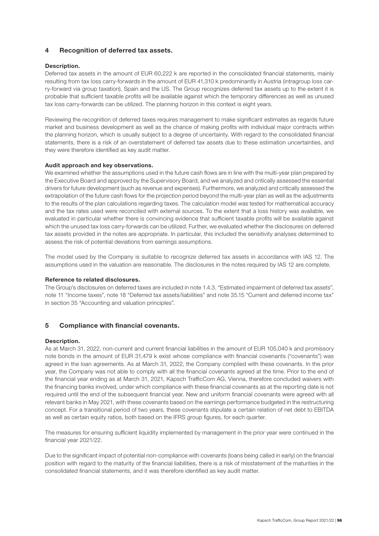# 4 Recognition of deferred tax assets.

## Description.

Deferred tax assets in the amount of EUR 60,222 k are reported in the consolidated financial statements, mainly resulting from tax loss carry-forwards in the amount of EUR 41,310 k predominantly in Austria (intragroup loss carry-forward via group taxation), Spain and the US. The Group recognizes deferred tax assets up to the extent it is probable that sufficient taxable profits will be available against which the temporary differences as well as unused tax loss carry-forwards can be utilized. The planning horizon in this context is eight years.

Reviewing the recognition of deferred taxes requires management to make significant estimates as regards future market and business development as well as the chance of making profits with individual major contracts within the planning horizon, which is usually subject to a degree of uncertainty. With regard to the consolidated financial statements, there is a risk of an overstatement of deferred tax assets due to these estimation uncertainties, and they were therefore identified as key audit matter.

## Audit approach and key observations.

We examined whether the assumptions used in the future cash flows are in line with the multi-year plan prepared by the Executive Board and approved by the Supervisory Board, and we analyzed and critically assessed the essential drivers for future development (such as revenue and expenses). Furthermore, we analyzed and critically assessed the extrapolation of the future cash flows for the projection period beyond the multi-year plan as well as the adjustments to the results of the plan calculations regarding taxes. The calculation model was tested for mathematical accuracy and the tax rates used were reconciled with external sources. To the extent that a loss history was available, we evaluated in particular whether there is convincing evidence that sufficient taxable profits will be available against which the unused tax loss carry-forwards can be utilized. Further, we evaluated whether the disclosures on deferred tax assets provided in the notes are appropriate. In particular, this included the sensitivity analyses determined to assess the risk of potential deviations from earnings assumptions.

The model used by the Company is suitable to recognize deferred tax assets in accordance with IAS 12. The assumptions used in the valuation are reasonable. The disclosures in the notes required by IAS 12 are complete.

### Reference to related disclosures.

The Group's disclosures on deferred taxes are included in note 1.4.3. "Estimated impairment of deferred tax assets", note 11 "Income taxes", note 18 "Deferred tax assets/liabilities" and note 35.15 "Current and deferred income tax" in section 35 "Accounting and valuation principles".

## 5 Compliance with financial covenants.

### Description.

As at March 31, 2022, non-current and current financial liabilities in the amount of EUR 105,040 k and promissory note bonds in the amount of EUR 31,479 k exist whose compliance with financial covenants ("covenants") was agreed in the loan agreements. As at March 31, 2022, the Company complied with these covenants. In the prior year, the Company was not able to comply with all the financial covenants agreed at the time. Prior to the end of the financial year ending as at March 31, 2021, Kapsch TrafficCom AG, Vienna, therefore concluded waivers with the financing banks involved, under which compliance with these financial covenants as at the reporting date is not required until the end of the subsequent financial year. New and uniform financial covenants were agreed with all relevant banks in May 2021, with these covenants based on the earnings performance budgeted in the restructuring concept. For a transitional period of two years, these covenants stipulate a certain relation of net debt to EBITDA as well as certain equity ratios, both based on the IFRS group figures, for each quarter.

The measures for ensuring sufficient liquidity implemented by management in the prior year were continued in the financial year 2021/22.

Due to the significant impact of potential non-compliance with covenants (loans being called in early) on the financial position with regard to the maturity of the financial liabilities, there is a risk of misstatement of the maturities in the consolidated financial statements, and it was therefore identified as key audit matter.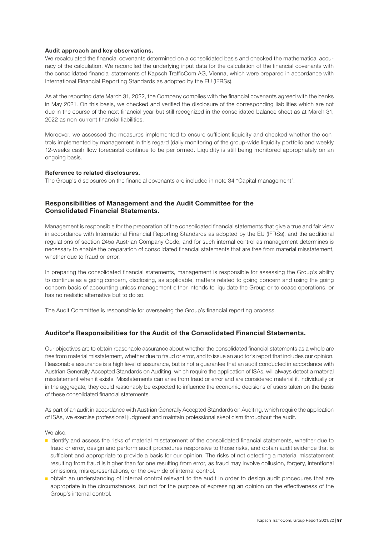## Audit approach and key observations.

We recalculated the financial covenants determined on a consolidated basis and checked the mathematical accuracy of the calculation. We reconciled the underlying input data for the calculation of the financial covenants with the consolidated financial statements of Kapsch TrafficCom AG, Vienna, which were prepared in accordance with International Financial Reporting Standards as adopted by the EU (IFRSs).

As at the reporting date March 31, 2022, the Company complies with the financial covenants agreed with the banks in May 2021. On this basis, we checked and verified the disclosure of the corresponding liabilities which are not due in the course of the next financial year but still recognized in the consolidated balance sheet as at March 31, 2022 as non-current financial liabilities.

Moreover, we assessed the measures implemented to ensure sufficient liquidity and checked whether the controls implemented by management in this regard (daily monitoring of the group-wide liquidity portfolio and weekly 12-weeks cash flow forecasts) continue to be performed. Liquidity is still being monitored appropriately on an ongoing basis.

## Reference to related disclosures.

The Group's disclosures on the financial covenants are included in note 34 "Capital management".

# Responsibilities of Management and the Audit Committee for the Consolidated Financial Statements.

Management is responsible for the preparation of the consolidated financial statements that give a true and fair view in accordance with International Financial Reporting Standards as adopted by the EU (IFRSs), and the additional regulations of section 245a Austrian Company Code, and for such internal control as management determines is necessary to enable the preparation of consolidated financial statements that are free from material misstatement, whether due to fraud or error.

In preparing the consolidated financial statements, management is responsible for assessing the Group's ability to continue as a going concern, disclosing, as applicable, matters related to going concern and using the going concern basis of accounting unless management either intends to liquidate the Group or to cease operations, or has no realistic alternative but to do so.

The Audit Committee is responsible for overseeing the Group's financial reporting process.

# Auditor's Responsibilities for the Audit of the Consolidated Financial Statements.

Our objectives are to obtain reasonable assurance about whether the consolidated financial statements as a whole are free from material misstatement, whether due to fraud or error, and to issue an auditor's report that includes our opinion. Reasonable assurance is a high level of assurance, but is not a guarantee that an audit conducted in accordance with Austrian Generally Accepted Standards on Auditing, which require the application of ISAs, will always detect a material misstatement when it exists. Misstatements can arise from fraud or error and are considered material if, individually or in the aggregate, they could reasonably be expected to influence the economic decisions of users taken on the basis of these consolidated financial statements.

As part of an audit in accordance with Austrian Generally Accepted Standards on Auditing, which require the application of ISAs, we exercise professional judgment and maintain professional skepticism throughout the audit.

We also:

- identify and assess the risks of material misstatement of the consolidated financial statements, whether due to fraud or error, design and perform audit procedures responsive to those risks, and obtain audit evidence that is sufficient and appropriate to provide a basis for our opinion. The risks of not detecting a material misstatement resulting from fraud is higher than for one resulting from error, as fraud may involve collusion, forgery, intentional omissions, misrepresentations, or the override of internal control.
- obtain an understanding of internal control relevant to the audit in order to design audit procedures that are appropriate in the circumstances, but not for the purpose of expressing an opinion on the effectiveness of the Group's internal control.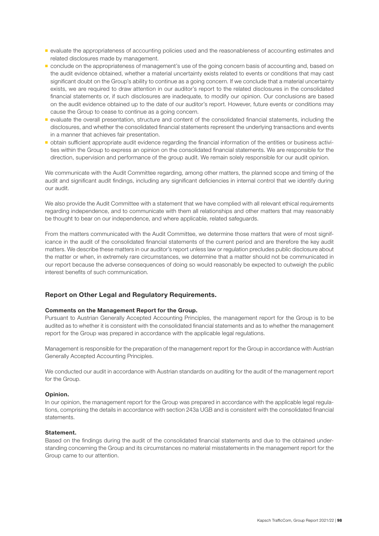- evaluate the appropriateness of accounting policies used and the reasonableness of accounting estimates and related disclosures made by management.
- conclude on the appropriateness of management's use of the going concern basis of accounting and, based on the audit evidence obtained, whether a material uncertainty exists related to events or conditions that may cast significant doubt on the Group's ability to continue as a going concern. If we conclude that a material uncertainty exists, we are required to draw attention in our auditor's report to the related disclosures in the consolidated financial statements or, if such disclosures are inadequate, to modify our opinion. Our conclusions are based on the audit evidence obtained up to the date of our auditor's report. However, future events or conditions may cause the Group to cease to continue as a going concern.
- evaluate the overall presentation, structure and content of the consolidated financial statements, including the disclosures, and whether the consolidated financial statements represent the underlying transactions and events in a manner that achieves fair presentation.
- obtain sufficient appropriate audit evidence regarding the financial information of the entities or business activities within the Group to express an opinion on the consolidated financial statements. We are responsible for the direction, supervision and performance of the group audit. We remain solely responsible for our audit opinion.

We communicate with the Audit Committee regarding, among other matters, the planned scope and timing of the audit and significant audit findings, including any significant deficiencies in internal control that we identify during our audit.

We also provide the Audit Committee with a statement that we have complied with all relevant ethical requirements regarding independence, and to communicate with them all relationships and other matters that may reasonably be thought to bear on our independence, and where applicable, related safeguards.

From the matters communicated with the Audit Committee, we determine those matters that were of most significance in the audit of the consolidated financial statements of the current period and are therefore the key audit matters. We describe these matters in our auditor's report unless law or regulation precludes public disclosure about the matter or when, in extremely rare circumstances, we determine that a matter should not be communicated in our report because the adverse consequences of doing so would reasonably be expected to outweigh the public interest benefits of such communication.

# Report on Other Legal and Regulatory Requirements.

## Comments on the Management Report for the Group.

Pursuant to Austrian Generally Accepted Accounting Principles, the management report for the Group is to be audited as to whether it is consistent with the consolidated financial statements and as to whether the management report for the Group was prepared in accordance with the applicable legal regulations.

Management is responsible for the preparation of the management report for the Group in accordance with Austrian Generally Accepted Accounting Principles.

We conducted our audit in accordance with Austrian standards on auditing for the audit of the management report for the Group.

### Opinion.

In our opinion, the management report for the Group was prepared in accordance with the applicable legal regulations, comprising the details in accordance with section 243a UGB and is consistent with the consolidated financial statements.

### Statement.

Based on the findings during the audit of the consolidated financial statements and due to the obtained understanding concerning the Group and its circumstances no material misstatements in the management report for the Group came to our attention.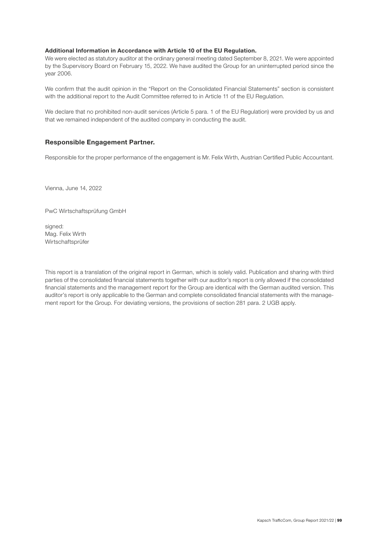## Additional Information in Accordance with Article 10 of the EU Regulation.

We were elected as statutory auditor at the ordinary general meeting dated September 8, 2021. We were appointed by the Supervisory Board on February 15, 2022. We have audited the Group for an uninterrupted period since the year 2006.

We confirm that the audit opinion in the "Report on the Consolidated Financial Statements" section is consistent with the additional report to the Audit Committee referred to in Article 11 of the EU Regulation.

We declare that no prohibited non-audit services (Article 5 para. 1 of the EU Regulation) were provided by us and that we remained independent of the audited company in conducting the audit.

## Responsible Engagement Partner.

Responsible for the proper performance of the engagement is Mr. Felix Wirth, Austrian Certified Public Accountant.

Vienna, June 14, 2022

PwC Wirtschaftsprüfung GmbH

signed: Mag. Felix Wirth Wirtschaftsprüfer

This report is a translation of the original report in German, which is solely valid. Publication and sharing with third parties of the consolidated financial statements together with our auditor's report is only allowed if the consolidated financial statements and the management report for the Group are identical with the German audited version. This auditor's report is only applicable to the German and complete consolidated financial statements with the management report for the Group. For deviating versions, the provisions of section 281 para. 2 UGB apply.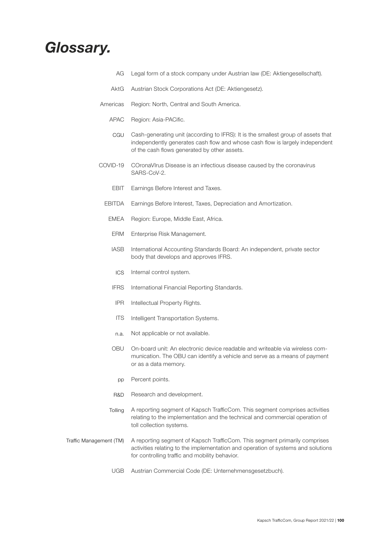# *Glossary.*

- Legal form of a stock company under Austrian law (DE: Aktiengesellschaft). AG
- Austrian Stock Corporations Act (DE: Aktiengesetz). AktG
- Region: North, Central and South America. Americas
	- Region: Asia-PACific. APAC
	- Cash-generating unit (according to IFRS): It is the smallest group of assets that independently generates cash flow and whose cash flow is largely independent of the cash flows generated by other assets. **CGU**
- COronaVIrus Disease is an infectious disease caused by the coronavirus SARS-CoV-2. COVID-19
	- EBIT Earnings Before Interest and Taxes.
	- EBITDA Earnings Before Interest, Taxes, Depreciation and Amortization.
		- EMEA Region: Europe, Middle East, Africa.
		- Enterprise Risk Management. ERM
		- International Accounting Standards Board: An independent, private sector body that develops and approves IFRS. IASB
		- Internal control system. ICS
		- International Financial Reporting Standards. IFRS
		- Intellectual Property Rights. IPR
		- Intelligent Transportation Systems. ITS
		- Not applicable or not available. n.a.
		- On-board unit: An electronic device readable and writeable via wireless communication. The OBU can identify a vehicle and serve as a means of payment or as a data memory. OBU
		- Percent points. pp
		- Research and development. R&D
		- A reporting segment of Kapsch TrafficCom. This segment comprises activities relating to the implementation and the technical and commercial operation of toll collection systems. Tolling
- A reporting segment of Kapsch TrafficCom. This segment primarily comprises activities relating to the implementation and operation of systems and solutions for controlling traffic and mobility behavior. Traffic Management (TM)
	- Austrian Commercial Code (DE: Unternehmensgesetzbuch). UGB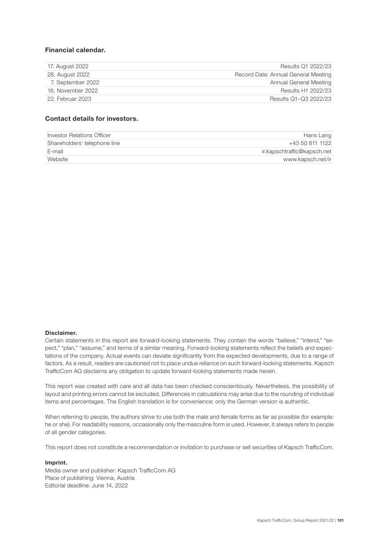# Financial calendar.

| 17. August 2022   | Results Q1 2022/23                  |
|-------------------|-------------------------------------|
| 28. August 2022   | Record Date: Annual General Meeting |
| 7. September 2022 | Annual General Meeting              |
| 16. November 2022 | Results H1 2022/23                  |
| 22. Februar 2023  | Results Q1-Q3 2022/23               |
|                   |                                     |

# Contact details for investors.

| Investor Relations Officer   | Hans Lang                   |
|------------------------------|-----------------------------|
| Shareholders' telephone line | +43 50 811 1122             |
| E-mail                       | ir.kapschtraffic@kapsch.net |
| Website                      | www.kapsch.net/ir           |

### Disclaimer.

Certain statements in this report are forward-looking statements. They contain the words "believe," "intend," "expect," "plan," "assume," and terms of a similar meaning. Forward-looking statements reflect the beliefs and expectations of the company. Actual events can deviate significantly from the expected developments, due to a range of factors. As a result, readers are cautioned not to place undue reliance on such forward-looking statements. Kapsch TrafficCom AG disclaims any obligation to update forward-looking statements made herein.

This report was created with care and all data has been checked conscientiously. Nevertheless, the possibility of layout and printing errors cannot be excluded. Differences in calculations may arise due to the rounding of individual items and percentages. The English translation is for convenience; only the German version is authentic.

When referring to people, the authors strive to use both the male and female forms as far as possible (for example: he or she). For readability reasons, occasionally only the masculine form is used. However, it always refers to people of all gender categories.

This report does not constitute a recommendation or invitation to purchase or sell securities of Kapsch TrafficCom.

## Imprint.

Media owner and publisher: Kapsch TrafficCom AG Place of publishing: Vienna, Austria Editorial deadline: June 14, 2022